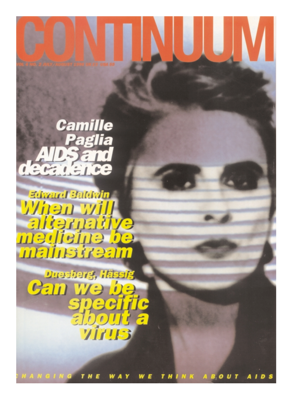# Camille Paglia D-SETO

**Edward Baldwin** When will<br>alternative<br>medieine be

Duesberg, Hässig **Can we be** specific<br>about a **TITES** 

HANGING TH THINK ABOUT A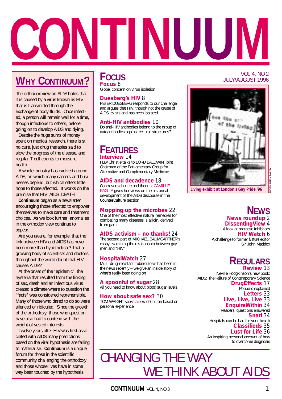

# **WHY CONTINUUM?**

The orthodox view on AIDS holds that it is caused by a virus known as HIV that is transmitted through the exchange of body fluids. Once infected, a person will remain well for a time, though infectious to others, before going on to develop AIDS and dying.

Despite the huge sums of money spent on medical research, there is still no cure, just drug therapies said to slow the progress of the disease, and regular T-cell counts to measure health.

A whole industry has evolved around AIDS, on which many careers and businesses depend, but which offers little hope to those affected. It works on the premise that HIV=AIDS=DEATH.

**Continuum** began as a newsletter encouraging those effected to empower themselves to make care and treatment choices. As we look further, anomalies in the orthodox view continue to appear.

Are you aware, for example, that the link between HIV and AIDS has never been more than hypothetical? That a growing body of scientists and doctors throughout the world doubt that HIV causes AIDS?

At the onset of the "epidemic", the hysteria that resulted from the linking of sex, death and an infectious virus created a climate where to question the "facts" was considered reprehensible. Many of those who dared to do so were silenced or ridiculed. Since the growth of the orthodoxy, those who question have also had to contend with the weight of vested interests.

Twelve years after HIV was first associated with AIDS many predictions based on the viral hypothesis are failing to materialise. **Continuum** is a unique forum for those in the scientific community challenging the orthodoxy and those whose lives have in some way been touched by the hypothesis.

#### **FOCUS Focus** 8

Global concern on virus isolation

#### **Duesberg's HIV** 8

PETER DUESBERG responds to our challenge and argues that HIV, though not the cause of AIDS, exists and has been isolated

#### **Anti-HIV antibodies** 10

Do anti-HIV antibodies belong to the group of autoantibodies against cellular structures?

#### **FEATURES Interview** 14

Huw Christie talks to LORD BALDWIN, joint Chairman of the Parliamentary Group for Alternative and Complementary Medicine

#### **AIDS and decadence** 18

Controversial critic and theorist CAMILLE PAGLIA gives her views on the historical development of the AIDS discourse in the **CounterCulture** section

#### **Mopping up the microbes** 22

One of the most effective natural remedies for combating many diseases is allicin, derived from garlic

#### **AIDS activism – no thanks!** 24

The second part of MICHAEL BAUMGARTNER's essay examining the relationship between gay men and "HIV"

#### **HospitalWatch** 27

Multi-drug-resistant Tuberculosis has been in the news recently – we give an inside story of what's really been going on

**A spoonful of sugar** 28 All you need to know about blood sugar levels

**How about safe sex?** 30 TOM WRIGHT seeks a new definition based on personal experience

#### VOL 4, NO 2 JULY/AUGUST 1996



PHOTO: BRIAN PARKIN

*Living exhibit at London's Gay Pride '96*

**NEWS News roundup** 2 **DissentingView** 4 A look at protease inhibitors **HIV Watch** 6 A challenge to former *Nature* editor Sir John Maddox

#### **REGULARS Review** 13

Neville Hodgkinson's new book: AIDS: The Failure of Contemporary Science

**DrugEffects** 17 Poppers explained

**Letters** 33

#### **Live, Live, Live** 33

**EnquireWithin** 34 Readers' questions answered **Snarl** 34 Hospitals can be bad for your health **Classifieds** 35 **Lust for Life** 36 An inspiring personal account of how to overcome diagnosis

# CHANGING THE WAY WE THINK ABOUT AIDS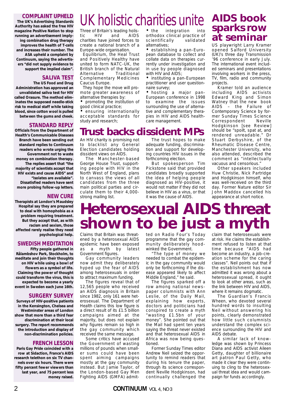#### **COMPLAINT UPHELD**

**The UK's Advertising Standards Authority has asked the free HIV magazine** *Positive Nation* **to stop running an advertisement implying combination drug therapy improves the health of T-cells and increases their number. The ASA upheld a complaint by** *Continuum***, saying the advertisers "did not supply evidence to support the implied claim".**

#### **SALIVA TEST**

**The US Food and Drug Administration has approved an unvalidated saliva test for HIV called Orasure. The method eliminates the supposed needle-stick risk to medical staff while taking blood, since cotton wool is pulled between the gums and cheek.**

#### **STANDARD REPLY**

**Officials from the Department of Health's Communicable Diseases Branch have been sending out standard replies to** *Continuum* **readers who wrote urging the Government not to waste money on combination therapy. The replies assert that "the majority of scientists accept that HIV exists and cause AIDS" and "isolates are available". Dissatisfied readers have sent more probing follow-up letters.**

#### **NEW CURE**

**Therapists at London's Maudsley Hospital say they are prepared to deal with homophobia as a problem requiring treatment. But they accept that, as with racism and sexism, those affected rarely realise they need psychological help.**

#### **SWEDISH MEDITATION**

**Fifty people gathered in Rålambshov Park, Stockholm, to meditate and join their thoughts on HIV while using a bowl of flowers as a symbol of life. Claiming the power of thought could transform the virus, this is expected to become a yearly event in Sweden each June 16th.**

#### **SURGERY SURVEY**

**Surveys of HIV-positive patients in the Kensington, Chelsea and Westminster areas of London show that more than a third fear discrimination at their local surgery. The report recommends the introduction and display of non-discrimination policies.**

#### **FRENCH LESSON**

**Paris Gay Pride coincided with a row at Sidaction, France's AIDS research telethon on six TV channels over six hours. There were fifty percent fewer viewers than last year, and 75 percent less money raised.**

# UK holistic charities unite

Three of Britain's leading holis-<br>tic HIV and AIDS tic HIV and AIDS charities have joined forces to create a national branch of a Europe-wide organisation.

Equilibrium, the Heal Trust and Positively Healthy have united to form NATC-UK, the British branch of the Natural Alternative Traditional Complementary Medicines Caucus Europe.

They hope the move will promote greater awareness of alternative therapies by:

• promoting the institution of good clinical practice;

• ensuring internationally acceptable standards for study and research;

### **Trust backs dissident MPs**

An HIV charity is promising not to blacklist any General Election candidates holding dissident views on AIDS.

The Manchester-based George House Trust, supporting people with HIV in the North West of England, plans to canvass the views of all candidates from the three main political parties and circulate them to their 4,000 strong mailing list.

integration orthodox clinical practice of<br>scientifically validated scientifically alternatives;

• establishing a pan-European database to collect and collate data on therapies currently under investigation and in use by people diagnosed with HIV and AIDS;

• instituting a pan-European practitioner and user questionnaire survey;

• hosting a major pan-European conference in 1998 to examine the issues surrounding the use of alternative and complementary therapies in HIV and AIDS healthcare management.

The trust hopes to make adequate funding, discrimination and support for developing countries HIV issues in the forthcoming election.

But spokesperson Tim Pickstone said that provided candidates broadly supported the idea of helping people diagnosed as HIV-positive, it would not matter if they did not believe in HIV as a virus, or that it was the cause of AIDS.

### **AIDS book sparks row at seminar**

US playwright Larry Kramer opened Salford University (UK)'s three day Transmission '96 conference in early July. The international event included seminars and presentations involving workers in the press, TV, film, radio and community projects.

Kramer told an audience including AIDS activists Edward King and Simon Watney that the new book AIDS – the Failure of Contemporary Science by former Sunday Times Science Correspondent Neville Hodgkinson [see Review] should be "spoilt, spat at, and rendered unreadable." Dr Stuart Derbyshire, of the Rheumatic Disease Centre, Manchester University, who also attended, described the comment as "intellectually vacuous and censorious."

Other speakers included Huw Christie, Nick Partridge and Hodgkinson himself, who was well-received on the third day. Former Nature editor Sir John Maddox cancelled his appearance at short notice.

# **Heterosexual AIDS threat shown to be just a myth**

Claims that Britain was threatened by a heterosexual AIDS epidemic have been exposed as a myth by latest Government figures.

Gay community leaders now admit they deliberately hyped up the fear of AIDS among heterosexuals in order to attract maximum funding.

The figures reveal that of 12,565 people who received an AIDS diagnosis in Britain since 1982, only 161 were heterosexual. The Department of Health claims this low figure is a direct result of its £1.5 billion campaigns aimed at the majority, but does not explain why figures remain so high in the gay community which received the same message.

Some critics have accused the Government of wasting millions of pounds when smaller sums could have been spent aiming campaigns mostly at the gay community instead. But Jamie Taylor, of the London-based Gay Men Fighting AIDS (GMFA) admitted on Radio Four's Today programme that the gay community deliberately hoodwinked the Government.

"The type of money we needed to combat the epidemic in the gay community would only be forthcoming if the disease appeared likely to affect Middle England," he said.

The figures sparked off a row among national newspaper columnists with Ann Leslie, of the Daily Mail, explaining how experts, doctors and politicians had conspired to create a myth "wasting £1.5bn of your money". She pointed out that the Mail had spent ten years saying the threat never existed and that heterosexual AIDS in Africa was now being questioned.

Former Sunday Times editor Andrew Neil seized the opportunity to remind readers that during his tenure the paper, through its science correspondent Neville Hodgkinson, had continually challenged the

claim that heterosexuals were at risk. He claims the establishment refused to listen at that time because "AIDS had become an industry, a job-creation scheme for the caring classes". Neil points out that if the establishment has now admitted it was wrong about a heterosexual spread, it ought to look at other areas, such as the link between HIV and AIDS, where it remains dogmatic.

The Guardian's Francis Wheen, who devoted several hundred words to insulting Neil without answering his points, clearly demonstrated how little such columnists understand the complex science surrounding the HIV and AIDS debate.

A similar lack of knowledge was shown by Princess Diana and AIDS activist Aileen Getty, daughter of billionaire art patron Paul Getty, who made it clear they were continuing to cling to the heterosexual threat idea and would campaign for funds accordingly.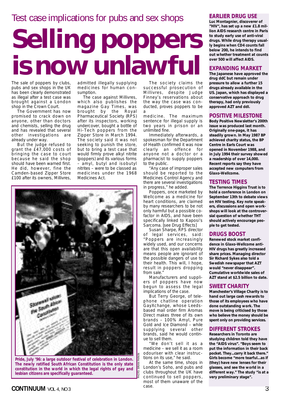## Test case implications for pubs and sex shops

# **Selling poppers isnowunlawful**

The sale of poppers by clubs, pubs and sex shops in the UK has been clearly demonstrated as illegal after a test case was brought against a London shop in the Crown Court.

The Government has now promised to crack down on anyone, other than doctors and chemists, selling the drug and has revealed that several other investigations are already under way.

But the judge refused to grant the £47,000 costs of bringing the case to court because he said the shop should have been warned first. He did, however, fine the Camden-based Zipper Store £100 after its owners, Millivres,

admitted illegally supplying medicines for human consumption.

The case against Millivres, which also publishes the magazine Gay Times, was brought by the Royal Pharmaceutical Society (RPS) after its inspectors, working undercover, bought a bottle of Hi-Tech poppers from the Zipper Store in March 1994. The society said it was not seeking to punish the store, but to bring a test case that would firmly prove alkyl nitrite (poppers) and its various forms – amyl, butyl and isobutyl nitrites – were to be classed as medicines under the 1968 Medicines Act.



*Pride, July '96: a large outdoor festival of celebration in London. The newly ratified South African Constitution is the only state constitution in the world in which the legal rights of gay and lesbian citizens are specifically guaranteed.*

The society claims the successful prosecution of Millivres, despite Judge Finney's reservations about the way the case was conducted, proves poppers to be a

medicine. The maximum sentence for illegal supply is two years in prison or an unlimited fine.

Immediately afterwards, a spokesman for the Department of Health confirmed it was now clearly an offence for anyone not a doctor or a pharmacist to supply poppers to the public.

"Any case of improper sales should be reported to the Medicines Control Agency and there are several investigations in progress," he added.

Poppers, once marketed by Wellcome as a medicine for heart conditions, are claimed by many researchers to be not only harmful but a possible cofactor in AIDS, and have been specifically linked to Kaposi's Sarcoma. [see Drug Effects]

Susan Sharpe, RPS director of legal services, said: "Poppers are increasingly widely used, and our concerns are that this open availability means people are ignorant of the possible dangers of use to their health. This will, I hope, result in poppers dropping from sale."

Manufacturers and suppliers of poppers have now begun to assess the legal implications of the case.

But Terry George, of telephone chatline operation GayXchange, whose Leedsbased mail order firm Aromas Direct makes three of its own brands – 100% Amyl, Pure Gold and Ice Diamond – while supplying several other brands, said he would continue to sell them.

"We don't sell it as a medicine – we sell it as a room odouriser with clear instructions on its use," he said.

At the same time, shops in London's Soho, and pubs and clubs throughout the UK have continued to sell poppers, most of them unaware of the case.

PHOTO: BRIAN PARKIN

#### **EARLIER DRUG USE**

**Luc Montagnier, discoverer of "HIV", has set up a new £1.8 million AIDS research centre in Paris to study early use of anti-viral drugs. While drug therapy usually begins when CD4 counts fall below 200, he intends to find out whether treatment at counts over 500 will affect AIDS.**

#### **EXPANDING MARKET**

**The Japanese have approved the drug ddC but remain under pressure to allow a further 15 drugs already available in the US. Japan, which has displayed a conservative approach to drug therapy, had only previously approved AZT and ddI.**

#### **POSITIVE MILESTONE**

*Body Positive Newsletter's* **200th issue was produced last month. Originally one-page, it has steadily grown. In May 1987 BP achieved charity status, the BP Centre in Earls Court was opened in November 1988, and in July 1994 their survey showed a readership of over 14,000. Recent reports say they have accepted new computers from Glaxo-Wellcome.**

#### **TESTING TIMES**

**The Terrence Higgins Trust is to hold a conference in London on September 13th to debate views on HIV testing. Key note speakers, discussions and open workshops will look at the controversial question of whether THT should actively encourage people to get tested.**

#### **DRUGS BOOST**

**Renewed stock market confidence in Glaxo-Wellcome anti-HIV drugs has greatly increased share prices. Managing director Sir Richard Sykes also told a Swedish newspaper that AZT would "never disappear". Cumulative worldwide sales of AZT stand at \$2.5 billion to date.**

#### **SWEET CHARITY**

**Manchester's Village Charity is to hand out large cash rewards to those of its employees who have done outstanding work. The move is being criticised by those who believe the money should be spent only on providing services.**

#### **DIFFERENT STROKES**

**Researchers in Toronto are studying children told they have the "AIDS virus". "Boys seem to put the information in their back pocket. They...carry it back** *there.***" Girls become "more tearful...as if (they) have new lenses for their glasses, and see the world in a different way." The study "is at a very preliminary stage".**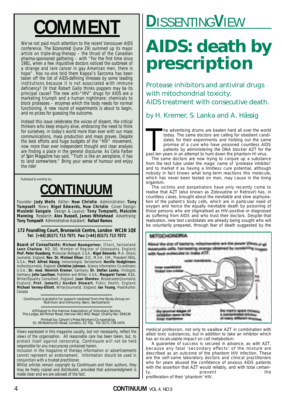We've not paid much attention to the recent Vancouver AIDS conference. The *Economist* (June 29) summed up its major article on triple-drug-therapy – the thrust of the Canadian pharma-sponsored gathering – with "For the first time since 1981, when a few inquisitive doctors noticed the outbreak of a strange and rare cancer in gay American men, there is hope". Has no-one told them Kaposi's Sarcoma has been taken off the list of AIDS-defining illnesses by some leading institutions because it is not associated with immune deficiency? Or that Robert Gallo thinks poppers may be its principal cause? The new anti-"HIV" drugs for AIDS are a marketing triumph and a human nightmare: chemicals to block proteases – enzymes which the body needs for normal functioning. A new round of experiments is about to begin, and no prizes for guessing the outcome.

Instead this issue celebrates the voices of dissent, the critical thinkers who keep enquiry alive, embracing the need to think for ourselves, in today's world more than ever with our mass communications, mass production and mass graves. Despite the best efforts and huge budgets of the "HIV" movement, now more than ever independent thought and clear analysis are finding a place in the general discourse. As Celia Farber of *Spin Magazine* has said, "Truth is like an aeroplane, it has to land somewhere." Bring your sense of humour and enjoy the ride!

Published bi-monthly by:

# **CONTINUUM**

Founder: **Jody Wells** Editor: **Huw Christie** Administrator: **Tony Tompsett** News: **Nigel Edwards, Huw Christie** Cover Design: **Musimbi Sangale** Design & Layout: **Tony Tompsett, Malcolm Manning** Research: **Alex Russell, James Whitehead** Advertising: **Tony Tompsett** Administrative Assistant: **Rafael Ramos**

#### **172 Foundling Court, Brunswick Centre, London WC1N 1QE Tel: [+44] (0)171 713 7071 Fax: [+44] (0)171 713 7072**

**Board of Consultants: Michael Baumgartner**, (Chair), Switzerland; **Leon Chaitow**, ND, DO, Member of Register of Osteopaths, England; **Prof. Peter Duesberg**, Molecular Biologist, U.S.A.; **Nigel Edwards**, M.A. (Oxon), Journalist, England; **Rev. Dr. Michael Ellner**, D.D., M.S.H., CHt., President HEAL, U.S.A.; **Prof. Alfred Hässig**, Immunologist, Switzerland; **Neville Hodgkinson**, Author/Journalist, England; **Christine Johnson**, Science Information Co-ordinator, U.S.A.; **Dr. med. Heinrich Kremer**, Germany; **Dr. Stefan Lanka**, Virologist, Germany; **John Lauritsen**, Publisher and Writer, U.S.A.; **Margaret Turner**, B.Ed., Writer/Equality Consultant, England; **Joan Shenton**, Broadcaster/Journalist, England; **Prof. (emerit.) Gordon Stewart**, Public Health, England; **Michael Verney-Elliott**, Writer/Journalist, England; **Ian Young**, Poet/Author, Canada

*Continuum* is grateful for support received from the Study Group on Nutrition and Immunity, Bern, Switzerland

Affiliated to the Harrow Association of Voluntary Service, The Lodge, 64 Pinner Road, Harrow HA1 4HZ. Regd. Charity No: 294136 Printed by: Calvert's Press Workers Co-operative, 31–39 Redchurch Road, London, E2 7DJ. Tel: 0171 739 1474

Views expressed in this magazine usually, but not necessarily, reflect the views of the organisation. All reasonable care has been taken, but, to protect itself against censorship, *Continuum* will not be held responsible for any inaccuracies contained herein.

Inclusion in the magazine of therapy information or advertisements cannot represent an endorsement. Information should be used in conjunction with a trusted practitioner.

Whilst articles remain copyright by *Continuum* and their authors, they may be freely copied and distributed, provided that acknowledgment is made clear and we are advised of the fact.

# **COMMENT COMMENT**

# **AIDS: death by prescription**

Protease inhibitors and antiviral drugs with mitochondrial toxicity: AIDS treatment with consecutive death.

by H. Kremer, S. Lanka and A. Hässig

The advertising drums are beaten hard all over the wor<br>today. The same doctors are calling for obedient cance<br>dates for their experiments and holding out the same<br>promise of a cure who have poisoned countless AID<br>patients he advertising drums are beaten hard all over the world today. The same doctors are calling for obedient candidates for their experiments and holding out the same promise of a cure who have poisoned countless AIDS patients by administering the DNA blocker AZT for the

The same doctors are now trying to conjure up a substance from the test tube under the magic name of 'protease inhibitor' and to market it as having a limitless cure potential, although nobody in fact knows what long-term reactions this molecule, which has never been tested on man, may cause in the living organism.

The victims and perpetrators have only recently come to realise that AZT (also known as Zidovudine or Retrovir) has, in countless cases, brought about the inevitable and slow asphyxiation of the patient's body cells, which are in particular need of oxygen and hence the equally inevitable death by poisoning of those persons who are stigmatised as HIV-positive or diagnosed as suffering from AIDS and who trust their doctors. Despite that realisation, new test candidates are already being sought who will be voluntarily prepared, through fear of death suggested by the

#### MITOCHONDRIA



medical profession, not only to swallow AZT in combination with allied toxic substances, but in addition to take an inhibitor which has an incalculable impact on cell metabolism.

A guarantee of success is secured in advance, as with AZT, because any fatal 'secondary effects' of the mixture are described as an outcome of the phantom HIV infection. These are the self-same laboratory doctors and clinical practitioners who for years abused the confidence of anxious AIDS patients with the assertion that AZT would reliably, and with total certainty, the prevent the the proliferation of their 'phantom' HIV.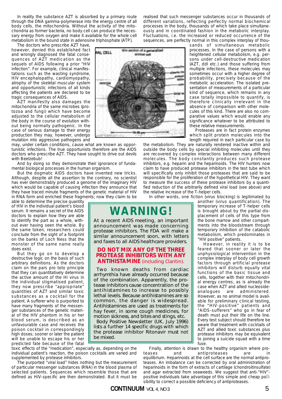In reality the substance AZT is absorbed by a primary route through the DNA gamma-polymerase into the energy centre of all body cells, the mitochondria. Without the activity of the mitochondria as former bacteria, no body cell can produce the necessary energy from oxygen and make it available for the whole cell metabolism in the bound state in adenosine triphosphate (ATP).

ML CELL

The doctors who prescribe AZT have, however, denied this established fact and wrongly diagnosed the fatal consequences of AZT medication as the sequels of AIDS following a prior "HIV infection". For example, clinical manifestations such as the wasting syndrome, HIV encephalopathy, cardiomyopathy, atrophy of the skeletal muscular system and opportunistic infections of all kinds affecting the patients are declared to be tragic consequences of AIDS.

AZT manifestly also damages the mitochondria of the same microbes (protozoa and fungi) which have become adjusted to the cellular metabolism of the body in the course of evolution without being normally pathogenic. In the case of serious damage to their energy production they may, however, undergo mutation into aggressive pathogens and

may, under certain conditions, cause what are known as opportunistic infections. The true opportunists therefore are the AIDS doctors who prescribe AZT. They have sought to drive out devils with Beelzebub!

And by doing so they demonstrate their ignorance of fundamental biological processes in the human organism.

But the dogmatic AIDS doctors have invented new tricks. Although, despite all the assertion to the contrary, no scientist has ever demonstrably produced a genome of the imaginary HIV which would be capable of causing infection they announce that they have traced minute fragments of the genetic material of HIV in RNA form and enriched these fragments; now they claim to be

able to determine the precise quantity of HIV in the individual patient's blood serum. It remains a secret of the AIDS doctors to explain how they are able to identify the part as a whole, without ever having seen the whole. By the same token, researchers could conclude from the sight of a footprint on the banks of Loch Ness that the monster of the same name really does exist.

But they go on to develop a destructive logic on the basis of such arbitrary definitions. As the doctors claim on the pars pro toto principle that they can quantitatively determine the active amount of the HI virus in the individual stigmatised patient, they now prescribe "appropriate" quantities of AZT and similar toxic substances as a cocktail for the patient. A sufferer who is purported to have many fragments of the messenger substances of the genetic material of the HIV phantom in his or her blood serum, is described as an unfavourable case and receives the poison cocktail in correspondingly high doses; sooner or later the patient will be unable to escape his or her predicted fate because of the fatal

toxic effects of the "medication", especially as, depending on the individual patient's reaction, the poison cocktails are varied and supplemented by protease inhibitors.

The purported "viral load" hides nothing but the measurement of particular messenger substances (RNA) in the blood plasma of selected patients. Sequences which resemble those that are defined as HIV-specific are then demonstrated. But it must be

ously and in coordinated fashion in the metabolic interplay. Fluctuations, i.e. the increased or reduced occurrence of the sequences, are perfectly normal in this complex interplay of thousands of simultaneous metabolic processes. In the case of persons with a this section of a a heightened cellular metabolism, e.g. per-

realised that such messenger substances occur in thousands of different variations, reflecting perfectly normal biochemical processes in the body, thousands of which take place simultane-

> sons under cell-destructive medication (AZT, ddI etc.) and those suffering from multiple infections, these molecules may sometimes occur with a higher degree of probability, precisely because of the metabolic acceleration. The isolated presentation of measurements of a particular kind of sequence, which remains in any case totally impossible to quantify, is therefore clinically irrelevant in the absence of comparison with other molecules of this kind. There are also no comparative values which would enable any significance whatever to be attributed to

which split protein molecules into the length required in each particular case by

the metabolism. They are naturally rendered inactive within and outside the body cells by special inhibiting molecules until they are recovered by complex interactions between many different molecules. The body constantly produces such protease inhibitors, e.g. heparin and the heparinoids. The HIV hunters now claim to have produced protease inhibitors in the test tube which will specifically only inhibit those proteases that are said to be responsible for the proliferation of the hypothetical HIV. They want to measure the success of these protease inhibitors by a quantified reduction of the arbitrarily defined viral load (see above) and the relative increase of the T-helper cells.

In other words, one fiction (virus blocking) is legitimated by

## **WARNING!**

At a recent AIDS meeting, an important announcement was made concerning protease inhibitors. The FDA will make a similar announcement soon, with letters and faxes to all AIDS healthcare providers.

#### **DO NOT MIX ANY OF THE THREE PROTEASE INHIBITORS WITH ANY ANTIHISTAMINE** (including Claritin).

Two known deaths from cardiac arrhymthia have already occurred because of the combination. Apparently, the protease inhibitors cause concentration of the antihistamines to increase to possibly lethal levels. Because antihistamines are so common, the danger is widespread. Antihistamines are used as treatments for hay fever, in some cough medicines, for motion sickness, and bites and stings, etc.

*Body Positive Newsletter* (UK, July 1996) lists a further 14 specific drugs with which the protease inhibitor Ritonavir must not be mixed.

these relative measurements. Proteases are in fact protein enzymes

another (virus quantification). The temporary increase of T-helper cells is brought about by the partial displacement of cells of this type from the bone marrow and other compartments into the bloodstream through temporary inhibition of the catabolic metabolism, which predominates in "HIV positive" patients.

However, in reality it is to be feared that sooner or later the unphysiological intervention in the complex interplay of body cell growth factors through artificial protease inhibitors will disturb equally vital functions of the basic tissue and cells, together with their mitochondrial energy centres, as is already the case when AZT and allied nucleosideanalogues are administered. However, as no animal model is available for preliminary clinical testing, the "HIV-positive" patients and "AIDS-sufferers" who go in fear of death must put their life on the line. Every test subject should therefore be aware that treatment with cocktails of AZT and allied toxic substances plus protease inhibitors may be equivalent to joining a suicide squad with a time fuse.

Finally, attention is drawn to the healthy organism where proteases and antiproteases are equilibrium. Heparinoids at the cell surface are the normal antiproteases. An imbalance can be corrected by oral administration of heparinoids in the form of extracts of cartilage (chondroitinsulfate) and agar extracted from seaweeds. We suggest that anti-"HIV" positive individuals take advantage of this simple and cheap pollsibility to correct a possible deficiency of antiproteases.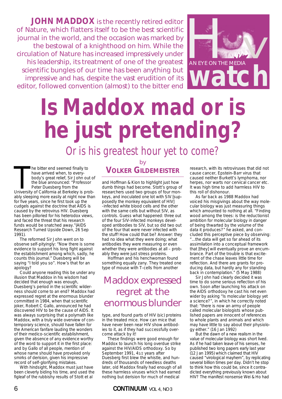**JOHN MADDOX** is the recently retired editor of *Nature*, which flatters itself to be the best scientific journal in the world, and the occasion was marked by the bestowal of a knighthood on him. While the circulation of *Nature* has increased impressively under his leadership, its treatment of one of the greatest scientific bungles of our time has been anything but impressive and has, despite the vast erudition of its editor, followed convention (almost) to the bitter end



# **Is Maddox mad or is he just pretending?**

Or is his greatest hour yet to come?

The bitter end seemed finally to<br>
have arrived when, to every-<br>
body's great relief, Sir John out of<br>
the blue announced: "Professor<br>
Peter Duesberg from the<br>
University of California at Berkeley is probhe bitter end seemed finally to have arrived when, to everybody's great relief, Sir John out of the blue announced: "Professor Peter Duesberg from the ably sleeping more easily at night now than for five years, since he first took up the cudgels against the doctrine that AIDS is caused by the retrovirus HIV. Duesberg has been pilloried for his heterodox views, and faced the threat that his research funds would be snatched away."(AIDS Research Turned Upside Down, 26 Sep 1991).

The reformed Sir John went on to observe self-pityingly: "Now there is some evidence to support his long fight against the establishment among which, sadly, he counts this journal." Duesberg will be saying "I told you so". How's that for an apology?

Could anyone reading this be under any illusion that Maddox in his wisdom had decided that enough was enough, Duesberg's period in the scientific wilderness should come to an end? Maddox had expressed regret at the enormous blunder committed in 1984, when that scientific joker, Robert C Gallo, announced he had discovered HIV to be the cause of AIDS. It was always surprising that a polymath like Maddox, with a truly wide overview of contemporary science, should have fallen for the American fanfare lauding the wonders of their medico-scientific establishment, given the absence of any evidence worthy of the word to support it in the first place: and by Gallo of all people, mention of whose name should have provoked only smirks of derision, given his impressive record of self-glorifying mistakes.

With hindsight, Maddox must just have been cleverly biding his time, and used the figleaf of the rubbishy results of Stott et al

#### by **VOLKER GILDEMEISTER**

and Hoffman & Kion to highlight just how dumb things had become. Stott's group of researchers used two groups of four monkeys, and inoculated one lot with SIV [supposedly the monkey equivalent of HIV] -infected white blood cells and the other with the same cells but without SIV, as controls. Guess what happened: three out of the four SIV-infected monkeys developed antibodies to SIV, but so did two out of the four that were never infected with the stuff! How could that be? Answer: they had no idea what they were doing; what antibodies they were measuring or even whether they were antibodies at all – probably they were just stress proteins.

Hoffman and his henchwoman found something equally zany. They treated one type of mouse with T-cells from another

### *Maddox expressed regret at the enormous blunder*

type, and found parts of HIV (sic) proteins in the treated mice. How can mice that have never been near HIV show antibodies to it, as if they had successfully overcome attack by it!

These findings were good enough for Maddox to launch his long overdue strike against the HIV/AIDS orthodoxy. So by September 1991, 41/2 years after Duesberg first blew the whistle, and hundreds of thousands of needless deaths later, old Maddox finally had enough of all these harmless viruses which had earned nothing but derision for much of medical

6 **CONTINUUM** VOL 4, NO 3

research, with its retroviruses that did not cause cancer, Epstein-Barr virus that caused neither Burkett's lymphoma, nor herpes, nor warts nor cervical cancer etc. It was high time to add harmless HIV to this roll of dishonour.

As far back as 1988 Maddox had voiced his misgivings about the way molecular biology was just measuring things which amounted to nothing at all. "Finding wood among the trees: is the reductionist ambition for molecular biology in danger of being thwarted by the volume of the data it produces?" he asked, and concluded this perceptive piece by observing: "...the data will get so far ahead of its assimilation into a conceptual framework that [they] will eventually prove an encumbrance. Part of the trouble is that excitement of the chase leaves little time for reflection. And there are grants for producing data, but hardly any for standing back in contemplation." (5 May 1988)

Sir John had clearly decided it was time to do some serious reflection of his own. Soon after launching his attack on the AIDS orthodoxy he cast his net even wider by asking "Is molecular biology yet a science?", in which he correctly noted that: "there is now an army of people called molecular biologists whose published papers are innocent of references to whole plants and animals and which may have little to say about their physiology either." (16 Jan 1992)

But the dawn of a new realism in the value of molecular biology was short lived. As if he had taken leave of his senses, he published two long papers early last year (12 Jan 1995) which claimed that HIV caused "virological mayhem", by replicating several billion times per day. Didn't he stop to think how this could be, since it contradicted everything previously known about HIV? The manifest nonsense Wei & Ho had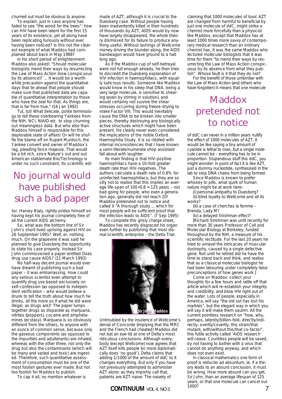churned out must be obvious to anyone.

To explain, just in case anyone has failed to see "the wood for the trees": how can HIV have been latent for the first 15 years of its existence, yet all along have been replicating furiously without ever having been noticed? Is this not the clearest example of what Maddox had complained about back in May 1988?

In his short period of enlightenment Maddox also asked: "Should molecular biologists mend their ways by resurrecting the Law of Mass Action (now conspicuous by its absence)? ... It would be a worthwhile precaution against the quantitative days that lie ahead that people should make sure that published data are capable of quantitative interpretation by those who have the zeal for that. As things are, that is far from true." (16 Jan 1992)

Tut, tut! What delicate, polite terminology to tell these overbearing Yankees from the NIH, NCI, NIAID etc. to stop churning out meaningless data. But who else than Maddox himself is responsible for this deplorable state of affairs! Or will he shuffle the blame off on Rupert Murdoch, the Yankee convert and owner of Maddox's rag, pleading force majeure. That would be a bit rich, since Nature's out and out American stablemate Bio/Technology is under no such constraint. Its scientific edi-

## *No journal would have published such a bad paper*

tor, Harvey Bialy, rightly prides himself on having kept his journal completely free of all the current AIDS alchemy.

So, what was the bottom line of Sir John's short-lived uprising against HIV on 26 September 1991? Well, er, nothing much. On the grapevine it was said he planned to give Duesberg the opportunity to state his case properly. Instead Sir John commissioned a paper entitled Does drug use cause AIDS? (11 March 1993)

No half-way decent journal would ever have dreamt of publishing such a bad paper – it was embarrassing. How could any serious scientist even attempt to quantify drug use based exclusively on self-confession (as opposed to independent verification – who would believe a drunk to tell the truth about how much he drinks, all the more so if what he did were illegal, as drugs are)? The paper lumps together drugs as disparate as marijuana, nitrites (poppers), cocaine and amphetamines (ecstasy). Marijuana is so obviously different from the others, to anyone with an ounce of common sense, because only the gaseous components (as opposed to the impurities and adulterants) are inhaled, whereas with the other three, not only the drug but also the contaminants (which will be many and varied and toxic) are ingested. Therefore, such quantitative assessment of consumption must be one of the most foolish gestures ever made. But not too foolish for Maddox to publish.

To cap it all, no mention whatever is

made of AZT, although it is crucial to the Duesberg case. Without people having been inadvertently killed in their hundreds of thousands by AZT, AIDS would by now have largely disappeared, the whole theory dismissed for its failure to produce anything useful. Without lashings of Wellcome money driving the blunder along, the AIDS bandwagon would have ground to a halt long ago.

As if the Maddox cup of self-betrayal were not full enough already, he then tries to discredit the Duesberg explanation of HIV infection in haemophiliacs, with equally ludicrous results. Someone like Maddox would know in his sleep that DNA, being a very large molecule, is sensitive to shearing (even by stirring in solution), and would certainly not survive the shear stresses occurring during freeze-drying to make Factor VIII. This would inevitably cause the DNA to be broken into smaller pieces, thereby destroying any biologically active structures which might have been present. He clearly never even considered the implications of the risible Oxford Haemophilia Study. It is so riddled with internal inconsistencies that I have known a semi-literate/numerate shop assistant fall about with laughter.

Its main finding is that HIV-positive haemophiliacs have a 10-fold greater death rate than HIV-negatives. The authors calculate a death rate of 0.8% for uninfected haemophiliacs; but they are so silly not to realise that this implies an average life-span of  $100 \div 0.8 = 125$  years – not bad going for people, who even a generation ago, generally did not reach 20! Maddox pretended not to notice and called it "A thorough study ... which for most people will be sufficient proof that the infection leads to AIDS". (7 Sep 1995)

To complete this grisly charge sheet, Maddox has recently disgraced his organ even further by publishing that most dismal scientific enterprise – the Delta Trial.



Untroubled by the insolence of Wellcome's denial of Concorde (implying that the MRC and the French had cheated) Maddox did not bat an eye-lid at one of Delta's most ridiculous conclusions. Although everybody (except Wellcome) now agrees that AZT itself kills people (or more diplomatically does 'no good'), Delta claims that adding 1/1000 of the amount of ddC to it changes everything. But only if you have not previously attempted to administer AZT alone: as they impishly call that, patients are AZT-naive. The naivety of

#### **CONTINUUM** VOL 4, NO 3

claiming that 1000 molecules of toxic AZT are changed from harmful to beneficial by just one molecule of ddC, might strike a chemist more forcefully than a physicist like Maddox, except that Maddox has at least 1000 times more savvy of contemporary medical research than an ordinary chemist has. It was the same Maddox who lectured molecular biologists that it was time for them "to mend their ways by resurrecting the Law of Mass Action conspicuous by its absence from what they publish". Whose fault is it that they do not?

For the benefit of those unfamiliar with the Law of Mass Action (and others who have forgotten) it means that one molecule

## *Maddox pretended not to notice*

of ddC can never in a million years nullify the effect of 1000 molecules of AZT. It would be like saying a tiny amount of cyanide is lethal to man, but a single molecule cannot be – everything has to be in proportion. Stupendous stuff this ddC, you might wonder: in point of fact it is like AZT, just a dummy nucleotide, synthesised in the lab to stop DNA chains from being formed.

Since Maddox is known to prefer whiskey to pills, what quirk of human nature might be at work here–

(i) personal antipathy to Duesberg? (ii) blind loyalty to Wellcome and all its works?

(iii) a case of cherchez la femme – Brenda, Lady M?

(iv) a delayed Strohman effect?

[Richard Strohman was until recently for more than 30 years Professor of Cell and Molecular Biology at Berkeley, funded throughout by the NIH, a measure of his scientific rectitude. For the last 20 years he tried to unravel the intricacies of muscular dystrophy, caused by a single defective gene. Not until he retired did he have the time to stand back and think, and realise that as a classical molecular biologist he had been labouring under completely false preconceptions of how genes work.]

Come on Maddox: collect your thoughts for a few hours and rattle off that article which will re-establish your integrity and credibility, and blow HIV right out of the water. Lots of people, especially in America, will say "the old sot has lost his marbles", but the elegant way in which you will say it will make them squirm. All the current pointless research on "how, why, perhaps, latently/billion-fold, directly/indirectly, overtly/covertly, this strain/that mutant, with/without this/that co-factor", this futile activity called 'AIDS research' will cease. Countless people will be saved, by not having to bother with a virus that cannot do anything anyway, and which does not even exist.

In classical mathematics one form of proof is reductio ad absurdum, ie. if a theory leads to an absurd conclusion, it must be wrong. How more absurd can you get, Sir John, than an average lifespan of 125 years, or that one molecule can cancel out 1000?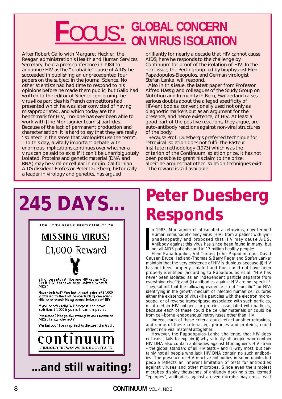# $\textrm{\textbf{F}OCUS:}$  GLOBAL CONCERN ON VIRUS ISOLATION

After Robert Gallo with Margaret Heckler, the Reagan administration's Health and Human Services Secretary, held a press conference in 1984 to announce HIV as the "probable" cause of AIDS, he succeeded in publishing an unprecedented four papers on the subject in the journal *Science*. No other scientists had had time to respond to his opinions before he made them public; but Gallo had written to the editor of *Science* concerning the virus-like particles his French competitors had presented which he was later convicted of having misappropriated, and which today are the benchmark for HIV, "no-one has ever been able to work with [the Montagnier team's] particles. Because of the lack of permanent production and characterisation, it is hard to say that they are really 'isolated' in the sense that virologists use the term".

To this day, a vitally important debate with enormous implications continues over whether a virus can be said to exist if it can't be unambiguously isolated. Proteins and genetic material (DNA and RNA) may be viral or cellular in origin. Californian AIDS dissident Professor Peter Duesberg, historically a leader in virology and genetics, has argued

brilliantly for nearly a decade that HIV cannot cause AIDS; here he responds to the challenge by *Continuum* for proof of the isolation of HIV. In the next issue, the Perth group led by biophysicist Eleni Papadopulos-Eleopulos, and German virologist Stefan Lanka, will respond.

Also in this issue, the latest paper from Professor Alfred Hässig and colleagues of the Study Group on Nutrition and Immunity in Bern, Switzerland raises serious doubts about the alleged specificity of HIV-antibodies, conventionally used not only as diagnostic markers but as an argument for the presence, and hence existence, of HIV. At least a good part of the positive reactions, they argue, are auto-antibody reactions against non-viral structures of the body.

Because Prof. Duesberg's preferred technique for retroviral isolation does not fulfil the Pasteur Institute methodology (1973) which was the criterion of the *Continuum* isolation prize, it has not been possible to grant his claim to the prize, albeit he argues that other isolation techniques exist. The reward is still available.

**245 DAYS...**  The Jody Wells Memorial Prize **MISSING VIRUS!** £1,000 Reward Blind romantics still believe HIV causes AIDS. But if "HIV" has never been isolated, what is<br>AIDS? Never isolated? You bet! A cash prize of £1,000<br>is offered to the first person finding one scientific paper establishing actual isolation of HIV. If you or a firiendly "AIDS expert" can prove<br>isolation, £1,000 is yours. In cash. In public. Interested? Pledge the money to your favourite AIDS charity, why not? We bet you'll be surprised to discover the truth. continuu CHANGING THE WAY WE THINK ABOUT AIDS **...and still waiting!**

# **Peter Duesberg Responds**

I n 1983, Montagnier et al isolated a retrovirus, now termed Human immunodeficiency virus (HIV), from a patient with lymphadenopathy and proposed that HIV may cause AIDS. Antibody against this virus has since been found in many, but not all AIDS patients<sup>1</sup> and in 17 million healthy people<sup>2</sup>.

Eleni Papadopulos, Val Turner, John Papadimitriou, David Causer, Bruce Hedland-Thomas & Barry Page<sup>3</sup> and Stefan Lanka<sup>4</sup> maintain that the very existence of HIV is dubious because (i) HIV has not been properly isolated and thus could not have been properly identified (according to Papadopulos et al: "HIV has never been isolated as an independent particle separate from everything else"<sup>3</sup>); and (ii) antibodies against HIV are not specific<sup>5</sup>. They submit that the following evidence is not "specific" for HIV: identifying in the growth medium of infected human cell cultures either the existence of virus-like particles with the electron microscope, or of reverse transcriptase associated with such particles, or of certain HIV antigens or proteins associated with particles, because each of these could be cellular materials or could be from cell-borne (endogenous) retroviruses other than HIV.

Indeed, each of these criteria could reflect another retrovirus, and some of these criteria, eg. particles and proteins, could reflect non-viral material altogether.

However, the Papadopulos-Lanka challenge, that HIV does not exist, fails to explain (i) why virtually all people who contain HIV DNA also contain antibodies against Montagnier's HIV strain – the global standard of all HIV tests – and (ii) why most, but certainly not all people who lack HIV DNA contain no such antibodies. The presence of HIV-reactive antibodies in some uninfected people reflects an inherent limitation of tests for antibodies against viruses and other microbes. Since even the simplest microbes display thousands of antibody docking sites, termed "epitopes", antibodies against a given microbe may cross react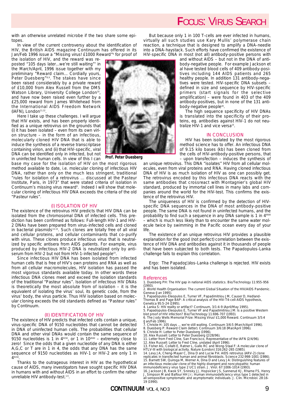## **F**OCUS: VIRUS SEARCH

with an otherwise unrelated microbe if the two share some epitopes.

In view of the current controversy about the identification of HIV, the British AIDS magazine Continuum has offered in its Jan/Feb 1996 issue a "Missing virus! £1000 Reward"<sup>6</sup> for proof of

the isolation of HIV, and the reward was reposted "105 days later...we're still waiting"7 in the March/April, 1996 issue together with my preliminary "Reward claim... Cordially yours, Peter Duesberg"<sup>8,9</sup>. The stakes have since been raised considerably by a private reward of £10,000 from Alex Russell from the DMS Watson Library, University College London<sup>10</sup>, and have now been raised even further by a £25,000 reward from James Whitehead from the International AIDS Freedom Network (IAFN), London<sup>11,12</sup>

Here I take up these challenges. I will argue that HIV exists, and has been properly identified as a unique retrovirus on the grounds that (i) it has been isolated – even from its own virion structure – in the form of an infectious, molecularly cloned HIV DNA that is able to induce the synthesis of a reverse transcriptase containing virion, and (ii) that HIV-specific, viral DNA can be identified only in infected, but not in uninfected human cells. In view of this I can

base my case for the isolation of HIV on the most rigorous method available to date, i.e. molecular cloning of infectious HIV DNA, rather than only on the much less stringent, traditional "rules for isolation of a retrovirus ... discussed at the Pasteur Institute, Paris, in 1973" that were stated criteria of isolation in Continuum's missing virus reward<sup>6</sup>. Indeed I will show that molecular cloning of infectious HIV DNA exceeds the criteria of the old "Pasteur rules".

#### (I) ISOLATION OF HIV

The existence of the retrovirus HIV predicts that HIV DNA can be isolated from the chromosomal DNA of infected cells. This prediction has been confirmed as follows: Full-length HIV-1 and HIV-2 DNAs have been prepared from virus-infected cells and cloned in bacterial plasmids<sup>13-15</sup>. Such clones are totally free of all viral and cellular proteins, and cellular contaminants that co-purify with virus. These clones produce infectious virus that is neutralized by specific antisera from AIDS patients. For example, virus produced by infectious HIV-2 DNA is neutralized only by antiserum from HIV-2 but not from HIV-1-infected people<sup>15</sup>.

Since infectious HIV DNA has been isolated from infected human cells that is free of HIV's own proteins and RNA as well as from all cellular macromolecules, HIV isolation has passed the most vigorous standards available today. In other words these infectious DNA clones meet and exceed the isolation standards of the traditional "Pasteur rules". Isolation of infectious HIV DNAs is theoretically the most absolute from of isolation – it is the equivalent of isolating the virus' soul, its genetic code, from the virus' body, the virus particle. Thus HIV isolation based on molecular cloning exceeds the old standards defined as "Pasteur rules" by Continuum.

#### (II) IDENTIFICATION OF HIV

The existence of HIV predicts that infected cells contain a unique, virus-specific DNA of 9150 nucleotides that cannot be detected in DNA of uninfected human cells. The probabilities that cellular DNA and other viral DNAs would contain the same sequence of 9150 nucleotides is 1 in  $4^{9150}$ , or 1 in  $10^{4500}$  – extremely close to zero! Since the odds that a given nucleotide of any DNA is either A,G,C or T are in 1 in 4, the odds that any DNA has the same sequence of 9150 nucleotides as HIV-1 or HIV-2 are only 1 in 49150.

Thanks to the outrageous interest in HIV as the hypothetical cause of AIDS, many investigators have sought specific HIV DNA in humans with and without AIDS in an effort to confirm the rather unreliable HIV antibody-test.<sup>1,5</sup>.



*Prof. Peter Duesberg*

But because only 1 in 100 T-cells are ever infected in humans, virtually all such studies use Kary Mullis' polymerase chain reaction, a technique that is designed to amplify a DNA-needle into a DNA-haystack. Such efforts have confirmed the existence of HIV-specific DNA in most (not all) antibody-positive persons with

and without AIDS – but not in the DNA of antibody-negative people. For example Jackson et al have tested blood cells of 409 antibody-positives including 144 AIDS patients and 265 healthy people. In addition 131 antibody-negatives were tested. HIV-specific DNA subsets – defined in size and sequence by HIV-specific primers (start signals for the selective amplification) – were found in 403 of the 409 antibody-positives, but in none of the 131 antibody-negative people<sup>16</sup>.

The high sequence specificity of HIV DNAs is translated into the specificity of their proteins, eg. antibodies against HIV-1 do not neutralize HIV-1 and vice versa<sup>15</sup>.

#### IN CONCLUSION

HIV has been isolated by the most rigorous method science has to offer. An infectious DNA of 9.15 kilo bases (kb) has been cloned from the cells of HIV-antibody-positive persons, that – upon transfection – induces the synthesis of

an unique retrovirus. This DNA "isolates" HIV from all cellular molecules, even from viral proteins and RNA. Having cloned infectious DNA of HIV is as much isolation of HIV as one can possibly get. The retrovirus encoded by this infectious DNA reacts with the same antibodies that crossreact with Montagnier's global HIV standard, produced by immortal cell lines in many labs and companies around the world for the HIV-test. This confirms the existence of the retrovirus HIV.

The uniqueness of HIV is confirmed by the detection of HIVspecific DNA sequences in the DNA of most antibody-positive people. The same DNA is not found in uninfected humans, and the probability to find such a sequence in any DNA sample is 1 in 4<sup>9500</sup> – which is much less likely than to encounter the same water molecule twice by swimming in the Pacific ocean every day of your life.

The existence of an unique retrovirus HIV provides a plausible explanation for the good (not perfect) correlation between the existence of HIV DNA and antibodies against it in thousands of people that have been subjected to both tests. The Papadopulos-Lanka challenge fails to explain this correlation.

Ergo: The Papadopulos-Lanka challenge is rejected. HIV exists **c**and has been isolated.

#### **References**

1. Duesberg PH: The HIV gap in national AIDS statistics. Bio/Technology 11:955-956 (1993). 2. World Health Organisation: The current Global Situation of the HIV/AIDS Pandemic.

Geneva (Jan 1995).

3. Papadopulos-Eleopulos E, Turner VF, Papadimitriou JM, Causer D, Hedland-Thomas B and Page BAP: A critical analysis of the HIV-T4-cell-AIDS hypothesis, Genetica 95:5-24 (1995).

4. Lanka S: HIV reality or artifact? Continuum, 3/1:4-9 (April/May 1995). 5. Papadopulos-Eleopulos E, Turner VF and Papadimitriou JM: Is a positive Western blot proof of HIV infection? Bio/Technology 11:696-707 (1993).

6. The Jody Wells Memorial Prize: Missing Virus! £1,000 Reward. Continuum 3/5:4 (Jan/Feb 1996). 7. Christie H: 105 days ... we're still waiting. Continuum 3/6:5 (March/April 1996).

- 8. Duesberg P: Reward Claim (letter). Continuum 3/6:18 (Mar/April 1996). 9. Christie H: Letter to Peter Duesberg (1996). 10. Alex Russell: Letter to Peter Duesberg (2/28/96).
- 
- 11. Letter from Fred Cline, San Francisco, Representative of the IAFN (2/4/96).
- 

12. Alex Russell: Letter to Fred Cline, undated (April 1996).<br>13. Fisher AG, Collalti E, Ratner L, Gallo RC and Wong-Staal F: A molecular clone of<br>HTLV-III with biological activity. Nature (London) 316:262-265 (1985).<br>14.

15. Barnett SW, Quiroga M, Werner A, Dina D and Levy JA: Distinguishing features of

an infectious molecular clone of the highly divergent and noncytopathic human<br>immunodeficiency virus type 2 UC1 strain. J. Virol. 67:1006-1014 (1993).<br>16. Jackson JB, Kwok SY, Sninsky JJ, Hopsicker JS, Sannerud KJ, Rhame F 19 (1990).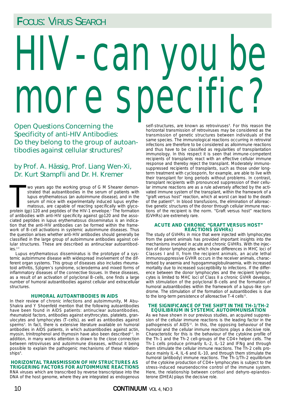## **F**OCUS: VIRUS SEARCH

# HIV-can you be more specific?

Open Questions Concerning the Specificity of anti-HIV Antibodies: Do they belong to the group of autoantibodies against cellular structures?

#### by Prof. A. Hässig, Prof. Liang Wen-Xi, Dr. Kurt Stampfli and Dr. H. Kremer

Wo years ago the working group of G M Shearer demonstrated that autoantibodies in the serum of patients with lupus erythematosus (an autoimmune disease), and in the serum of mice with experimentally induced lupus erythemat wo years ago the working group of G M Shearer demonstrated that autoantibodies in the serum of patients with lupus erythematosus (an autoimmune disease), and in the serum of mice with experimentally induced lupus erythematosus, are capable of reacting specifically with glycoof antibodies with anti-HIV specificity against gp120 and the associated peptides in lupus erythematosus disseminatus is an indication that the anti-HIV antibodies can be formed within the framework of B-cell activations in systemic autoimmune diseases. Thus the question arises whether anti-HIV antibodies should generally be classified in the large group of autoimmune antibodies against cellular structures. These are described as antinuclear autoantibodies.<sup>2,3</sup>

Lupus erythematosus disseminatus is the prototype of a systemic autoimmune disease with widespread involvement of the different organ systems. This group of diseases also includes rheumatoid arthritis, Sjögren's syndrome, scleroderma and mixed forms of inflammatory diseases of the connective tissues. In these diseases, as a result of an activation of polyclonal B-cells, one finds a large number of humoral autoantibodies against cellular and extracellular structures.

#### **HUMORAL AUTOANTIBODIES IN AIDS**

In their review of chronic infections and autoimmunity, M Abu-Shakra and Y Shoenfeld mention that the following autoantibodies have been found in AIDS patients: antinuclear autoantibodies, rheumatoid factors, antibodies against erythrocytes, platelets, granulocytes and lymphocytes (T-cells), as well as antibodies against sperms<sup>4</sup>. In fact, there is extensive literature available on humoral antibodies in AIDS patients, in which autoantibodies against actin, myosin, trinitrophenol and thymosin have also been described<sup>5-7</sup>. In addition, in many works attention is drawn to the close connection between retroviruses and autoimmune diseases, without it being possible to explain the pathogenic mechanisms of these relation- $\mathsf{ships}^8$ .

**HORIZONTAL TRANSMISSION OF HIV STRUCTURES AS TRIGGERING FACTORS FOR AUTOIMMUNE REACTIONS** RNA viruses which are transcribed by reverse transcriptase into the DNA of the host genome, where they are integrated as endogenous

self-structures, are known as retroviruses<sup>9</sup>. For this reason the horizontal transmission of retroviruses may be considered as the transmission of genetic structures between individuals of the same species. The immunological reactions occurring in retroviral infections are therefore to be considered as alloimmune reactions and thus have to be classified as regularities of transplantation immunology. In this respect it is seen that immune-competent recipients of transplants react with an effective cellular immune response and thereby reject the transplant. Moderately immunosuppressed recipients of transplants, such as those under longterm treatment with cyclosporin, for example, are able to live with their transplant for long periods without problems. In contrast, transplant recipients with pronounced suppression of their cellular immune reactions are as a rule adversely affected by the activated immune system of the transplant, within the framework of a "graft versus host" reaction, which at worst can lead to the death of the patient<sup>10</sup>. In blood transfusions, the elimination of alloreactive genetic structures of the donor through cellular immune reactions of the recipient is the norm. "Graft versus host" reactions (GVHRs) are extremely rare.

#### **ACUTE AND CHRONIC "GRAFT VERSUS HOST" REACTIONS (GVHRs)**

The study of GVHRs in mice that were injected with lymphocytes from the parent animals has provided important insights into the mechanisms involved in acute and chronic GVHRs. With the injection of donor lymphocytes which show differences in MHC loci of Classes I and II, from the recipient animals, an acute lethal immunosuppressive GVHR occurs in the receiver animals, characterised by anaemia and hypogammaglobulinaemia, with increased mortality due to increased susceptibility to infections. If the difference between the donor lymphocytes and the recipient lymphocytes is limited to MHC loci of Class II a chronic GVHR develops, with stimulation of the polyclonal B-cells and the formation of humoral autoantibodies within the framework of a lupus-like syndrome. The stimulation of the formation of autoantibodies is due to the long-term persistence of alloreactive T-4 cells<sup>11</sup>.

#### **THE SIGNIFICANCE OF THE SHIFT IN THE TH-1/TH-2 EQUILIBRIUM IN SYSTEMIC AUTOIMMUNISATION**

As we have shown in our previous studies, an acquired suppression of the cellular immune reactions is the leading factor in the pathogenesis of AIDS<sup>12</sup>. In this, the opposing behaviour of the humoral and the cellular immune reactions plays a decisive role. Characteristic for this is the behaviour of the cytokine profile of the Th-1 and the Th-2 cell-groups of the CD4+ helper cells. The Th-1 cells produce primarily IL-2, IL-12 and IFNg and through them stimulate the cellular immune reactions. The Th-2 cells produce mainly IL-4, IL-6 and IL-10, and through them stimulate the humoral (antibody) immune reactions. The Th-1/Th-2 equilibrium of the cytokine production of CD4+ lymphocytes is subject to the stress-induced neuroendocrine control of the immune system. Here, the relationship between cortisol and dehyro-epiandosterone (DHEA) plays the decisive role.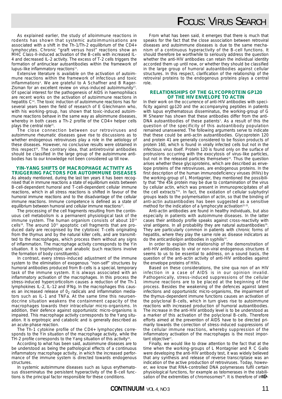As explained earlier, the study of alloimmune reactions in rodents has shown that systemic autoimmunisations are associated with a shift in the Th-1/Th-2 equilibrium of the CD4+ lymphocytes. Chronic "graft versus host" reactions show an MHC Class-II-induced activation of the B-cells with increased IL-4 and decreased IL-2 activity. The excess of T-2 cells triggers the formation of antinuclear autoantibodies within the framework of lupus-like inflammatory reactions<sup>11</sup>

Extensive literature is available on the activation of autoimmune reactions within the framework of infectious and toxic inflammations4 . We are grateful to A Schaffner and B Rager-Zisman for an excellent review on virus-induced autoimmunity<sup>13</sup>. Of special interest for the pathogenesis of AIDS in haemophiliacs are recent works on the activation of autoimmune reactions in hepatitis C14. The toxic induction of autoimmune reactions has for several years been the field of research of E Gleichmann who, with his working-group, has shown that toxic-induced autoimmune reactions behave in the same way as alloimmune diseases, whereby in both cases a Th-2 profile of the CD4+ helper cells plays the central role<sup>15</sup>.

The close connection between our retroviruses and autoimmune rheumatic diseases gave rise to discussions as to whether endogenous retroviruses play a role in the aetiology of these diseases. However, no conclusive results were obtained in this respect<sup>16</sup>. The contrary idea, that antiretroviral antibodies should be classified in the large group of the autoimmune antibodies has to our knowledge not been considered up till now.

#### **YIN-YANG SHIFTS OF MACROPHAGE ACTIVITY AS TRIGGERING FACTORS FOR AUTOIMMUNE DISEASES**

As already mentioned, during the last ten years it has been recognised that in immune reactions a state of equilibrium exists between B-cell-dependent humoral and T-cell-dependent cellular immune reactions, which in all stress reactions is shifted in favour of the humoral immune reactions and to the disadvantage of the cellular immune reactions. Immune competence is defined as a state of equilibrium between humoral and cellular immune reactions<sup>17</sup>

The processing of the cell fragments resulting from the continuous cell metabolism is a permanent physiological task of the immune system. The human organism consists of about 1014 cells<sup>18</sup>. The around 10<sup>12</sup> apoptotic cell fragments that are produced daily are recognised by the cytotoxic T-cells originating from the thymus and by the natural killer cells, and are transmitted to the macrophages, which process them without any signs of inflammation. The macrophage activity corresponds to the Yin situation. It is trophotropic and anabolic (such reactions involve the formation of body constituents).

In contrast, every stress-induced adjustment of the immune system to the elimination of exogenous "non-self" structures by humoral antibodies produced from B-cells is a special, temporary task of the immune system. It is always associated with an inflammatory activation of the macrophages. In this process the stress-induced hypercorticolism causes a reduction of the Th-1 lymphokines IL-2, IL-12 and IFNg. In the macrophages this causes an increased release of  $0<sub>2</sub>$  radicals and inflammation mediators such as IL-1 and TNFa. At the same time this neuroendocrine situation weakens the containment capacity of the macrophages towards their intracellular micro-organisms. In addition, their defence against opportunistic micro-organisms is impaired. This macrophage activity corresponds to the Yang situation. It is ergotropic and catabolic and is generally described as an acute-phase reaction.

The Th-1 cytokine profile of the CD4+ lymphocytes corresponds to the Yin situation of the macrophage activity, while the TH-2 profile corresponds to the Yang situation of this activity<sup>19</sup>.

According to what has been said, autoimmune diseases are to be understood as being the pathological effects of a continuous inflammatory macrophage activity, in which the increased performance of the immune system is directed towards endogenous structures.

In systemic autoimmune diseases such as lupus erythematosus disseminatus the persistent hyperactivity of the B-cell functions is the principal factor responsible for these conditions.

## **F**OCUS: VIRUS SEARCH

From what has been said, it emerges that there is much that speaks for the fact that the close association between retroviral diseases and autoimmune diseases is due to the same mechanism of a continuous hyperactivity of the B-cell functions. It should therefore be worthwhile to seriously address the question whether the anti-HIV antibodies can retain the individual identity accorded them up until now, or whether they should be classified in the large group of humoral autoantibodies against cellular structures. In this respect, clarification of the relationship of the retroviral proteins to the endogenous proteins plays a central role.

#### **RELATIONSHIPS OF THE GLYCOPROTEIN GP120 OF THE HIV ENVELOPE TO ACTIN**

In their work on the occurrence of anti-HIV antibodies with specificity against gp120 and the accompanying peptides in patients with lupus erythematosus disseminatus, the working-group of G M Shearer has shown that these antibodies differ from the anti-DNA autoantibodies of these patients<sup>1</sup>. As a result of this the question of the specificity of this autoantibody population remained unanswered. The following arguments serve to indicate that these could be anti-actin autoantibodies. Glycoprotein 120 and protein 41 are generally considered to be fission products of protein 160, which is found in virally infected cells but not in the infectious virus itself. Protein 120 is found only on the surface of protrusions occurring with the exocytosis of virus-like particles, but not in the released particles themselves<sup>20</sup>. Thus the question arises whether these glycoproteins, which are described as envelope proteins of the retroviruses, are endogenous proteins. In the first description of the human immunodeficiency viruses (HIVs) by the working-group of L Montagnier, they mentioned the possibility that "the 45k protein may be due to contamination of the virus by cellular actin, which was present in immunoprecipitates of all the cell extracts"21. In fact, the oxidation of cellular sulphydryl groups leads to the polymerisation of actin, so that the binding of anti-actin autoantibodies has been suggested as a sensitive method for the indication of a lymphocyte activation<sup>22-25</sup>.

Anti-actin antibodies are found in healthy individuals, but also especially in patients with autoimmune diseases. In the latter cases their antibody profile speaks against cross-reactivity with viral antigens. In all probability they are natural autoantibodies<sup>26</sup>. They are particularly common in patients with chronic forms of hepatitis, where they play the same role as disease indicators as do the anticardiolipin antibodies in syphilis<sup>14</sup>

In order to explain the relationship of the demonstration of anti-HIV antibodies to viral or non-viral endogenous structures it seems to us to be essential to address, on a sound basis, the question of the anti-actin activity of anti-HIV antibodies against the envelope proteins of HIVs.

Based on these considerations, the sine qua non of an HIV infection in a case of AIDS is in our opinion invalid. Pathogenically, stress-induced suppressions of the cellular immune reactions are to be placed at the beginning of the process. Besides the weakening of the defences against latent infections and opportunistic micro-organisms, the impairment of the thymus-dependent immune functions causes an activation of the polyclonal B-cells, which in turn gives rise to autoimmune reactions with increased production of humoral autoantibodies. The increase in the anti-HIV antibody level is to be understood as a marker of this activation of the polyclonal B-cells. Therefore efforts aimed at the prevention of AIDS have to be directed primarily towards the correction of stress-induced suppressions of the cellular immune reactions, whereby suppression of the inflammatory activation of the macrophages is the most important objective<sup>27</sup>

Finally, we would like to draw attention to the fact that at the time when the working-groups of L Montagnier and R C Gallo were developing the anti-HIV antibody test, it was widely believed that any synthesis and release of reverse transcriptase was an indication of the active production of retroviruses. Today, however, we know that RNA-controlled DNA polymerases fulfil certain physiological functions, for example as telomerases in the stabilipriysiological functions, for example as telemerases in the stagin-<br>sation of the extremities of chromosomes<sup>28</sup>. It is therefore of inter-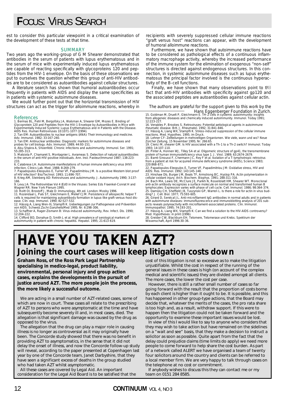## **F**OCUS: VIRUS SEARCH

est to consider this particular viewpoint in a critical examination of the development of these tests at that time.

#### **SUMMARY**

Two years ago the working-group of G M Shearer demonstrated that antibodies in the serum of patients with lupus erythematosus and in the serum of mice with experimentally induced lupus erythematosus are capable of reacting specifically with glycoproteins 120 and peptides from the HIV-1 envelope. On the basis of these observations we put to ourselves the question whether this group of anti-HIV antibodies are to be considered as autoantibodies against cellular structures.

A literature search has shown that humoral autoantibodies occur frequently in patients with AIDS and display the same specificities as in patients with systemic autoimmune diseases.

We would further point out that the horizontal transmission of HIV structures can act as the trigger for alloimmune reactions, whereby in

#### References

1. Bermas BL, Petri M, Bergofsky JA, Walsman A, Shearer GM, Mozes E. Binding of<br>Glycoprotein 120 and Peptides from the HIV-1 Envelope by Autoantibodies in Mice with<br>Experimentally Induced Systemic Lupus Erythematosus and i

AIDS Res. Human Retroviruses 10:1071-1077 (1994). 2. Tan EM: Autoantibodies to nuclear antigens (ANA): Their immunology and medicine.

Adv. Immunol. 1982; 33:167-240.<br>3. Tan EM: Antinuclear antibodies: Diagnostic markers for autoimmune diseases and<br>probes for cell biology. Adv. Immunol. 1989; 44:93-151.<br>4. Abu-Shakra A, Shoenfeld. Chronic infections and a

55:285-313.

5. Matsiota P, Chamaret S, Montagnier L. Avrameas S. Detection of natural autoantibodies in the serum of anti-HIV-positive individuals. Ann. Inst. Pasteur/Immunol 1987; 138:223- 233.

6. Calabrese LH. Autoimmune manifestations of human immune deficiency virus (HIV)

infection. Clinics Lab. Med. 1988; 8:269-279.<br>7. Papadopulos-Eleopulos E, Turner VF, Papadimitriou JM. Is a positive Western blot proof<br>of HIV infection? Bio/Technol. 1993; 11:696-707.

8. Krieg AM, Steinberg AD: Retroviruses and autoimmunity. J. Autoimmunity 1990; 3:137- 166.

9. Levy JA: The Retroviridae Vol 4 (Ed0 in the Viruses: Series Eds Fraenkel-Conrat H and Wagner RR. New York Plenum 1995.

10. Roitt OI, Brostoff J, Male D: Immunology, 4th ed. London: Mosby 1996. 11. Rozendaal L, Pals ST, Gleichmann E, Melief CJM. Persistence of allospecific helper T cells is required for maintaining autoantibody formation in lupus-like graft-versus-host dis-ease. Clin. exp. Immunol. 1990; 82:527-532.

12. Hässig A, Liang Wen-Xi, Stampfli K. Ueberlegungen zur Pathogenese und Prävention von AIDS. Schweiz.Zschr.GanzheitsMed 1995; Nr. 6:298-306.

13. Schaffner A, Rager-Zismann B: Virus-induced autoimmunity, Rev. Infect. Dis. 1990; 12:204-222.

14. Clifford BD, Donahue D, Smith L et al. High prevalence of serological markers of autoimmunity in patient with chronic hepatitis. Hepatol. 1995; 21:613-619.

recipients with severely suppressed cellular immune reactions "graft versus host" reactions can appear, with the development of humoral alloimmune reactions.

Furthermore, we have shown that autoimmune reactions have to be considered as pathological effects of a continuous inflammatory macrophage activity, whereby the increased performance of the immune system for the elimination of exogenous "non-self" structures is directed against endogenous structures. In this connection, in systemic autoimmune diseases such as lupus erythematosus the principal factor involved is the continuous hyperactivity of the B-cell functions.

Finally, we have shown that many observations point to the fact that anti-HIV antibodies with specificity against gp120 and the associated peptides are autoantibodies against cellular actin.

*The authors are grateful for the support given to this work by the*

*Hans Eggenberger Foundation in Zurich.*<br>15. Goldman M, Druelt P, Gleichmann E. TH-2 cells in systemic autoimmunity: insights<br>from allogeneic diseases and chemically induced autoimmunity. Immunol. Today 1991; 12:223-227.

16. Venables P, Brookes S. Retroviruses: Potential aetiological agents in autoimmune<br>
rheumatic disease. Brit. J. Rheumatol. 1992: 31:841-846.

rheumatic disease. Brit. J. Rheumatol. 1992; 31:841-846.<br>17. Hässig A, Liang WX, Stampfli K. Stress-induced suppression of the cellular immune<br>reactions. Med. Hypothes. 1995; im Druck.<br>18. Lehner CF: Zellteilungen in mehrz

20. Pinter A, Honnen WJ, Tilley SA et al. Oligomeric structure of gp41, the transmembrane<br>protein of human immunodeficiency virus type 1. J. Virol. 1989; 63:2674-2679.<br>21. Barré-Sinoussi F, Chermann JC, Rey F et al. Isolat

220:868-871.

22. Papadopulos-Eleopulos E, Turner VF, Papadimitriou JM: Oxidative stress, HIV and Expression and the state of the state of the state of the SAIDS: Res. Immunol. 1992; 143:145-148.<br>23. Hinshaw Db, Burger JM, Beals TF, Armstrong BC, Hyslop PA. Actin polymerization in

23. Hinshaw Db, Burger JM, Beals TF, Armstrong BC, Hyslop PA. Actin polymerization in<br>cellular oxidant injury. Arch. Biochem. Biophys. 1991; 288:311-316.<br>24. Bach MA, Lewis DE, McClure JE, Parikh N, Rosenblatt HM, Shearer

jects reveals polyreactivity with microfilament-associated proteins. Clin. Immunol. Immunopathol. 1995; 74:193-201.

27. Hässig A, Liang WX, Stampfli K: Can we find a solution to the HIV-AIDS controversy? Med. Hypotheses: in print (1996).

28. Greider CW, Blackburn EH. Telomere, Telomerase und Krebs. Spektrum der Wissenschaft, April 1996:30-36.

## **HAVE YOU TAKEN AZT? Joining the court cases will keep litigation costs down**

**Graham Ross, of the Ross Park Legal Partnership specialising in medico-legal, product liability, environmental, personal injury and group action cases, explains the developments in the pursuit of justice around AZT. The more people join the process, the more likely a successful outcome.**

We are acting in a small number of AZT-related cases, some of which are now in court. These cases all relate to the prescribing of AZT to persons who were asymptomatic at the time and have subsequently become severely ill and, in most cases, died. The allegation is that significant damage was caused by the drug as opposed to the virus.

The allegation that the drug can play a major role in causing illness is no longer as controversial as it may originally have been. The Concorde study showed that there was no benefit in providing AZT to asymptomatics, in the sense that it did not delay the onset of illness, and now the Concorde follow-up study will reveal, according to the paper presented at Copenhagen last year by one of the Concorde team, Janet Darbyshire, that they have seen a significant excess of deaths in the group studied who had taken AZT whilst asymptomatic.

All these cases are covered by Legal Aid. An important consideration for the Legal Aid Board is to be satisfied that the cost of this litigation is not so excessive as to make the litigation unjustifiable. Whilst the cost in respect of the running of the general issues in these cases is high (on account of the complex medical and scientific issues) they are divided amongst all clients. The more cases, the lower the cost per case.

However, there is still a rather small number of cases so far going forward with the result that the proportion of costs borne by each client is higher than it ought to be. It is possible, and this has happened in other group-type actions, that the Board may decide that, whatever the merits of the cases, the pro rata share is too high and, as a result, withdraw support. If this were to happen then the litigation could not be taken forward and the opportunity to examine these important issues would be lost.

In view of this I would like to say to anyone who considers that they may wish to take action but have remained on the sidelines on a "wait and see" basis, that they make a decision to instruct a solicitor as soon as possible. Quite apart from the fact that the delay could prejudice claims (time limits do apply) we need more people to come forward to help share the cost burden. As part of a network called ALERT we have organised a team of twenty four solicitors around the country and clients can be referred to a local member firm. We are very happy to talk through cases on the telephone at no cost or commitment.

If anybody wishes to discuss this they can contact me or my team on 0151 284 8585.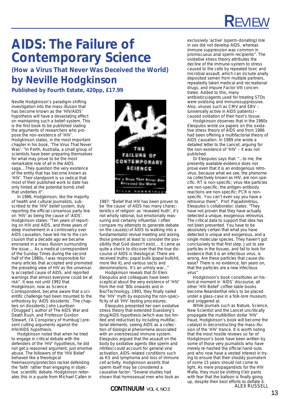# **R**EVIEW

# **AIDS: The Failure of Contemporary Science**

**(How a Virus That Never Was Deceived the World) by Neville Hodgkinson**

**Published by Fourth Estate, 420pp, £17.99**

Neville Hodgkinson's paradigm-shifting investigation into the mass-illusion that has become known as the 'HIV/AIDS' hypothesis will have a devastating effect on maintaining such a belief-system. This is the first book to be published stating the arguments of researchers who propose the non-existence of 'HIV'. Hodgkinson states, in the most important chapter in his book, 'The Virus That Never Was': "In Perth, Australia, a small group of scientists have been preparing themselves for what may prove to be the most remarkable role of all in the AIDS saga....They question the very existence of the entity that has become known as 'HIV'. Their standpoint is so radical that most of their published work to date has only hinted at the potential bomb shell that underlies it".

In 1986, Hodgkinson, like the majority of health and cultural journalists, subscribed to the 'HIV' belief system, duly reporting the official consensus party line on 'HIV' as being the cause of 'AIDS'. Hodgkinson states: "Ten years of reporting on HIV and AIDS, and three years of deep involvement in a controversy over AIDS causation, have led me to the conclusion that a decade ago we became ensnared in a mass illusion surrounding the issue.... As a medical correspondent of the Sunday Times during the second half of the 1980s, I was responsible for many articles that accepted and promoted the prevailing view of HIV as the universally accepted cause of AIDS, and reported warnings that almost everyone could be at risk". It was not until 1992 that Hodgkinson, now as Science Correspondent, became aware that a scientific challenge had been mounted to the orthodoxy by 'AIDS dissidents'. The chapters on dissidents John Lauritsen ('Drugged'), author of The AIDS War and Death Rush, and Professor Gordon Stewart, ('A Conspiracy of Humbug') present cutting arguments against the HIV/AIDS hypothesis.

Hodgkinson noted that when he tried to engage in critical debate with the defenders of the 'HIV' hypothesis, he did not get a reasoned argument, just emotive abuse. The followers of the 'HIV Belief' behaved like a theological freemasonry/protection racket defending the 'faith' rather than engaging in objective scientific debate. Hodgkinson reiterates this in a quote from Michael Callen in



1987: "Belief that HIV has been proven to be 'the cause' of AIDS has many characteristics of religion: as 'revealed truth', it's not wholly rational, but emotionally reassuring and certainly influential. I often compare my attempts to generate debate on the cause(s) of AIDS to walking into a fundamentalist revival meeting and asking those present at least to consider the possibility that God doesn't exist.... It came as quite a shock to discover that the true discourse of AIDS is theological. There are received truths; papal bulls (papal bullshit, more like it), and various sects and denominations. It's an unholy war..."

Hodgkinson reveals that Dr Eleni Eleopulos and colleagues have been sceptical about the very existence of 'HIV' from the mid '80s onwards and in Bio/Technology, 1993, they finally nailed the 'HIV' myth by exposing the non-specificity of all 'HIV' testing procedures.

Eleopulos presented her own oxidative stress theory that extended Duesberg's drug/AIDS hypothesis (which was too limited and reductive) by including multifactorial elements, seeing AIDS as a collection of biological phenomena associated with an overstressed immune system. Eleopulos argued that the assault on the body by oxidative agents (like sperm and nitrites) could account for general viral activation, AIDS-related conditions such as KS and lymphoma and loss of immune cell activity. Hodgkinson asserts that sperm itself may be considered a causative factor: "Several studies had shown that homosexual men who took an

exclusively 'active' (sperm-donating) role in sex did not develop AIDS, whereas immune suppression was common in promiscuous anal sperm recipients". The oxidative stress theory attributes the decline of the immune-system to stress caused to the cells by repeated toxic and microbial assault, which can include anally deposited semen from multiple partners, repeatedly taken medical and recreational drugs, and impure Factor VIII concentrates. Added to this, many antibiotics/agents used for treating STDs were oxidising and immunosuppressive. Also, viruses such as CMV and EBV – (universally active in AIDS patients) – caused oxidation of their host's tissue.

Hodgkinson observes that in the 1980s Eleopulos wrote six papers on this oxidative stress theory of AIDS and from 1986 had been offering a multifactorial theory of AIDS causation. In 1989 she wrote a detailed letter to the Lancet, arguing for the non-existence of 'HIV' – it was not published.

Dr Eleopulos says that: "...to me, the presently available evidence does not prove even that it is an endogenous retrovirus, because what we see, the phenomena collectively known as HIV, are non-specific. RT is non-specific; virus-like particles are non-specific; the antigen-antibody reactions are non-specific; PCR is nonspecific. You can't even say you have a retrovirus there". Prof. Papadimitriou, Eleopulos's collaborator, states: "They have not proven that they have actually detected a unique, exogenous retrovirus. The critical data to support that idea has not been presented. You have to be absolutely certain that what you have detected is unique and exogenous, and a single molecular species. They haven't got conclusively to that first step. Just to see particles in the tissues, and fail to look for evidence that it is an infectious virus, is wrong. Are these particles that cause disease? There is no evidence, ten years on, that the particles are a new infectious virus".

Hodgkinson's book constitutes an historical moment in 'AIDS' discourse; all other 'HIV Belief' coffee-table books become Neanderthal relics to be placed under a glass-case in a folk-lore museum, and sniggered at.

While journals such as Nature, Science, New Scientist and the Lancet uncritically propagate the multibillion dollar 'HIV' fraud, Hodgkinson's book will become the catalyst in deconstructing the mass-illusion of the 'HIV' trance. It is worth noting that the most hostile reviews so far of Hodgkinson's book have been written by some of those very journalists who have merely re-hashed the official hand-outs and who now have a vested interest in trying to ensure that their shoddy journalism of some 15 years should not come to light. As mere propagandists for the HIV Mafia, they must be shitting their pants with fear that the balloon is finally going up, despite their best efforts to deflate it. ALEX RUSSELL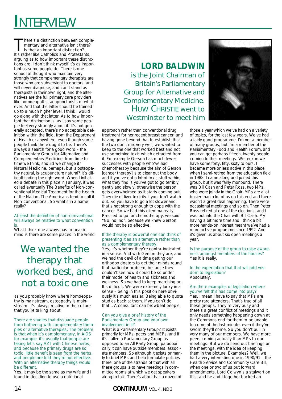# **I**NTERVIEW

here's a distinction between complementary and alternative isn't there? Is that an important distinction? It's rather like Catholics and Protestants, arguing as to how important these distinctions are. I don't think myself it's as important as some people do. There is one school of thought who maintain very strongly that complementary therapists are those who are subservient to doctors, and will never diagnose, and can't stand as therapists in their own right, and the alternatives are the full primary care providers like homoeopaths, acupuncturists or whatever. And that the latter should be trained up to a much higher level. I think I would go along with that latter. As to how important that distinction is, as I say some people feel very strongly about it. It's not generally accepted, there's no acceptable definition within the field, from the Department of Health or anywhere, even though some people think there ought to be. There's always a search for a good word – the Parliamentary Group for Alternative and Complementary Medicine: from time to time we think, should we change it? Natural Medicine, perhaps, but is osteopathy natural, is acupuncture natural? It's difficult finding the right word. When I initiated a debate in this place in January, it was called eventually The Benefits of Non-conventional Medical Treatment for the Health of the Nation. The Americans tend to call it Non-conventional. So what's in a name really?

#### At least the definition of non-conventional will always be relative to what convention is.

What I think one always has to bear in mind is there are some places in the world

## *We wanted the therapy that worked best, and not a toxic one*

as you probably know where homoeopathy is mainstream, osteopathy is mainstream. It's always relative to the culture that you're talking about.

There are studies that dissuade people from bothering with complementary therapies or alternative therapies. The problem is that when it's complementary, in AIDS for example, it's usually that people are taking let's say AZT with Chinese herbs, and because the primary drugs are so toxic, little benefit is seen from the herbs, and people are told they're not effective. With an alternative therapy things would be different.

Yes. It may be the same as my wife and I found in deciding to use a nutritional

### **LORD BALDWIN** is the Joint Chairman of Britain's Parliamentary Group for Alternative and Complementary Medicine. HUW CHRISTIE went to Westminster to meet him

approach rather than conventional drug treatment for her recent breast cancer; and having gone beyond that to establish that the two don't mix very well, we wanted to keep to the one that worked best and not use something toxic which detracted from it. For example Gerson has much fewer successes with people who've had chemotherapy because the aim of Gerson [cancer therapy] is to clear out the body and if you've got a lot of toxic stuff within, what they find is you've got to go terribly gently and slowly, otherwise the person gets overwhelmed as it starts coming out. They die of liver toxicity if you don't watch out. So you have to go a lot slower and that's not strong enough to cope with the cancer. So we had this dilemma really. Pressed to go for chemotherapy, we said "No, no, no", because we knew Gerson would not be so effective.

#### If the therapy is powerful one can think of presenting it as an alternative rather than as a complementary therapy.

Yes, it's whether they're contra-indicated in a sense. And with Gerson they are, and we had the devil of a time getting our orthodox doctors to get their minds round that particular problem, because they couldn't see how it could be so under their model of health and sickness and wellness. So we had to keep marching on. It's difficult. We were extremely lucky in a sense – being in this position here obviously it's much easier. Being able to quote studies back at them. If you can't do that... A consultant can browbeat people.

#### Can you give a brief history of the Parliamentary Group and your own involvement in it?

What is a Parliamentary Group? It exists primarily for MPs, peers and MEPs, and if it's called a Parliamentary Group as opposed to an All Party Group, paradoxically it can have outside members, associate members. So although it exists primarily to brief MPs and help formulate policies there, one of the strands of that with all these groups is to have meetings in committee rooms at which we get speakers along to talk. There's about half a dozen of



those a year which we've had on a variety of topics, for the last few years. We've had a fairly good programme. I'm not a member of many groups, but I'm a member of the Parliamentary Food and Health Forum, and you can get perhaps fifteen, twenty people coming to their meetings. We reckon we have some forty, fifty, sixty to ours. I became more or less active in this place when I semi-retired from the education field in 1988. I came along and joined this group, but it was fairly moribund. There was Bill Cash and Peter Ross, two MPs, who were jointly in the Chair. MPs are a lot busier than a lot of us up this end and there wasn't a great deal happening. There were occasional meetings and so on. Then Peter Ross retired at one of the elections, and I was put into the Chair with Bill Cash. My having a bit more time and I think a bit more hands-on interest meant we've had a more active programme since 1992. And it's given us about six open meetings a year.

Is the purpose of the group to raise awareness amongst members of the houses? Yes it is really.

In the expectation that that will add wisdom to legislation? Absolutely.

#### Are there examples of legislation where you've felt this has come into play?

Yes. I mean I have to say that MPs are pretty rare attenders. That's true of all these groups. They're very busy and there's a great conflict of meetings and it only needs something happening down at the Commons end for them to be unable to come at the last minute, even if they've sworn they'll come. So you don't pull in very many of our members. We have more peers coming actually than MPs to our meetings. But we do send out briefings on the meetings, with the idea of keeping them in the picture. Examples? Well, we had a very interesting one in 1990/91 – the Health Service and Community Care Bill, when one or two of us put forward amendments. Lord Colwyn's a stalwart on this, and he and I together backed an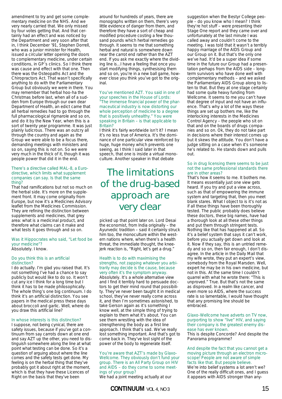amendment to try and get some complementary medicine on the NHS. And we very nearly carried that. We only missed by four votes getting that. And that certainly had an effect and was noticed by the Department and very soon after that in, I think December '91, Stephen Dorrell, who was a junior minister for Health, issued a circular letter opening the doors to complementary medicine, under certain conditions, in GP's clinics. So I think there was cause and effect with that one. Then there was the Osteopaths Act and the Chiropractors Act. That wasn't specifically anything to do with the Parliamentary Group but obviously we were in there. You may remember that herbal hoo-ha the Christmas before last, when all of a sudden from Europe through our own dear Department of Health, an edict came that all herbal remedies had to go through the full pharmacological rigmarole and so on, and do it by the New Year, when this is a sort of twenty year programme. It was just plainly ludicrous. There was an outcry all through the country and again as the Group we were able to be a focus there, demanding meetings with ministers and so on, saying this is not on. So we were very much in the thick of it, though it was people power that did it in the end.

#### There's a directive called MAL-8, a Eurodirective, which limits what supplement companies can say. Is that the same thing?

That had ramifications but not so much on the herbal side. It's more on the supplement front. It may come originally from Europe, but now it's a Medicines Advisory leaflet from the Medicines Commission. They are refining the distinction between supplements and medicines, that grey area: what is a medicinal product, and therefore what claims can it make and what tests it goes through and so on.

#### Was it Hippocrates who said, "Let food be your medicine"? Absolutely. I know.

#### Do you think this is an artificial distinction?

I do actually. I'm glad you raised that. It's not something I've had a chance to say publicly but would like to do so. It won't cut any ice I think for a long time but I think it has to be made philosophically. The whole thing's one big continuum. I do think it's an artificial distinction. You see papers in the medical press these days about broccoli and garlic. Well, where do you draw this artificial line?

#### In whose interests is this distinction?

I suppose, not being cynical, there are safety issues, because if you've got a continuum from say carrots down at one end and say AZT up the other, you need to distinguish somewhere along the line at what point what testing can be done. So it's a question of arguing about where the line comes and the safety tests get done. My feeling is on the herbal thing that they've probably got it about right at the moment, which is that they have these Licences of Right on the basis that they've been

around for hundreds of years, there are monographs written on them, there's very little evidence of danger from them, and therefore they have a sort of cheap and modified procedure costing a few thousand pounds which herbal remedies go through. It seems to me that something herbal and natural is somewhere down near the carrot end rather than the AZT end. If you ask me exactly where the dividing line is...I have a feeling that once you start modifying things, synthesising them and so on, you're in a new ball game, however close you think you've got to the original.

#### You've mentioned AZT. You said in one of your speeches in the House of Lords: "The immense financial power of the pharmaceutical industry is now distorting our whole perception of medicine to a degree that is positively unhealthy." You were speaking in Britain – is that applicable to Britain?

I think it's fairly worldwide isn't it? I mean it's no less true of America. It's the dominance of one particular view reinforced by huge, huge money which prevents one seeing, as I think I said later in that speech, that one is inside a virtual monoculture. Another speaker in that debate

## *The limitations of the drug-based approach are very clear*

picked up that point later on. Lord Desai the economist, from India originally – the Ayurvedic tradition – said it certainly struck him too, the monoculture within the western nations where, when there's a health threat, the immediate thought, the kneejerk reaction is, "Right, let's get a drug."

#### Health is to do with maximising the strengths, not zapping whatever you arbitrarily may decide is the cause, because

very often it's the symptom anyway. Absolutely. It's a whole alternative view and I find it terribly hard to persuade doctors to get their mind round that possibility. They've never been taught it in medical school, they've never really come across it, and then I'm sometimes astonished, to take Gerson again as it's something I know well, at the simple thing of trying to explain to them what it's about. You can see them wrestling with the idea of strengthening the body as a first line approach. I think that's sad. We've really lost something important. And that's got to come back in. They've lost sight of the power of the body to regenerate itself.

#### You're aware that AZT's made by Glaxo-Wellcome. They obviously don't fund your group. There is an All Party Group on HIV and AIDS – do they come to some meetings of your group?

We had a joint meeting actually at our

suggestion when the Bestyr College people – do you know who I mean? I think they're hot stuff – were presenting their Stage One report and they came over and unfortunately at the last minute I was called away and couldn't come to the meeting. I was told that it wasn't a terribly happy marriage of the AIDS Group and our Group on it. But that's the only one we've had. It'd be a super idea if some time in the future our Group had a presentation perhaps from the AIDS side – longterm survivors who have done well with complementary methods – and we asked the Parliamentary AIDS Group along to listen to that. But they at one stage certainly had some quite heavy funding from Wellcome. It seems to me you can't have that degree of input and not have an influence. That's why a lot of the ways these things are set up bothers me, like the interlocking interests in the Medicines Control Agency – the people who sit on that and on the boards of drugs companies and so on. Ok, they do not take part in decisions where their interest comes up but it skews the attitude. You don't have a judge sitting on a case when it's someone he's related to. He stands down and pulls out.

#### So in drug licensing there seems to be just not the same professional standards there are in other areas?

That's how it seems to me. It bothers me. It means essentially just one view gets heard. If you try and put a view across, such as that of empowering the immune system and targeting that, then you meet blank stares. What I object to is it's not as if all these things have been thoroughly tested. The public probably does believe these doctors, these big names, have had a thorough look at all these other things and put them through stringent tests. Nothing like that has happened at all. So it's a belief system that says it can't work, before you actually get down and look at it. Now if they say, this is an untried remedy and so on, then fair enough, I don't disagree. In the article in the Daily Mail that my wife wrote, they put an expert's view, somebody from the Royal Marsden. Well, expert he may be in his own medicine, but not in this. At the same time I couldn't quarrel with what he wrote there: "This is unproved." True. But that's not the same as disproved. In a realm like cancer, and even more so AIDS, where the success rate is so lamentable, I would have thought that any promising line should be embraced.

#### Glaxo-Wellcome have adverts on TV now, purporting to show "live" HIV, and saying their company is the greatest enemy disease has ever known.

This is despite Concorde? And despite the Panorama programme?

#### And despite the fact that you cannot get a moving picture through an electron microscope! People are not aware of simple facts like that. But people believe.

We're into belief systems a lot aren't we? One of the really difficult ones, and I guess it appears with AIDS stronger than any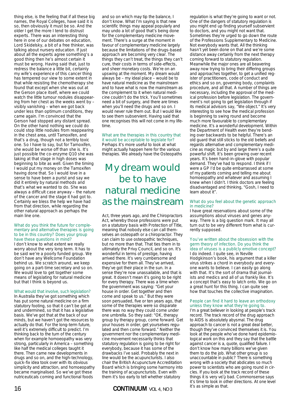thing else, is the feeling that if all these big names, the Royal Colleges, have said it is so, then obviously it must be so. And the older I get the more I tend to distrust experts. There was an interesting thing here in one of our debates on education, Lord Skidelsky, a bit of a free thinker, was talking about nursery education. If just about all the experts agree something's a good thing then he's almost certain it must be wrong. Having said that, just to redress the balance a little bit, certainly my wife's experience of this cancer thing has tempered our view to some extent in that while resisting the chemotherapy she found that except when she was out at the Gerson place itself, where we could watch the little tumour nodules disappearing from her chest as the weeks went by – visibly vanishing – when we got back under less than optimum conditions, they came again. I'm convinced that the Gerson had stopped any distant spread. On the other hand nothing we could do could stop little nodules from reappearing in the chest area, until Tamoxifen, and that's a drug, though not a terribly toxic one. So I have to say, but for Tamoxifen, she would be worse off than she is. It's just possible the co-enzyme Q10 she was taking at that stage in high doses was beginning to bite as well. Given the timing I would put my money on the Tamoxifen having done that. So I would love in a sense to have been a purist and say we did it entirely by natural methods and that's what we wanted to do. She was always a difficult case anyway – the nature of the cancer and the stage it had got to. Certainly we bless the help we have had from that direction, while regarding the other natural approach as perhaps the main line one.

#### What do you think the future for complementary and alternative therapies is going to be in this country? Does your group have these questions in mind?

I don't know to what extent we really worry about the very long term. It has to be said we're a poorly funded group. We don't have any Wellcome Foundation behind us. We scratch around, we keep going on a part-time secretary and so on. We would love to get together some means of legislating for natural medicine but that I think is beyond us.

#### What would that involve, such legislation?

In Australia they've got something which has put some natural medicine on a firm statutory footing, so that it can't be got at and undermined, so that it has a legislative basis. We've got that at the back of our minds, but we haven't got the resources to actually do that. For the long-term future, well it's extremely difficult to predict. I'm thinking back to the turn of the century when for example homoeopathy was very strong, particularly in America – something like half the medical colleges taught it there. Then came new developments in drugs and so on, and the high-technology, quick-fix idea took over with its obvious simplicity and attraction, and homoeopathy became marginalised. So we've got these nutriceuticals coming and functional foods

and so on which may tip the balance, I don't know. What I'm saying is that new scientific things may appeal popularly and may undo a lot of good that's being done for the complementary medicine movement. There's a surge at the moment in favour of complementary medicine largely because the limitations of the drugs-based approach are becoming very clear. The things they can't treat, the things they can't cure, their costs in terms of side-effects, and sheer monetary costs. We're on an upswing at the moment. My dream would always be – my ideal place – would be to have natural medicine as the mainstream and to have what is now the mainstream as the complement to it when natural medicine couldn't do the trick. You'll sometimes need a bit of surgery, and there are times when you'll need the drugs and so on. I would never rule them out. But I would like to see them subservient. Having said that one recognises this will not come in my lifetime.

#### What are the therapies in this country that it would be acceptable to legislate for? Perhaps it's more useful to look at what might actually happen here for the various therapies. We already have the Osteopaths

## *My dream would be to have natural medicine as the mainstream*

Act, three years ago, and the Chiropractors Act, whereby those professions were put on a statutory basis with Protection of Title, meaning that nobody else can call themselves an osteopath or a chiropractor. They can claim to use osteopathic techniques, but no more than that. That ties them in to ultimately the Privy Council, and so on. It's wonderful in terms of prestige, having arrived there. It's very cumbersome and expensive for them all. They've arrived, they've got their place in the sun. In a sense they're now unassailable, and that is great. It doesn't mean it's going to be right for every therapy. There was a time when the government was saying: "Get your house in order. Get together and then come and speak to us." But they were soon persuaded, five or ten years ago, that some of the therapies were so disparate there was no way they could come under one umbrella. So they said: "OK, therapy group by therapy group, come forward. Get your houses in order, get yourselves regulated and then come forward." Neither the government nor the complementary medicine movement necessarily thinks that statutory regulation is going to be right for everybody, because it has some of the drawbacks I've said. Probably the next in line would be the acupuncturists. I also chair the British Acupuncture Accreditation Board which is bringing some harmony into the training of acupuncturists. Even with them it's too early to tell whether statutory

#### **16 <b>CONTINUUM** VOL 4, NO 3

regulation is what they're going to want or not. One of the dangers of statutory regulation is you might end up finding yourself subservient to doctors, and you might not want that. Sometimes they're urged to go down the route of the Professions Supplementary to Medicine. Not everybody wants that. All the thinking hasn't yet been done on that and we're some distance away certainly from the next therapy coming forward to statutory regulation. Meanwhile the major ones are all beavering away now trying to bring their differing groups and approaches together, to get a unified register of practitioners, code of conduct and ethics and so on, governing body, complaints procedure, and all that. A number of things are necessary, including the approval of the medical profession before legislation. The government's not going to get legislation through if its medical advisors say, "We object." It's very interesting to see how the medical profession is beginning to swing round and become much more favourable to complementary medicine. It's a wonderful development. Within the Department of Health even they're bending over backwards to be helpful. There's an old guard that still sticks to the old beliefs and regards alternative and complementary medicine as magic but by and large there's a quite powerful shift. It's been growing over recent years. It's been hand-in-glove with popular demand. They've had to respond. I think if I were a GP I'd be quite embarrassed at some of my patients coming and telling me about homoeopathy and whatever and assuming I knew when I didn't. I think doctors are feeling disadvantaged and thinking, "Gosh, I need to learn about it".

#### What do you feel about the genetic approach in medicine?

I have great reservations about some of the assumptions about viruses and genes anyway. There is a big question mark. It may all turn out to be very different from what is currently supposed.

You've written about the obsession with the germ theory of infection. Do you think the idea of viruses is a publicly emotive concept? I do indeed. I quite see, in Neville Hodgkinson's book, his argument that a killer virus strikes a chord in everybody and everyone wants to believe. I can easily go along with that. It's the sort of drama that journalists and medics and all of us frankly like. It's a concept that's easy to latch onto. We go on a great hunt for this thing. I can quite see how that touches the collective imagination.

#### People can find it hard to leave an orthodoxy

unless they know what they're going to. I'm a great believer in looking at people's track record. The track record of the drug approach to AIDS is absolutely abysmal. The drug approach to cancer is not a great deal better, though they've convinced themselves it is. You look at the people who've done hard epidemiological work on this and they say that the battle against cancer is a, quote, qualified failure. I don't know how many billions we've given them to do the job. What other group is so unaccountable in public? There is something wrong with a society that abdicates so much power to scientists who are going round in circles. If you look at the track record of these things it is very very bad. Commonsense says **c**it's time to look in other directions. At one level it's as simple as that.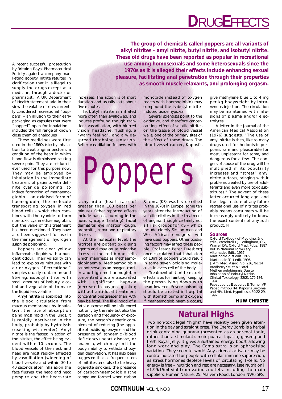# **D**RUG**E**FFECTS

A recent successful prosecution by Britain's Royal Pharmaceutical Society against a company marketing *iso*butyl nitrite resulted in clarification that it is illegal to supply the drugs except as a medicine, through a doctor or pharmacist. A UK Department of Health statement said in their view the volatile nitrites currently considered recreational "poppers" – an allusion to their early packaging as capsules that were "popped" open for inhalation – included the full range of known close chemical analogues.

These medicines were first used in the 1860s (*sic*) by inhalation to treat angina pectoris, a condition of the heart in which blood flow is diminished causing severe pain. They are seldom if ever used for this purpose now. They may be employed by inhalation in the immediate treatment of patients with definite cyanide poisoning, to induce formation of methaemoglobin – an oxidised form of haemoglobin, the molecule transporting oxygen in red blood cells – which then combines with the cyanide to form non-toxic cyanmethaemoglobin, but the value of this treatment has been questioned. They have also been suggested for use in the management of hydrogen sulphide poisoning.

Poppers are clear yellow inflammable liquids with a pungent odour. Their volatility can lead to explosive mixtures with air or oxygen. "Recreational" samples usually contain around 96% eg. *iso*butyl nitrite, with small amounts of *iso*butyl alcohol and vegetable oil to make the liquid less volatile.

Amyl nitrite is absorbed into the blood circulation from mucous membranes by inhalation, the rate of absorption being most rapid in the lungs. It is rapidly inactivated in the body, probably by hydrolysis (reacting with water). Amyl nitrite is the fastest in action of the nitrites, the effect being evident within 10 seconds. The blood vessels of the neck and head are most rapidly affected by vasodilation (widening of blood vessels) and within 30 to 40 seconds after inhalation the face flushes, the head and neck perspire and the heart-rate

**The group of chemicals called poppers are all variants of alkyl nitrites – amyl nitrite, butyl nitrite, and** *iso***butyl nitrite. These old drugs have been reported as popular in recreational use among homosexuals and some heterosexuals since the 1970s as it is alleged their effects include enhancing sexual pleasure, facilitating anal penetration through their properties as smooth muscle relaxants, and prolonging orgasm.** 

increases. The action is of short duration and usually lasts about five minutes.

*Iso*butyl nitrite is inhaled more often than swallowed, and induces profound though transient vasodilation, with blurred vision, headache, flushing, a "warm feeling", and a widespread throbbing sensation. Reflex vasodilation follows, with

monoxide instead of oxygen reacts with haemoglobin) may compound the *iso*butyl nitriteinduced tissue hypoxia.

Several scientists point to the oxidative, and therefore cancercausing, effect of volatile nitrites on the tissue of blood vessel walls, one of the primary sites of the effect of these drugs. The blood vessel cancer, Kaposi's

Poppers

tachycardia (heart rate of greater than 100 beats per minute). Other reported effects include nausea, burning in the nose, syncope (fainting), facial dermatitis, eye irritation, cough, bronchitis, coma and respiratory distress.

At the molecular level, the nitrites are potent oxidising agents and may cause oxidative stress to the red blood cells which manifests as methaemoglobinaemia. Methaemoglobin cannot serve as an oxygen carrier and high methaemoglobin concentrations are associated with significant hypoxia (decrease in oxygen uptake); without antidotal treatment concentrations greater than 70% may be fatal. The likelihood of a fatal outcome will be influenced not only by the rate but also the duration and frequency of exposure, the person's genetic complement of reducing (the opposite of oxidising) enzyme and the presence of ischaemic (blood deficiency) heart disease, or anaemia, which may limit the body's ability to withstand oxygen deprivation. It has also been suggested that as frequent users of nitrites tend also to be heavy cigarette smokers, the presence of carboxyhaemoglobin (the compound formed when carbon

Sarcoma (KS), was first described in the 1870s in Europe, some ten years after the introduction of volatile nitrites in the treatment of angina, though certainly not all risk groups for KS – which include elderly Sicilian men and West African teenagers – will have used poppers. Other oxidising factors may affect these people. Professor Peter Duesberg once calculated that inhalation of 10ml of poppers would result in some seven oxidising molecules in every cell of the body.

Treatment of short term toxic effects is as for fainting, keeping the person lying down with head lowered. Severe poisoning should be treated in hospital with stomach pump and oxygen. If methaemoglobinaemia occurs, give methylene blue 1 to 4 mg per kg bodyweight by intravenous injection. The circulation may be maintained with infusions of plasma and/or electrolytes.

A letter in the *Journal of the American Medical Association* (1976) suggests, "The use of amyl nitrite is then, like so many drugs used for hedonistic purposes, safe and pleasurable for most, unpleasant for some, and dangerous for a few. The dangers of abuse of the drug will be multiplied if its popularity increases and "street" amyl nitrite surfaces, bringing with it problems created by use of adulterants and even more toxic substitutes." The advent of these latter occurred long ago, and the illegal nature of any future recreational use of nitrites probably means consumers will be increasingly unlikely to know the exact contents of any such product. **c**

#### **Sources**

*Oxford Textbook of Medicine*, 2nd edit., Weathrall DJ, Ledingham JGG, Warrell DA. Oxford Med. Pubs. 1987 *British National Formulary*, Alternative Edit., 1957 *Martindale* 21st edit. 1977 *Martindale* 31st edit. 1996 *J. Am. Med. Assoc*. Vol 236, No.14 Bradberry SM et al: Fatal Methemoglobinemia Due to Inhalation of Isobutyl Nitrite. *Clinical Toxicology*, 32(2), 179-184, 1994

Papadopulos-Eleopulos E, Turner VF, Papadimitriou JM: Kaposi's Sarcoma and HIV. *Med. Hypotheses* 39:22-29, 1992

#### **HUW CHRISTIE**

### **Natural Highs**

Two non-toxic legal "highs" have recently been given attention in the gay and straight press. The Energy Bomb is a herbal drink containing guarana (presented as an adrenal tonic, rather than a stimulant), muir puama, lapacio, ginseng and fresh Royal Jelly. It gives a sustained energy boost allowing long work and play. The Cama sutra is an aphrodisiac variation. They seem to work! Any adrenal activator may be contra-indicated for people with cellular immune suppression, as stress hormones deplete levels of circulating T-cells. No energy is free – nutrition and rest are necessary. [*see Nutrition*] £1.99/15ml vial from various outlets, including the main suppliers, Human Nature, 25, Malvern Road, London NW6 5PS.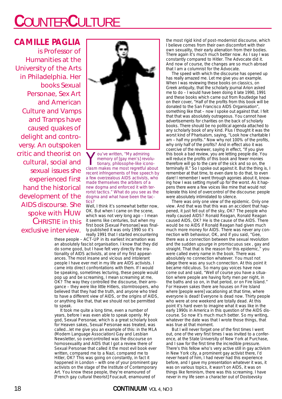# **C**OUNTER**C**ULTURE

### **CAMILLE PAGLIA**

is Professor of Humanities at the University of the Arts in Philadelphia. Her books *Sexual Personae, Sex Art and American Culture* and *Vamps and Tramps* have caused quakes of delight and controversy. An outspoken critic and theorist on cultural, social and sexual issues she experienced first hand the historical development of the AIDS discourse. She spoke with HUW CHRISTIE in this exclusive interview.



You've written, "My admiring<br>
memory of [gay men's] revolu-<br>
tionary, philosophe-like icono-<br>
clasm makes me most regretful about memory of [gay men's] revoluclasm makes me most regretful about recent infringements of free speech by a few overzealous AIDS activists, who made themselves the arbiters of a new dogma and enforced it with terrorist tactics." What do you see as the dogma and what have been the tactics?

Well, I think it's somewhat better now. OK. But when I came on the scene, which was not very long ago – I mean it seems like centuries, but when my first book [Sexual Personae] was finally published it was only 1990 so it's

really 1991 that I started encountering these people - ACT-UP in its earliest incarnation was an absolutely fascist organisation. I know that they did do some good, but I have felt very directly the irrationality of AIDS activists, at one of my first appearances. The most insane and vicious and intolerant people I have ever met in my life are AIDS activists. I came into direct confrontations with them. If I would be speaking, sometimes lecturing, these people would pop up and be screaming, I mean screaming at me, OK? The way they controlled the discourse, their arrogance – they were like little Hitlers, stormtroopers, who believed that they had the truth, and anyone who tried to have a different view of AIDS, or the origins of AIDS, or anything like that, that we should not be permitted to speak.

It took me quite a long time, even a number of years, before I was even able to speak openly. My god, Sexual Personae, which is a great scholarly book for Heaven sakes, Sexual Personae was treated, was called...let me give you an example of this: in the MLA (Modern Language Association) Gay and Lesbian Newsletter, so overcontrolled was the discourse on homosexuality and AIDS that I got a review there of Sexual Personae that called it the most evil book ever written, compared me to a Nazi, compared me to Hitler, OK? This was going on constantly, in fact it happened in London – with one of your prominent gay activists on the stage of the Institute of Contemporary Art. You know these people, they're enamoured of [French gay cultural theorist] Foucault, enamoured of

the most rigid kind of post-modernist discourse, which I believe comes from their own discomfort with their own sexuality, their early alienation from their bodies. There again it's much much better now. As I say I was constantly compared to Hitler. The Advocate did it. And now of course, the changes are so much abroad that I am a columnist for the Advocate.

The speed with which the discourse has opened up has really amazed me. Let me give you an example. When I was reviewing these books on classics, on Greek antiquity, that the scholarly journal Arion asked me to do – I would have been doing it late 1990, 1991 and these books which came out from Routledge had on their cover, "Half of the profits from this book will be donated to the San Francisco AIDS Organisation", something like that – now I spoke out against that. I felt that that was absolutely outrageous. You cannot have advertisements for charities on the back of scholarly books. There should be no political agenda attached to any scholarly book of any kind. Plus I thought it was the worst kind of Pharisaism, saying, "Look how charitable I am – half my profits." Now why not 100% of the profits, why only half of the profits? And in effect also it was coercive of the reviewer, saying in effect, "If you give this book a bad review, you are letting people die. You will reduce the profits of this book and fewer monies therefore will go to the care of the sick and so on, the terminally ill." So I spoke out against it. But the thing is, I remember at that time, to even dare to do that, to even dare! I remember I went through agonies about it, knowing how I was setting myself up for the worst. As it happens there were a few voices like mine that would not tolerate this kind of overcontrol of the discourse: people were absolutely intimidated to silence.

There was only one view of the epidemic. Only one view. And that was that this was an accident that happened, it just fell out of the sky, OK? The people who really caused AIDS? Ronald Reagan, Ronald Reagan caused AIDS, OK? He is the cause of the AIDS. There would be no AIDS if Ronald Reagan had given much much more money for AIDS. There was never any connection with behaviour, OK, and if you said, "Gee, there was a connection between the sexual revolution and the sudden upsurge in promiscuous sex , gay and straight. That that is the reason for this epidemic," you were called every name in the book. There was absolutely no connection whatever. You must not allege there was any such connection. At this point it became ridiculous. So many gay voices have now come out and said, "Well of course you have a situation where people are having forty men per night, in the baths and so on, in that period, or on Fire Island." For Heaven sakes there are houses on Fire Island where [people were] vacationing at that time, where everyone is dead! Everyone is dead now. Thirty people who were at one weekend are totally dead. At this point it's hard even to imagine what it was like in the early 1990s in America in this question of the AIDS discourse. So now it's much much better. So my writing, whatever the date was that I wrote those things, that was true at that moment.

But I will never forget one of the first times I went out, one of the very first times I was invited to a conference, at the State University of New York at Purchase, and I saw for the first time the incredible pressure. There's this fellow who's very active still in gay activism in New York city, a prominent gay activist there, I'd never heard of him, I had never had this experience before, and I gave my presentation whatever it was, it was on various topics, it wasn't on AIDS, it was on things like feminism, there was this screaming. I have never in my life seen a character out of Dostoevsky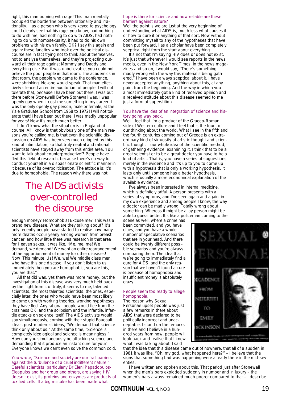right, this man burning with rage! This man mentally occupied the borderline between rationality and irrationality. I, as a person who is very keyed to psychology could clearly see that his rage, you know, had nothing to do with me, had nothing to do with AIDS, had nothing to do with homosexuality, it had to do his own problems with his own family, OK? I say this again and again: these fanatics who took over the political discourse are in fact trying not to think about themselves, not to analyse themselves, and they're projecting outward all their rage against Mommy and Daddy and everything else. But it was unbelievable, you could not believe the poor people in that room. The academics in that room, the people who came to the conference, were shrinking. No-one would speak. That man effectively silenced an entire auditorium of people. I will not tolerate that, because I have been out there. I was out there before Stonewall! Before Stonewall was, I was openly gay when it cost me something in my career. I was the only openly gay person, male or female, at the Yale Graduate School from 1968 to 1972! I will not tolerate that! I have been out there. I was madly unpopular for years! Now it's much much better.

I don't know what the situation is in England of course. All I know is that obviously one of the main reasons you're calling me, is that even the scientific discussion on AIDS has been very much crippled by this kind of intimidation, so that truly neutral and rational scientists have stayed away from this entire area. You want to talk about counterproductive!? People have fled this field of research, because there's no way to conduct yourself in a dispassionate scientific manner in it because of its overpoliticisation. The attitude is: it's due to homophobia. The reason why there was not

## *The AIDS activists over-controlled the discourse*

enough money? Homophobia! Excuse me? This was a brand new disease. What are they talking about? It's only recently people have started to realise how many more deaths occur yearly among women from breast cancer, and how little there was research in that area for Heaven sakes. It was like, "Me, me, me! We demand, we demand! We want an entire rearrangement of the apportionment of money for other diseases! Now! This minute! Us! We, we! We middle class men, who have this one disease. If you don't listen to us immediately then you are homophobic, you are this, you are that."

All that did was, yes there was more money, but the investigation of this disease was very much held back by the flight from it of truly, it seems to me, talented scientists, the most talented scientists, the ones, especially later, the ones who would have been most likely to come up with working theories, working hypotheses, they have fled. Any rational people would flee from the craziness OK, and the solipsism and the infantile, infantile attacks on science itself. The AIDS activists would say simultaneously, coming with their stupid Foucault ideas, post-modernist ideas, "We demand that science think only about us." At the same time, "Science is completely ideological and science is meaningless." How can you simultaneously be attacking science and demanding that it produce an instant cure for you? Everyone knows we can't even solve the common cold.

You wrote, "Science and society are our frail barriers against the turbulence of a cruel indifferent nature." Careful scientists, particularly Dr Eleni Papadopulos-Eleopulos and her group and others, are saying HIV doesn't exist, its proteins and enzymes are products of toxified cells. If a big mistake has been made what

#### hope is there for science and how reliable are these barriers against nature?

Well the point is we are just at the very beginning of understanding what AIDS is, much less what causes it or how to cure it or anything of that sort. Now without committing myself to any of the hypotheses that have been put forward, I as a scholar have been completely sceptical right from the start about everything.

It's not that I'm saying HIV does or does not exist. It's just that whenever I would see reports in the news media, even in the New York Times, in the news magazines and so on, I would say, "There's something madly wrong with the way this material's being gathered." I have been always sceptical about it. I have never accepted anything, anything about this, at any point from the beginning. And the way in which you almost immediately got a kind of received opinion and a received attitude about this disease seemed to me just a form of superstition.

#### You have the idea of an integration of science and history going way back.

Well I feel that I'm a product of the Graeco-Roman side of Western culture and I feel that is the fount of our thinking about the world. What I see in the fifth and the fourth centuries coming out of Greece is an extraordinary kind of virtuosity of artistic thought and scientific thought – our whole idea of the scientific method, of gathering evidence, examining it. I think that to be a great scientist or to be a great doctor you have to be a kind of artist. That is, you have a series of suggestions merely in the evidence and it's up to you to come up with a hypothesis that is only a working hypothesis. It lasts only until someone has a better hypothesis, which is usually a more economical explanation of the available evidence.

I've always been interested in internal medicine, which is definitely artful. A person presents with a series of symptoms, and I've seen again and again, in my own experience and among people I know, the way a doctor can be madly wrong. Totally wrong about something. Whereas it might be a lay person might be able to guess better. It's like a policeman coming to the

scene as well, where a crime has been committed, and you have clues, and you have a whole number of speculative scenarios that are in your head. And there could be twenty different possible scenarios and you're always comparing them. The idea that we're going to immediately find a cure for AIDS, and the only reason that we haven't found a cure is because of homophobia and insufficient money is absolutely crazy!

#### People seem too ready to allege homophobia.

The reason why Sexual Personae upset people was just a few remarks in there about AIDS that were declared to be politically incorrect and unacceptable. I stand on the remarks in there and I believe in a hundred years from now, people will look back and realise that I knew what I was talking about. I said



that the idea that this disease came out of nowhere, that all of a sudden in 1981 it was like, "Oh, my god, what happened here?" – I believe that the signs that something bad was happening were already there in the mid-seventies.

I have written and spoken about this. That period just after Stonewall when the men's bars exploded suddenly in number and in luxury – the women's bars always remained much poorer compared to that – I describe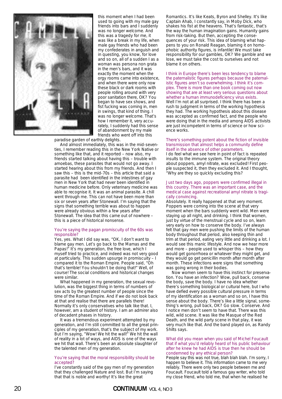

this moment when I had been used to going with my male gay friends into bars and I suddenly was no longer welcome. And this was a tragedy for me, it was like a break in my life, when male gay friends who had been my confederates in anguish and in questing, you know, for love and so on, all of a sudden I as a woman was persona non grata in the men's bars, and it was exactly the moment when the orgy rooms came into existence, and when there were only now these black or dark rooms with people rolling around with very poor sanitation there, OK? You began to have sex shows, and fist fucking was coming in, men in swings, that kind of thing. I was no longer welcome. That's how I remember it, very accurately, I suddenly had this sense of abandonment by my male friends who went off into this

paradise garden of earthly delights.

And almost immediately, this was in the mid-seventies, I remember reading this in the New York Native or something like that, and it reported – now also, my friends started talking about having this – trouble with amoebas, these parasites that would not go away. I started hearing about this from my friends. And then I saw this – this is the mid-70s – this article that said a parasite had been identified in the intestines of gay men in New York that had never been identified in human medicine before. Only veterinary medicine was able to recognise it. It was an animal parasite. A chill went through me. This can not have been more than six or seven years after Stonewall. I'm saying that the signs that something terrible was about to happen were already obvious within a few years after Stonewall. The idea that this came out of nowhere – this is a piece of historical nonsense.

#### You're saying the pagan promiscuity of the 60s was responsible?

Yes, yes. What I did say was, "OK, I don't want to blame gay men. Let's go back to the Mamas and the Papas!" It's my generation, the free love, which I myself tried to practice, and indeed was not very good at particularly. This sudden upsurge in promiscuity – I compared it to the Roman Empire. People said, "Oh that's terrible! You shouldn't be doing that!" Well, of course! The social conditions and historical changes were similar.

What happened in my generation, the sexual revolution, was the biggest thing in terms of numbers of sex acts by the greatest number of people since the time of the Roman Empire. And if we do not look back at that and realise that there are parallels there! Normally it's only conservatives who talk like that. I, however, am a student of history. I am an admirer also of decadent phases in history.

It was a tremendous experiment attempted by my generation, and I'm still committed to all the great principles of my generation, that's the subject of my work. But I'm saying, "Wow! We hit the wall!" We hit the wall of reality in a lot of ways, and AIDS is one of the ways we hit that wall. There's been an absolute slaughter of the talented men of my generation.

#### You're saying that the moral responsibility should be accepted?

I've constantly said of the gay men of my generation that they challenged Nature and lost. But I'm saying that that is noble and worthy! It's like the great

Romantics. It's like Keats, Byron and Shelley. It's like Captain Ahab, I constantly say, in Moby Dick, who shakes his fist at the heavens. That's fantastic, that's the way the human imagination gains. Humanity gains from risk-taking. But then, accepting the consequences of your risk. This idea of blaming what happens to you on Ronald Reagan, blaming it on homophobic authority figures, is infantile! We must take responsibility for our gambles, OK? We gamble and we lose, we must take the cost to ourselves and not blame it on others.

I think in Europe there's been less tendency to blame the paternalistic figures perhaps because the paternalistic figures aren't so overwhelming. I think it's complex. There is more than one book coming out now showing that are at least very serious questions about whether a human immunodeficiency virus exists. Well I'm not at all surprised. I think there has been a rush to judgment in terms of the working hypothesis they had. The working hypothesis about this disease was accepted as confirmed fact, and the people who were doing that in the media and among AIDS activists are just incompetent in terms of science or how science works.

#### There's something potent about the fiction of invisible transmission that almost helps a community define itself in the absence of other parameters. I do feel what we see here in point of fact is repeated

insults to the immune system. The original theory about poppers, amyl nitrate, was excluded! First people suspected it, then they excluded it. And I thought, "Why are they so quickly excluding this?

#### Just two days ago, poppers were confirmed illegal in this country. There was an important case, and the medical case against recreational amyl nitrate is tragically convincing.

Absolutely. It really happened at that very moment. Poppers were coming into the scene at that very moment when the bars suddenly went wild. Men were staying up all night, and drinking. I think that women, just by virtue of the menstrual cycle and so on, learn very early on how to conserve the body. I've always felt that gay men were pushing the limits of the human body throughout that period, also keeping thin and trim at that period, eating very little and drinking a lot. I would see this manic lifestyle. And now we hear more and more – people used to whisper this – how they would get gonorrhoea or whatever they might get, and they would go get penicillin month after month after month. These infections were signs that something was going wrong in their bodies.

Now women seem to have this instinct for preservation. You have an infection? Wow, pull back, conserve the body, save the body. I have no idea whether there's something biological or cultural here, but I who have defied every possible cultural pressure in terms of my identification as a woman and so on, I have this sense about the body. There's like a little signal, something's wrong, pull back, OK? Go slow. Conserve. And I notice men don't seem to have that. There was this wild, wild scene. It was like the Masque of the Red Death, and the wild party scene in that play, it was very much like that. And the band played on, as Randy Shilts says.

#### What did you mean when you said of Michel Foucault that if what you'd reliably heard of his public behaviour after he knew he had AIDS is true then he should be condemned by any ethical person?

People say this was not true, blah blah blah. I'm sorry, I happen to believe it. This information came to me very reliably. There were only two people between me and Foucault. Foucault told a famous gay writer, who told my close friend, who told me, that when he realised he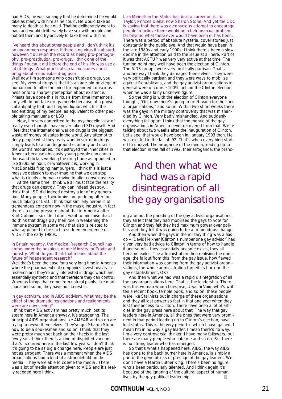had AIDS, he was so angry that he determined he would take as many with him as he could. He would take as many to death as he could. That he deliberately went to bars and would deliberately have sex with people and not tell them and try actively to take them with him.

#### I've heard this about other people and I don't think it's an uncommon response. If there's no virus it's absurd however. You're on the record as being pro-pornography, pro-prostitution, pro-drugs. I think one of the things Foucault did before the end of his life was use a lot of drugs. What practical social measures could bring about responsible drug use?

Well now I'm someone who doesn't take drugs, you see. My view of drugs is that it's an age-old privilege of humankind to alter the mind for expanded consciousness or for a sharper perception about existence. Priests have done this in rituals from time immemorial. I myself do not take drugs merely because of a physical antipathy to it, but I regard liquor, which is the ancient drug of my people, as equivalent to other people taking marijuana or LSD.

Now, I'm very committed to the psychedelic view of reality even though I have never taken LSD myself. And I feel that the international war on drugs is the biggest waste of money of states in the world. Any attempt to deny people what they really want in sex or in drugs simply leads to an underground economy and drains the world's resources. It's destroyed the inner cities in America because obviously young people can earn a thousand dollars working the drug trade as opposed to like \$3.95 an hour, or whatever it is, working in MacDonalds flipping hamburgers. I think this is just a massive delusion to ever imagine that we can stop what is clearly a human craving to alter consciousness.

At the same time I think we all must face the reality that drugs can destroy. They can indeed destroy. I think that LSD did indeed destroy a lot of my generation. Many people, their brains are pudding after too much taking of LSD. I think that similarly heroin is of tremendous concern now in the music industry. In fact there's a rising pressure about that in America after Kurt Cobain's suicide. I don't want to minimise that. I do think that drugs play their role in weakening the immune system in some way that also is related to what appeared to be such a sudden emergence of AIDS in the early 1980s.

#### In Britain recently, the Medical Research Council has come under the auspices of our Ministry for Trade and Industry. What do you think that means about the future of independent research?

Well that's been the case for a very long time in America where the pharmaceutical companies invest heavily in research and they're only interested in drugs which are essentially synthetic and that therefore they can control. Whereas things that come from natural plants, like marijuana and so on, they have no interest in.

#### In gay activism, and in AIDS activism, what may be the effect of the dramatic resignations and realignments were are now seeing?

I think that AIDS activism has pretty much lost its steam here in America anyway. It's staggering. The principal AIDS organisations like AMFAR and so on are trying to revive themselves. They've got Sharon Stone now to be a spokesman and so on. I think that they were pretty much set back on their heels in the last few years. I think there's a kind of dispirited vacuum that's occurred here in the last few years. I don't think it's going to be as big a change here. People are just not as arrogant. There was a moment when the AIDS organisations had a kind of a stranglehold on the media . They were able to coerce the media . There was a lot of media attention given to AIDS and it's really receded here I think.

Liza Minnelli in the States has built a career on it. Liz Taylor, Princes Diana, now Sharon Stone. And yet the CDC is saying that there was a conscious attempt to encourage people to believe there would be a heterosexual problem far beyond what there ever would have been or has been. There was a period of absolute hysteria, cover stories just constantly in the public eye. And that would have been in the late 1980s and early 1990s. I think there's been a slow decline in the attention paid to the issue at all here. Part of it was that ACTUP was very very active at that time. The turning point may well have been the election of Clinton. The AIDS groups were very politically partisan. That's another way I think they damaged themselves. They were very politically partisan and they were ways to mobilise against Republicans, and the gay activist organisations in general were of course 100% behind the Clinton election when he was a fairly unknown figure.

So the thing is with the election of Clinton everyone thought, "Oh, now there's going to be Nirvana for the liberal organisations," and so on. Within two short weeks there was the gays in the military controversy that was mishandled by Clinton. Very badly mishandled. And suddenly everything fell apart. I think that the morale of the gay organisations in America never recovered from that. We're talking about two weeks after the inauguration of Clinton. Let's see, that would have been in January 1993 then. He was elected in the fall of '92. That's when everything started to unravel. The arrogance of the media, leading up to that election in the fall of 1992, their arrogance, the pranc-

## *And then what we had was a rapid disintegration of all the gay organisations*

ing around, the parading of the gay activist organisations, they all felt that they had mobilised the gays to vote for Clinton and they felt they had maximum power over politics and they felt it was going to be a tremendous change.

And then when the gays in the military thing was a fiasco – [David] Mixner [Clinton's number one gay advisor] had given very bad advice to Clinton in terms of how to handle it and so on – they essentially became exiles, they all became exiles. The administration then realising the damage, the fallout from this, from the gay issue, how flawed their information was coming from the gay activist organisations, the whole administration turned its back on the gay establishment, OK?

And then what we had was a rapid disintegration of all the gay organisations here. That is, the leadership. There was this woman whom I despise, Urvashi Vaid, who's written a recent book, terrible book, and so on, these people were like Stalinists but in charge of these organisations and they all lost power so fast in that one year when they lost their access to Clinton. There have been a lot of articles in the gay press here about that. The way that gay leaders here in America, all the ones that were very prominent in that period leading up to Clinton's election, have lost status. This is the very period in which I have gained. I mean I'm in no way a gay leader. I mean there's no way. I'm a very controversial thinker. I have many followers, but there are many people who hate me and so on. But there is no strong leader who has emerged.

So that's what's happened here. AIDS, the way AIDS has gone to the back burner here in America, is simply a part of the general loss of prestige of the gay leaders. We don't have a Martin Luther King. There's been no figure who's been particularly talented. And I think again it's because of the ignoring of the cultural aspect of human lives by the gay political leadership. **c**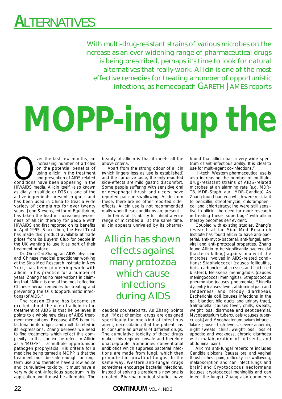# **A**LTERNATIVES

With multi-drug-resistant strains of various microbes on the increase as an ever-widening range of pharmaceutical drugs is being prescribed, perhaps it's time to look for natural alternatives that really work. Allicin is one of the most effective remedies for treating a number of opportunistic infections, as homoeopath GARETH JAMES reports

# **MOPP-ing up the**

ver the last few months, an increasing number of articles<br>on the potential benefits of<br>using allicin in the treatment<br>and prevention of AIDS related<br>conditions have been appearing in the increasing number of articles on the potential benefits of using allicin in the treatment and prevention of AIDS related HIV/AIDS media. Allicin itself, (also known as diallyl trisulfide or DTS) is one of the active ingredients present in garlic and has been used in China to treat a wide variety of complaints for over twenty years. John Stevens, editor of Equilibrium, has taken the lead in increasing awareness of allicin therapy for people with HIV/AIDS and first reported on its benefits in April 1995. Since then, the Heal Trust has made this product available at trade prices from its Buyers' Club for people in the UK wanting to use it as part of their treatment protocol.

Dr. Qing Cai Zhang, an AIDS physician and Chinese medical practitioner working at the Sino Med Research Institute in New York, has been pioneering work with allicin in his practice for a number of years. Zhang has no reservations in claiming that "Allicin is one of the most effective Chinese herbal remedies for treating and preventing the OI's (opportunistic infections) of AIDS."

The reason Zhang has become so excited about the use of allicin in the treatment of AIDS is that he believes it points to a whole new class of AIDS treatment medications. Because AIDS is multifactorial in its origins and multi-faceted in its expressions, Zhang believes we need to find treatments which reflect this complexity. In this context he refers to Allicin as a 'MOPP' – a multiple opportunistic pathogen prophylaxis. His criteria for a medicine being termed a MOPP is that the treatment must be safe enough for longterm use and therefore have a low acute and cumulative toxicity, it must have a very wide anti-infectious spectrum in its application and it must be affordable. The beauty of allicin is that it meets all the above criteria.

Apart from the strong odour of allicin (which lingers less as use is established) and the corrosive taste, the only reported side-effects are mild gastric discomfort. Some people suffering with sensitive oral or oesophagal thrush and ulcers, have reported pain on swallowing. Aside from these, there are no other reported sideeffects. Allicin use is not recommended orally when these conditions are present.

In terms of its ability to inhibit a wide range of microbes all at the same time, allicin appears unrivaled by its pharma-

*Allicin has shown effects against many protozoa which cause infections during AIDS*

ceutical counterparts. As Zhang points out: "Most chemical drugs are designed specifically for one kind of infectious agent, necessitating that the patient has to consume an arsenal of different drugs. The cumulative toxicity of these drugs makes this regimen unsafe and therefore unacceptable. Sometimes conventional antibiotics which suppress bacterial infections are made from fungi, which then promote the growth of fungus. In the same way, Western anti-fungal drugs sometimes encourage bacterial infections. Instead of solving a problem a new one is created. Pharmacological studies have

22 **CONTINUUM** VOL 4, NO 3

found that allicin has a very wide spectrum of anti-infectious ability. It is ideal to use for multi-agent co-infections."

Hi-tech, Western pharmaceutical use is also increasing the number of multipledrug-resistant strains of AIDS-related microbes at an alarming rate (e.g. MDR-TB, MDR-Staph. aur., MDR-Candida). As Zhang found bacteria which were resistant to penicillin, streptomycin, chloramphenicol and chlortetracycline were still sensitive to allicin, the need for more research in treating these 'superbugs' with allicin therapy becomes self evident.

Coupled with existing studies, Zhang's research at the Sino Med Research Institute has found allicin to have anti-bacterial, anti-myco-bacterial, anti-fungal, antiviral and anti-protozoal properties. Zhang found Allicin to be significantly bactericidal (bacteria killing) against many of the microbes involved in AIDS-related conditions: Staphylococci (causes folliculitis, boils, carbuncles, abscesses and fluid filled blisters), Neisseria meningitidis (causes meningococcal meningitis), Streptococcus pneumoniae (causes pneumonia), Shigella dysentry (causes fever, abdominal pain and tenderness and bloody diarrhoea), Escherichia coli (causes infections in the gall bladder, bile ducts and urinary tract), Salmonella (causes fever, chills, sweats, weight loss, diarrhoea and septicaemia), Mycobacterium tuberculosis (causes tuberculosis) and Mycobacterium avium intracellulare (causes high fevers, severe anaemia, night sweats, chills, weight loss, loss of appetite and weakness, chronic diarrhoea with malabsorption of nutrients and abdominal pain).

Allicin's anti-fungal repertoire includes Candida albicans (causes oral and vaginal thrush, chest pain, difficulty in swallowing, malabsorption and can infect lungs and brain) and Cryptococcus neoformans (causes cryptococcal meningitis and can infect the lungs). Zhang also comments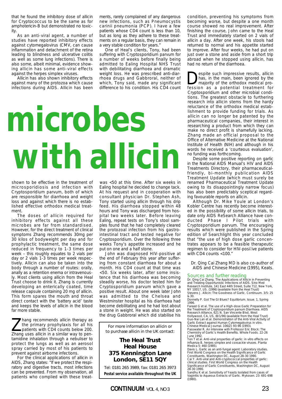that he found the inhibitory dose of allicin for Cryptococcus to be the same as for amphotericin-B but demonstrated no toxicity.

As an anti-viral agent, a number of studies have reported inhibitory effects against cytomegalovirus (CMV, can cause inflammation and detachment of the retina leading to blindness and ulcerative colitis as well as some lung infections). There is also some, albeit minimal, evidence showing allicin has some anti-viral effects against the herpes simplex viruses.

Allicin has also shown inhibitory effects against many of the protozoa which cause infections during AIDS. Allicin has been ments, rarely complained of any dangerous new infections, such as Pneumocystis carinii pneumonia (PCP). I have a few patients whose CD4 count is less than 10, but as long as they adhere to these treatments on a regular basis, they can remain in a very stable condition for years."

One of Heal's clients, Tony, had been suffering with Cryptosporidium parvum for a number of weeks before finally being admitted to Ealing Hospital NHS Trust with debilitating diarrhoea and dramatic weight loss. He was prescribed anti-diarrhoea drugs and Gabbroral, neither of which, Tony said, made any significant difference to his condition. His CD4 count

# **with allicin microbes**

shown to be effective in the treatment of microsporidiosis and infection with Cryptosporidium parvum, both of which are responsible for diarrhoea and weight loss and against which there is no established effective orthodox medical treatment.

body through a number of routes: orally, anally as a retention enema or intravenously. Most clients using allicin from the Heal Trust choose to drink it. Zhang is currently developing an enterically coated, time release capsule containing 20 mg of allicin. This form spares the mouth and throat direct contact with the 'battery acid' taste and keeps the levels of allicin in the blood far more stable. The doses of allicin required for inhibitory effects against all these microbes are far from standardised. However, for the direct treatment of clinical symptoms Zhang recommends 30mg per 30 kilos of bodyweight per day and for prophylactic treatment, the same dose reduced in frequency to 1-3 times per week – this roughly equates to 2 vials per day or 2 vials 1-3 times per week respectively. Allicin can also be taken into the

I hang recommends allicin therapy as<br>the primary prophylaxis for all his<br>patients with CD4 counts below 200.<br>Thang uses allicin in a similar way to penthe primary prophylaxis for all his patients with CD4 counts below 200. Zhang uses allicin in a similar way to pentamidine inhalation through a nebuliser to protect the lungs as well as an aerosol spray carried by most of his patients to prevent against airborne infections.

For the clinical applications of allicin in AIDS, Zhang states: "If we protect the respiratory and digestive tracts, most infections can be prevented. From my observation, all patients who complied with these treat-

was <50 at this time. After six weeks in Ealing hospital he decided to change tack. At his request and in cooperation with consultant physician Dr. Stephen Ash, Tony started using allicin through his drip feed. His diarrhoea stopped within 48 hours and Tony was discharged from hospital two weeks later. Before leaving Ealing, repeat tests on Tony's stool samples found that he had completely cleared the protozoal infection from his gastrointestinal tract and tested negative for Cryptosporidium. Over the following three weeks Tony's appetite increased and he put on one and a half stone.

John was diagnosed HIV-positive at the end of February this year after suffering from constant diarrhoea for about a month. His CD4 count at that time was <50. Six weeks later, after some insistence that his diarrhoea was becoming steadily worse, his doctor tested him for Cryptosporidium parvum which gave a positive result. About one week later John was admitted to the Chelsea and Westminster hospital as his diarrhoea had become debilitating and he had lost about a stone in weight. He was also started on the drug Gabbroral which did stabilise his

For more information on allicin or to purchase allicin in the UK contact:

#### **The Heal Trust Heal House 375 Kennington Lane London, SE11 5QY**

Tel: 0181 265 3989, fax: 0181 265 3973 **Postal service available throughout the UK** condition, preventing his symptoms from becoming worse, but despite a one month course showed no real improvement. After finishing the course, John came to the Heal Trust and immediately started on 2 vials of allicin a day. After one week, his stools had returned to normal and his appetite started to improve. After four weeks, he had put on just over a stone and aside from a short trip abroad when he stopped using allicin, has had no return of the diarrhoea.

espite such impressive results, allicin has, in the main, been ignored by the majority of the orthodox medical profession as a potential treatment for Cryptosporidium and other microbial conditions. The greatest obstacle to furthering research into allicin stems from the hardy reluctance of the orthodox medical establishment to provide funding for trials. As allicin can no longer be patented by the pharmaceutical companies, their interest in researching a product from which they can make no direct profit is shamefully lacking. Zhang made an official proposal to the Office of Alternative Medicine at the National Institute of Health (NIH) and although in his words he received a 'courteous evaluation', no funding was forthcoming.

Despite some positive reporting on garlic in the National AIDS Manual's HIV and AIDS Treatments Directory, their pharmaceuticalfriendly, bi-monthly publication AIDS Treatment Update (which must surely be renamed Pharmaceutical Treatment Update owing to its disappointingly narrow focus) has also been predictably sceptical regarding favourable reports on allicin.

Although Dr. Mike Youle at London's Kobler Centre has recently become interested in the possibility of some allicin trials, to date only AIDS ReSearch Alliance have conducted Phase I Pilot trials with Cryptosporidium parvum. The encouraging results which were published in the Spring edition of Searchlight this year concluded that "the use of high dose garlic concentrates appears to be a feasible therapeutic regimen to consider for HIV-positive patients with CD4 counts <100."

Dr. Qing Cai Zhang MD is also co-author of AIDS and Chinese Medicine (1995), Keats.

**Sources and further reading**<br>Dr. Qing Cai Zhang. The Applications of Allicin in Preventing<br>and Treating Opportunistic Infections of AIDS. Sino Med Research Institute, 141 East 44th Street, Suite 712, New York, NY 10017, US. (1996) (available from the Heal Trust) Stevens J. Allicin: The Goodness of Garlic. Continuum. 3/5: 25

& 30. Donnelly P. Got The GI Blues? Equilibrium. Issue. 1, Spring 1996.

Fareed G et al. The use of a High-dose Garlic Preparation for the Treatment of Cryptosporidium parvum Diarrhoea. AIDS Research Alliance, 621 N. San Vincente Blvd, West Hollywood, CA, US. (8/1/96) (available from the Heal Trust) Guo-Nai Lan et al. Demonstration of the Anti-Viral Activity of

Garlic Extract against Human Cytomegalovirus in vitro. Chinese Medical Journal. 106(2): 93-96 (1993). Passwater R. An Interview with Professor Eric Block: The Chemistry of Garlic's Health Benefits. Whole Foods. 22-26

June 1992. Yen T et al. Anti-viral properties of garlic: in vitro effects on influenza B, herpes simplex and coxsackie viruses. Planta Medica 5: 460 (1985).

Davis L. Garlic as an anti-fungal agent: Laboratory studies. First World Congress on the Health Significance of Garlic

Constituents, Washington DC, August 28-30 1990. Cai Y. Anti-viral and Anti-cryptococcal properties of garlic: clinical studies. First World Congress on the Health Significance of Garlic Constituents, Washington DC, August 28-30 1990.

Sandhu K et al. Sensitivity of Yeasts Isolated from cases of Vaginitis to Aqueous Extracts of Garlic. Mykosen. 23: 691-698 (1980).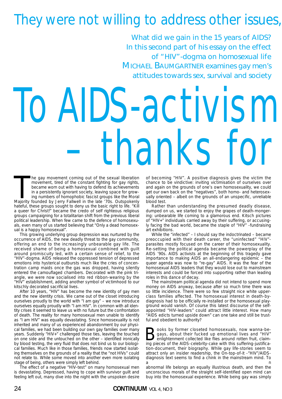# They were not willing to address other issues,

*What did we gain in the 15 years of AIDS? In this second part of his essay on the effect of "HIV"-dogma on homosexual life MICHAEL BAUMGARTNER examines gay men's attitudes towards sex, survival and society*

# To AIDS-activism – thanks for

he gay movement coming out of the sexual liberation<br>movement, tired of the constant fighting for gay rights,<br>became worn out with having to defend its achievements<br>in a persistently ignorant society, leaving space for grow he gay movement coming out of the sexual liberation movement, tired of the constant fighting for gay rights, became worn out with having to defend its achievements in a persistently ignorant society, leaving space for growing numbers of homophobic fascist groups like the Moral hateful, these groups sought to deny us the basic right to life. "Kill a queer for Christ!" became the credo of self righteous religious groups campaigning for a totalitarian shift from the previous liberal political leadership. When few came to the defence of homosexuals, even many of us started believing that "Only a dead homosexual is a happy homosexual".

This growing underlying group depression was nurtured by the occurrence of AIDS, the new deadly threat to the gay community, offering an end to the increasingly unbearable gay life. The received shame of being a homosexual combined with guilt around promiscuity led, with a certain sense of relief, to the "HIV"-dogma. AIDS released the oppressed tension of depressed emotions into hysterical outbursts much like the cries of concentration camp maids once the gas was dropped, having silently entered the camouflaged chambers. Decorated with the pink triangle, we were now socialised into red ribbon-wearing by the "HIV" establishment, adding another symbol of victimhood to our kitschly decorated sacrificial lives.

After 10 years, "HIV" has become the new identity of gay men and the new identity crisis. We came out of the closet introducing ourselves proudly to the world with "I am gay" – we now introduce ourselves equally proudly with "I am HIV". In common with all identity crises it seemed to leave us with no future but the confrontation of death. The reality for many homosexual men unable to identify as "I am HIV" was equally devastating. Since homosexuality is not inherited and many of us experienced abandonment by our physical families, we had been building our own gay families over many years. Suddenly "HIV+" challenged those ties, leaving the touched on one side and the untouched on the other – identified ironically by blood testing, the very fluid that does not bind us to our biological families. Much like in those families, friends now started isolating themselves on the grounds of a reality that the "not HIVs" could not relate to. While some moved into another even more isolating stage of being, others were simply left behind.

The effect of a negative "HIV-test" on many homosexual men is devastating. Depressed, having to cope with survivor guilt and feeling left out, many dive into the night with the unspoken desire

of becoming "HIV". A positive diagnosis gives the victim the chance to be vindictive: inviting victimisation of ourselves over and again on the grounds of one's own homosexuality, we could get our own back on the "negatives", both homo- and heterosexually oriented – albeit on the grounds of an unspecific, unreliable blood test.

Rather than understanding the presumed deadly disease, dumped on us, we started to enjoy the grapes of death-mongering: unbearable life coming to a glamorous end. Kitsch pictures of "HIV+" individuals carried away by their suffering, or accusingly facing the bad world, became the staple of "HIV" -fundraising art exhibitions.

While the "infected" – I should say the indoctrinated – became preoccupied with their death career, the "uninfected" "HIV" parasites mostly focused on the career of their homosexuality. Re-setting the political agenda became the powerplay of the AIDS '90s. AIDS activists at the beginning of this tragedy gave importance to making AIDS an all-endangering epidemic – the queer agenda was now to "re-gay" AIDS. It was the fear of the homosexual AIDS leaders that they would lose out to mainstream interests and could be forced into supporting rather than leading roles in this dance of decay.

The mainstream political agenda did not intend to spend more money on AIDS anyway, because after so much time there was so little incidence. There were so few straight nice white upperclass families affected. The homosexual interest in death-bydiagnosis had to be officially re-installed or the homosexual playground would vanish. Of course this latest discourse of the selfappointed "HIV-leaders" could attract little interest. How many "AIDS edicts turned upside down" can one take and still be trustful and obedient to authority?

Books by former closeted homosexuals, now wanna-be-<br>gays, about their fucked up emotional lives and "HIV"<br>enlightenment collected like flies around rotten fruit, claim-<br>ing pieces of the AIDS-celebrity-cake with this suffe gays, about their fucked up emotional lives and "HIV" enlightenment collected like flies around rotten fruit, claiming pieces of the AIDS-celebrity-cake with this suffering-justification-document, their biography. While gay life-stories seem to attract only an insider readership, the On-top-of-it -"HIV"/AIDSdiagnosis text seems to find a chink in the mainstream mind. To a na amin'ny faritr'i Normandie, ao amin'ny faritr'i Normandie, ao amin'ny faritr'i Normandie, ao amin'ny fari

abnormal life belongs an equally illustrious death, and then the unconscious morals of the straight self-identified open mind can buy into the homosexual experience. While being gay was simply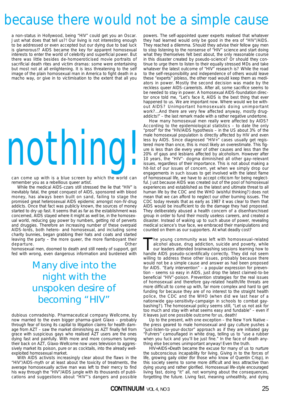# because there would not be a simple cause

a non-status in Hollywood, being "HIV" could get you an Oscar. Just what does that tell us?! Our living is not interesting enough to be addressed or even accepted but our dying due to bad luck is glamorous!? AIDS became the key for apparent homosexual interests to enter the world of celebrity and superficial power. But there was little besides de-homoeroticised movie portraits of sacrificial death rites and victim dramas: some were entertaining but most not at all enlightening. It is less threatening to the self image of the plain homosexual man in America to fight death in a macho way, or give in to victimisation to the extent that all you

# nothing!

can come up with is a blue screen by which the world can remember you as a rebellious queer artist.

While the medical AIDS-czars still stressed the lie that "HIV" is inevitably fatal, the great conquest of AIDS, sponsored with blood money, has always been built on sand, failing to stage the promised great heterosexual AIDS epidemic amongst non-IV-drug addicts. Once that fact was publicly known, the sources of money started to dry up fast. It seems that as far as the establishment was concerned, AIDS stayed where it might as well be, in the homosexual world, reducing gay power by numbers, getting rid of perverts and druggies. Therefore an increasing number of these overpaid AIDS-lords, both hetero- and homosexual, and including some charity bunnies, began grabbing their hats and coats and started leaving the party - the more queer, the more flamboyant their departure. **Contract Contract Contract Contract Contract Contract Contract Contract Contract Contract Contract Contract Contract Contract Contract Contract Contract Contract Contract Contract Contract Contract Contract Con** 

homosexual men, doomed to death and still needy of support, got fed with wrong, even dangerous information and burdened with

## *Many dive into the night with the unspoken desire of becoming "HIV"*

dubious comradeship. Pharmaceutical company Wellcome, by now married to the even bigger pharma-giant Glaxo – probably through fear of losing its capital to litigation claims for health damage from AZT – saw the market diminishing as AZT finally fell from grace with suspicious gays who realised AZT users are the ones dying fast and painfully. With more and more consumers turning their back on AZT, Glaxo-Wellcome now uses television to aggressively market its poison, pure or as cocktails, into the already wellexploited homosexual market.

With AIDS activists increasingly clear about the flaws in the "HIV"/AIDS-myth or at least about the toxicity of treatments, the average homosexually active man was left to their mercy to find his way through the "HIV"/AIDS jungle with its thousands of publications and suggestions about "HIV"'s dangers and possible

powers. The self-appointed queer experts realised that whatever they had learned would only be good in the era of "HIV"/AIDS. They reached a dilemma. Should they advise their fellow gay men to stop listening to the nonsense of "HIV" science and start doing what they themselves felt best about, the only reasonable course in this disaster created by pseudo-science? Or should they continue to urge them to listen to their equally stressed MDs and take whatever the latest outcome of "HIV" research is? While the road to the self-responsibility and independence of others would leave these "experts" jobless, the other road would keep them as mediators in power. Mostly the second decision was made by the reckless queer AIDS-careerists. After all, some sacrifice seems to be needed to stay in power. A homosexual AIDS-foundation director once told me, "Let's face it, AIDS is the best thing that ever happened to us. We are important now. Where would we be without AIDS? Unimportant homosexuals doing unimportant work?...And there are very few affected anyway, mostly drugaddicts!" – the last remark made with a rather negative undertone.

How many homosexual men really were affected by AIDS? According to the epidemiological statistics – to date the only "proof" for the "HIV/AIDS hypothesis – in the US about 3% of the male homosexual population is directly affected by HIV and even less by AIDS. Since diagnosed "HIV+" cases usually get registered more than once, this is most likely an overestimate. This figure is less than die every year of other causes and less than the 20% of gays and lesbians affected by alcoholism. However after 10 years, the "HIV"- dogma diminished all other gay-relevant issues, regardless of their importance. This is not about making a hit-list of our issues of concern, yet when we simply drop our engagements in such issues to get involved with the latest flame of homosexual life, we have to accept criticism for being neglectful. Just because AIDS was created out of the pool of homosexual experiences and established as the latest and ultimate threat to all human life by the CDC and the WHO (wishful thinking?) does not mean that we can afford to neglect our other burning issues. The CDC today reveals that as early as 1987 it was clear to them that AIDS would be insufficient to do the damage they had proposed. They deliberately abused a health concern of a disenfranchised group in order to fund their mostly useless careers, and created a disaster. Instead of waking up to such abuse of power, revealing medical science's true face, we embraced their manipulations and counted on them as our supporters. At what deadly cost?

The young community was left with homosexual-related<br>alcohol abuse, drug addiction, suicide and poverty, while<br>our leaders attended brainwashing sessions learning how to<br>handle AIDS pseudo-scientifically correctly. They di alcohol abuse, drug addiction, suicide and poverty, while handle AIDS pseudo-scientifically correctly. They did not seem willing to address these other issues, probably because there would not be a simple cause and answer as had been proposed for AIDS. "Early intervention" – a popular expression for prevention – seems so easy in AIDS, just drop the latest claimed-to-be beneficial "HIV"-poison. Prevention strategies for the real issues of homosexual and therefore gay-related health/life threats are more difficult to come up with, far more complex and hard to get funding for because they are of no interest to the straight health police, the CDC and the WHO (when did we last hear of a nationwide gay-sensitivity-campaign in schools to combat gaybashing?). The homosexual policy seems still, "Let us not ask for too much and stay with what seems easy and fundable" – even if it leaves just one possible outcome for us, death!

Up to the present, with one exception – the New York Native – the press geared to male homosexual and gay culture pushes a "just-listen-to-your-doctor" approach as if they are initiated gay "Fuhrers" camouflaged in white drag, telling us to "use a rubber when you fuck and you'll be just fine." In the face of death anything else becomes unimportant anyway! Even the truth.

HIV=AIDS=Death became the excuse for many of us to nurture the subconscious incapability for living. Giving in to the forces of life, growing gaily older (for those who know of Quentin Crisp), in this society seems to some more difficult and less attractive than dying young and rather glorified. Homosexual life-style encouraged living fast, doing "it" all, not worrying about the consequences, forgetting the future. Living fast, meaning unhealthily, and dying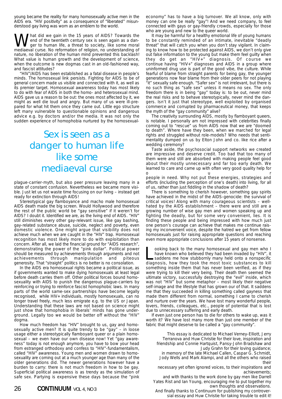young became the reality for many homosexually active men in the AIDS era. "HIV positivity" as a consequence of "liberated" misunderstood gay living was worn as an emblem to the world.

**What did we gain in the 15 years of AIDS?** Towards the end of the twentieth century sex is seen again as a danger to human life, a threat to society, like some moral mediaeval curse. No reformation of religion no understa end of the twentieth century sex is seen again as a danmediaeval curse. No reformation of religion, no understanding of nature, no liberation of the human mind prevented this backlash! What value is human growth and the development of science, when the outcome is new dogmas cast in an old-fashioned way, and fascist attitudes?

"HIV"/AIDS has been established as a fatal disease in people's minds. The homosexual link persists. Fighting for AIDS to be of general concern made us visible and connected with it, as well as its premier target. Homosexual awareness today has most likely to do with fear of AIDS in both the homo- and heterosexual mind. AIDS gave us a reason to be out: the ones most affected by it, we might as well die loud and angry. But many of us were ill-prepared for what hit them once they came out. Little ego structure left many vulnerable to questionable opinions and dangerous advice e.g. by doctors and/or the media. It was not only the sudden experience of homophobia nurtured by the homosexual-

## *Sex is seen as a danger to human life like some mediaeval curse*

plague-carrier-myth, but also peer pressure leaving many in a state of constant confusion. Nevertheless we became more visible. Just let us not waste time focusing on our living – instead get ready for extinction through AIDS!

Stereotypical gay flamboyance and macho male homosexual AIDS death made the big screen. Would Hollywood and therefore the rest of the public world be "gay sensitive" if it weren't for AIDS? I doubt it. Identified we are, as the living end of AIDS. "HIV" still diminishes every other gay-relevant issue, like gay bashing, gay-related substance abuse, suicide, neglect and poverty, even domestic violence. One might argue that visibility does not achieve much when we are caught in the "HIV" trap. Homosexual recognition has most likely more to do with exploitation than concern. After all, we laid the financial ground for "AIDS research", demonstrating the power of the "pink dollar". Political power should be measured by achievements through arguments and not achievements through manipulation and piteous generosity. That "straight" politics is no better is no consolation.

In the AIDS era homosexual rights became a political issue, as if governments wanted to make dying homosexuals at least legal before death carries them off. Other political forces bound homosexuality with AIDS to punish the dangerous plague-carriers by reinforcing or trying to reinforce fascist homophobic laws. In many parts of the world same-sex partnerships have become legally recognised, while HIV+ individuals, mostly homosexuals, can no longer travel freely, much less emigrate e.g. to the US or Japan. Understanding that these laws are not based on science might just show that homophobia in liberals' minds has gone underground. Legally too we would be better off without the "HIV" dogma.

How much freedom has "HIV" brought to us, gay and homosexually active men? It is quite trendy to be "gay" – in loose usage either a stereotypically flamboyant queer or a plain homosexual – we even have our own disease now! Yet "gay awareness" today is not enough anymore, you have to bow your head from estranged orthodoxy and confess to "HIV"-fundamentalism, called "HIV" awareness. Young men and women drawn to homosexuality are coming out at a much younger age than many of the older generations did. The newer generations however have a burden to carry: there is not much freedom in how to be gay. Superficial political awareness is as trendy as the simulation of safe sex. Partying is expensive these days because the "pink economy" has to have a big turnover. We all know, only with money can one be really "gay"! And we need company, to feel connected with gays or gay-friendly crowds, especially for those who are young and new to the queer world.

It may be harmful for a healthy emotional life of young humans to be constantly reminded of an intimate, inevitable "deadly threat" that will catch you when you don't stay vigilant. In claiming to know how to be protected against AIDS, we don't only give out false information to the young but make them feel guilty when they do get an "HIV+" diagnosis. Of course we continue having "HIV+" diagnoses and AIDS in a group where uninformed drug use is part of the good vibe, the culture. While fearful of blame from straight parents for being gay, the younger generations now fear blame from their older peers for not playing "it" sexually safe enough. "Safer sex" is not irrelevant, but there is no such thing as "safe sex" unless it means no sex. The only freedom there is in being "gay" today is: to be out, never mind the real risks and to behave stereotypically, never mind the dangers. Isn't it just that stereotype, well exploited by organised commerce and corrupted by pharmaceutical money, that keeps the myth of the "gay community" alive?

The creativity surrounding AIDS, mostly by flamboyant queers, is notable. I personally am not impressed with celebrities finally coming out to "rescue" us from AIDS now that we are "doomed to death". Where have they been, when we marched for legal rights and struggled without role-models? Who needs that sentimentality dumped on us by Elton John and co. like rice after a wedding ceremony?

Taste aside, the psychosocial support networks we created are impressive and deserve credit. Too bad that too many of them were and still are absorbed with making people feel good about their mostly unnecessary and far too early death. We learned to care and came up with often very good quality help for our contract that the contract of the contract of the contract of the contract of the contract of the contract of the contract of the contract of the contract of the contract of the contract of the contract of the contract

people in need. Why not put these energies, strategies and efforts (including the perception of one's death) into living, for all of us, rather than just fiddling in the shadow of death?

There is something to cherish however, something gay spirits have achieved in the midst of the AIDS-genocide: the survival of critical voices! Along with many courageous scientists – wellhated by the AIDS establishment – there were and still are a growing number of wise gay men and women speaking up and fighting the deadly, but for some very convenient, lies. It is finding these people and being impressed with how much just one person's courage can achieve that makes me continue raising my inconvenient voice, despite the hatred we get from fellow homosexuals just for raising appropriate questions and reaching even more appropriate conclusions after 15 years of nonsense.

ooking back to the many homosexual and gay men who I have known who believed they had been invaded by "HIV", it saddens me how stubbornly many held onto a nonspecific diagnosis, how they took the most toxic substances to kill something inside them that has never been verified, as if they were trying to kill their very being. Their death then seemed the ultimate victory, successfully destroying the "evil" inside, which was not "HIV" but some metaphor – most likely their negative self-image and the lifestyle that has grown our of that. It saddens me that they succeeded in killing something called gayness that made them different from normal, something I came to cherish and nurture over the years. We have lost many wonderful people, lovers, friends, colleagues, etc., people of potential that is lost due to unnecessary suffering and early death.

If even just one person has to die for others to wake up, was it worth it? We have lost many more than just one member of the fabric that might deserve to be called a "gay community".

This essay is dedicated to Michael Verney-Elliott, Jerry Terranova and Huw Christie for their love, inspiration and friendship and Connie Hartquist, Pansy-John Bradshaw and Judy Grahn for their loving guidance; in memory of the late Michael Callen, Caspar G. Schmidt, Jody Wells and Mark Alampi, and all the others who raised their

necessary yet often ignored voices, to their inspirations and achievements;

and with thanks to the work done by gay men like Darrell Yates Rist and Ian Young, encouraging me to put together my own thoughts and observations.

And finally thanks to Continuum for publishing my controversial essay and Huw Christie for taking trouble to edit it!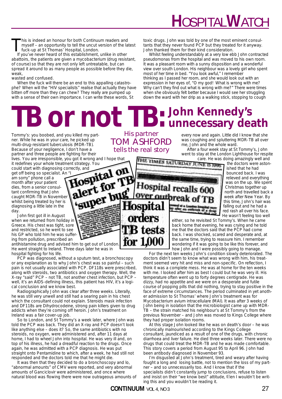# **H**OSPITAL**W**ATCH

toxic drugs. John was told by one of the most eminent consultants that they never found PCP but they treated for it anyway.

Whilst feeling understandably at a very low ebb John contracted pseudomonas from the hospital and was moved to his own room. It was a pleasant room with a sunny disposition and a wonderful view over south London. His neighbour was a lovely girl who spent

John thanked them for their kind consideration.

most of her time in bed. "You look awful," I remember

thinking as I passed her room, and she would look out with an expression in her eyes of, "O my god! What is wrong with me? Why can't they find out what is wrong with me?" There were times when she obviously felt better because I would see her struggling down the ward with her drip as a walking stick, stopping to cough

This is indeed an honour for both Continuum readers and myself – an opportunity to tell the uncut version of the latest fuck-up at St Thomas' Hospital, London.

If you've never heard of this establishment, unlike in other abattoirs, the patients are given a mycobacterium (drug resistant, of course) so that they are not only left untreatable, but can spread it around to as many people as possible before they die, weak,

wasted and confused.

When the fuck will there be an end to this appalling catastrophe? When will the "HIV specialists" realise that actually they have bitten off more than they can chew? They really are pumped up with a sense of their own importance. I can write these words, St

# **John Kennedy's TB or not TB:** John Kennedy's

Tommy's: you boobed, and you killed my partner. While he was in your care, he picked up multi-drug-resistant tuberculosis (MDR-TB). Because of your negligence, I don't have a partner and three people are fighting for their lives. You are irresponsible, you got it wrong and I hope that

could start with diagnosing correctly, and

it redefines your whole treatment strategy. You<br>could start with diagnosing correctly, and<br>get off being so specialist. An "I<br>am sorry" phone call a<br>month after your patient<br>test, from a senior could be get off being so specialist. An "<br>am sorry" phone call a<br>month after your patient<br>dies, from a senior consul-<br>tant confirming that John<br>stati MDR-TB in New am sorry" phone call a month after your patient dies, from a senior consultant confirming that John caught MDR-TB in November whilst being treated by her is diagnosing a little late in the day

John first got ill in August when we returned from holiday in Greece. His chest was tight, sore and restricted, so he went to see his GP who told him he was suffering from pollution, prescribed an

antihistamine drug and advised him to get out of London. He went straight to Ireland. Three days later he was in hospital fighting for his life.

PCP was diagnosed, without a sputum test, a bronchoscopy or any explanation as to why John's chest was so painful – such pain is not usually associated with PCP. DF118s were prescribed, along with steroids, two antibiotics and oxygen therapy. Well, the X-ray "said" PCP – not TB, not another chest infection, but PCP – well, it's an AIDS-defining illness, this patient has HIV, it's a logical conclusion and we know best.

alert lux

Radiographically John was clear after three weeks. Literally, he was still very unwell and still had a searing pain in his chest which the consultant could not explain. Steroids mask infection and DF118s are Dihydrocodeine, strong pain killers given to drug addicts when they're coming off heroin. John's treatment on Ireland was a fair cover-up job.

So to London, and St Tommy's a week later, where John was told the PCP was back. They did an X-ray and PCP doesn't look like anything else – does it? So, the same antibiotics with no steroids, no oxygen, were administered and, after 11 days at home, I had to wheel John into hospital. He was very ill and, on top of his illness, he had a dreadful reaction to the drugs. Once again, he was admitted with a PCP diagnosis. He was put straight onto Pentamidine to which, after a week, he had still not responded and the doctors told me that he might die.

It was then that they decided to do a bronchoscopy and lo, "abnormal amounts" of CMV were reported, and very abnormal amounts of Ganciclovir were administered, and once where natural blood was flowing there were now outrageous amounts of

His partner TOM ASHFORD tells the real story

for 1,000

**Hospital recalls 60** 

Over outbreal

every now and again. Little did I know that she was coughing and spluttering MDR-TB all over me, John and the whole ward.

After a four week stay at St Tommy's, John went to stay at the London Lighthouse for respite

**Care. He was doing amazingly well and<br>THE TIMES SATURITAT III NE REFERENCES** the doctors were astonthe doctors were astonished that he had bounced back. I was relieved and everything was on the up. We spent Christmas together up north and travelled back a week after New Year. By this time, John's hair was falling out and he had a red rash all over his face. He wasn't feeling too well

> either, so he revisited St Tommy's. When he came back home that evening, he was crying and he told me that the doctors said that the PCP had come back. I was shocked, scared and desperate and, at the same time, trying to reassure him. I remember wondering if it was going to be like this forever, and how John and I were possibly going to manage.

For the next ten weeks John's condition slowly deteriorated. The doctors didn't seem to know what was wrong with him, his treatment seemed very hit and miss and non-specific. On reflection, I think it was a complete mess. He was at home for the ten weeks with me. I looked after him as best I could but he was very ill. His temperature often went up to forty degrees centigrade. He was dizzy, had no appetite and we were on a desperate and futile course of popping pills that did nothing, trying to stay positive in the face of extreme circumstances. The period culminated in yet another admission to St Thomas' where John's treatment was for Mycobacterium avium intracellulare (MAI). It was after 3 weeks of John being in isolation that the microbiologist came up with MDR-TB – the strain matched his neighbour's at St Tommy's from the previous November – and John was moved to Kings College where they had proper isolation rooms.

At this stage John looked like he was on death's door – he was chronically malnourished according to the Kings College consultant, jaundiced as a result of one of the drugs, with chronic diarrhoea and liver failure. He died three weeks later. There were no drugs that could treat the MDR-TB and he was made comfortable. This story covers a period from August 95 to April 96. John had been antibody diagnosed in November 93.

I'm disgusted at John's treatment, tired and weary after having fought a long and losing battle, not to mention the loss of my partner – and so unnecessarily too. And I know that if the specialists didn't constantly jump to conclusions, refuse to listen and insist on their "we know best" attitude, then I wouldn't be writing this and you wouldn't be reading it.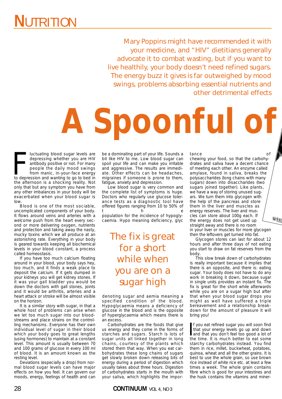Mary Poppins might have recommended it with your medicine, and "HIV" dietitians generally advocate it to combat wasting, but if you want to live healthily, your body doesn't need refined sugars. The energy buzz it gives is far outweighed by mood swings, problems absorbing essential nutrients and other detrimental effects

# **A Spoonful of**

Iuctuating blood sugar levels are<br>depressing whether you are HIV<br>antibody positive or not. For many<br>people the daily mood swings<br>from manic, in-your-face energy<br>to depression and wanting to go to bed in luctuating blood sugar levels are depressing whether you are HIV antibody positive or not. For many people the daily mood swings from manic, in-your-face energy the afternoon is a shocking reality. Not only that but any symptom you have from any other imbalances in your body will be exacerbated when your blood sugar is low.

Blood is one of the most sociable, uncomplicated components of your body. It flows around veins and arteries with a welcome push from the heart every second or more delivering oxygen, nutrients and protection and taking away the nasty, mucky toxins which we all produce at an astonishing rate. Everything in your body is geared towards keeping all biochemical levels in your blood constant, a process called homeostasis.

If you have too much calcium floating around in your blood, your body says hey, too much, and it finds a weak place to deposit the calcium. If it gets dumped in your kidneys you will get kidney stones. If it was your gall bladder you would be down the doctors with gall stones, joints and it would be arthritis, arteries and a heart attack or stroke will be almost visible on the horizon.

It is a similar story with sugar, in that a whole host of problems can arise when we let too much sugar into our bloodstreams and place strains on the controlling mechanisms. Everyone has their own individual level of sugar in their blood which your body goes to great lengths (using hormones) to maintain at a constant level. This amount is usually between 70 and 100 grams of glucose in every 100 ml of blood. It is an amount known as the resting level.

Deviations (especially a drop) from normal blood sugar levels can have major effects on how you feel. It can govern our moods, energy, feelings of health and can be a dominating part of your life. Sounds a bit like HIV to me. Low blood sugar can spoil your life and can make you irritable and aggressive. The results are immediate. Other effects can be headaches, migraines if someone is prone to them, fatigue, anxiety and depression.

Low blood sugar is very common and the complete list of symptoms is huge. Doctors who regularly use glucose tolerance tests as a diagnostic tool have offered figures ranging from 10 to 50% of t he population for the incidence of hypoglycaemia. Hypo meaning deficiency, glyc

> *The fix is great for a short while when you are on a sugar high*

denoting sugar and aemia meaning a specified condition of the blood. Hypoglycaemia means a deficiency of glucose in the blood and is the opposite of hyperglycaemia which means there is an excess.

Carbohydrates are the foods that give us energy and they come in the forms of starches and sugars. Starch is lots of sugar units all linked together in long chains, courtesy of the plants which stored them that way. When you eat carbohydrates these long chains of sugars get slowly broken down releasing bits of energy during a period of digestion which usually takes about three hours. Digestion of carbohydrates starts in the mouth with your saliva, which highlights the impor-

28 **CONTINUUM** VOL 4, NO 3

tance of

chewing your food, so that the carbohydrates and saliva have a decent chance of meeting each other. An enzyme called amylase, found in saliva, breaks the polysaccharides (long chains with many sugars) down into disaccharides (two sugars joined together). Like plants, we have a way of storing unused sugars. We turn them into glycogen with the help of the pancreas and store them in the liver and muscles as energy reserves. The liver and muscles can store about 100g each. If the energy does not get used up straight away and there is no room in your liver or muscles for more glycogen then the leftovers get turned into fat.

Glycogen stores can last for about 12 hours and after three days of not eating you start to draw on fat reserves from the body.

This slow break down of carbohydrates is really important because it implies that there is an opposite, and there is: eating sugar. Your body does not have to do any work in breaking it down, because sugar in single units provides an instant fix. The fix is great for the short while afterwards while you are on a sugar high but after that when your blood sugar drops you might as well have suffered a triple bereavement and a relationship breakdown for the amount of pleasure it will bring you!

If you eat refined sugar you will soon find<br>that your energy levels go up and down<br>and that you don't feel too good a lot of<br>the time. It is much hetter to eat some f you eat refined sugar you will soon find that your energy levels go up and down the time. It is much better to eat some starchy carbohydrates instead. You find them in rice, millet, buckwheat, potatoes, quinoa, wheat and all the other grains. It is best to use the whole grain, so use brown rice instead of white rice etc. at least a few times a week. The whole grain contains fibre which is good for your intestines and the husk contains the vitamins and miner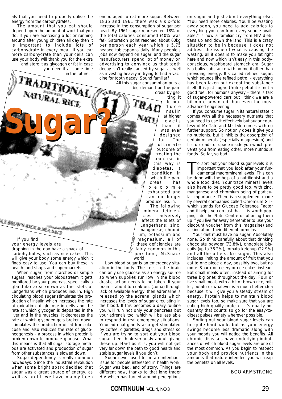als that you need to properly utilise the energy from the carbohydrates.

The amount that you eat should depend upon the amount of work that you do. If you are exercising a lot or running around after young children all day then it is important to include lots of carbohydrate in every meal. If you eat more carbohydrate than your cells can use your body will thank you for the extra and store it as glycogen or fat in case you need it at some time

RADITH

**Sugar?**

If you find

<u>N.E. BROWN RICE & MEASALT</u>

your energy levels are

dropping in the day have a snack of carbohydrates, such as rice cakes. This will give your body some energy which it finds easy to use. You can buy these in health food shops and supermarkets. When sugar, from starches or simple sugars, reaches your bloodstream it gets monitored by your pancreas, specifically a glandular area known as the Islets of Langerhans which produces insulin. High circulating blood sugar stimulates the production of insulin which increases the rate of oxidation of glucose in cells and the rate at which glycogen is deposited in the liver and in the muscles. It decreases the rate at which glycogen gets broken down, stimulates the production of fat from glucose and also reduces the rate of gluconeogenesis – a process in which protein is broken down to produce glucose. What this means is that all sugar storage methods are activated and production of sugar from other substances is slowed down. Sugar dependency is really common nowadays. Since the industrial revolution when some bright spark decided that sugar was a great source of energy, as well as profit, we have mainly been

in the future.

encouraged to eat more sugar. Between 1835 and 1961 there was a six-fold increase in the consumption of sugar per head. By 1961 sugar represented 18% of the total calories consumed (40% was fat). Saturation point reached about 60kg per person each year which is 5.75 heaped tablespoons daily. Many people's jobs now depend on sugar, and the sugar manufacturers spend lot of money on advertising to convince us that tooth decay isn't really caused by sugar as well as investing heavily in trying to find a vaccine for tooth decay. Sound familiar?

All this sugar consumption puts a big demand on the pancreas by get-

ting it to produce insulin at higher levels than it was ever designed for. The ultimate outcome of treating the pancreas in this way is diabetes, a condition in which the pancreas has become exhausted and can no longer produce insulin.

The following mineral deficiencies adversely affect the Islets of Langerhans: zinc, manganese, chromium, potassium and magnesium, all of these deficiencies are fairly common in this junk-food, McSnack world. PHOTO: KALLO

Low blood sugar is an emergency situation in the body. The cells in the brain can only use glucose as an energy source so when supplies run low in the blood drastic action needs to be taken. If your brain is about to conk out (coma) through lack of available energy, then adrenaline is released by the adrenal glands which increases the levels of sugar circulating in the blood. If this becomes a daily routine you will ruin not only your pancreas but your adrenals too, which will be less able to respond in real emergency situations. Your adrenal glands also get stimulated by coffee, cigarettes, drugs and stress so if you are trying to sort out your blood sugar then think seriously about giving these up. Hard as it is, you will not get very far down the path to good health and stable sugar levels if you don't.

Sugar never used to be a contentious issue for people interested in health work. Sugar was bad, end of story. Things are different now, thanks to that lone trader HIV which has turned around perceptions

on sugar and just about everything else. "You need more calories. You'll be wasting away soon, you need to add calories to everything you can from every source available," is now a familiar cry from HIV dietitians up and down the land. This is a crazy situation to be in because it does not address the issue of what is causing the wasting, all it does is to make you fat right here and now which isn't easy in this bodyconscious, washboard stomach era. Sugar is a bulky substance with no merit other than providing energy. It's called refined sugar, which sounds like refined petrol – everything has been taken out except the substance itself. It is just sugar. Unlike petrol it is not a good fuel, for humans anyway – there is talk of sugar-powered cars but I think we are a bit more advanced than even the most advanced engineering.

If you consume sugar in its natural state it comes with all the necessary nutrients that you need to use it effectively but sugar courtesy of Mr Tate and Mr Lyle comes with no further support. So not only does it give you no nutrients, but it inhibits the absorption of certain minerals (especially magnesium) and fills up loads of space inside you which prevents you from eating other, more nutritious foods. So far, so bad.

To sort out your blood sugar levels it is<br>important that you look after your fun-<br>damental macromineral levels. This can<br>be done with the belo of a nutritionist and a important that you look after your fundamental macromineral levels. This can be done with the help of a nutritionist and a whole food diet. Your trace mineral levels also have to be pretty good too, with zinc, manganese and chromium being of particular importance. There is a supplement made by several companies called Chromium GTF which stands for Glucose Tolerance Factor and it helps you do just that. It is worth popping into the Nutri Centre or phoning them up if you live far away (remember to use your discount voucher from this magazine) and asking about their different formulas.

Your diet must have no sugar. Absolutely none. So think carefully about that drinking chocolate powder (73.8%), chocolate biscuits (up to 38.2%), tomato ketchup (22.9%) and all the others. No sugar. This also includes limiting the amount of fruit that you eat to one piece a day, possibly two, but no more. Snack on celery or rice cakes instead. Eat small meals often, instead of aiming for three big ones throughout the day. Four or five small meals with a bit of brown rice, millet, potato or whatever is a much better idea because it will give you a steady stream of energy. Protein helps to maintain blood sugar levels too, so make sure that you are eating high quality protein – it's quality not quantity that counts so go for the easy-todigest pulses variety wherever possible.

Sorting out your blood sugar levels can be quite hard work, but as your energy swings become less dramatic along with your moods you will notice the benefits. All chronic diseases have underlying imbalances of which blood sugar levels are one of the most common. As you begin to respect your body and provide nutrients in the amounts that nature intended you will reap the benefits on all levels.

BOO ARMSTRONG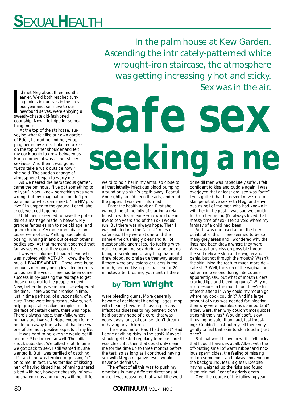# **S**EXUAL**H**EALTH

In the palm house at Kew Garden. Ascending the intricately-patterned white wrought-iron staircase, the atmosphere was getting increasingly hot and sticky. Sex was in the air.

'd met Meg about three mearlier. We'd both reached<br>ing points in our lives in the<br>ous year and, sensitive to depresent<br>sweetly-chaste old-fashioned 'd met Meg about three months earlier. We'd both reached turning points in our lives in the previous year and, sensitive to our newfound selves, were enjoying a courtship. Now it felt ripe for something more.

At the top of the staircase, surveying what felt like our own garden of Eden, I stood behind her, wrapping her in my arms. I planted a kiss on the top of her shoulder and felt my cock begin to grow between us. For a moment it was all hot sticky sexiness. And then it was gone. "Let's take a walk outside now," she said. The sudden change of atmosphere began to worry me.

As we neared the herbaceous garden, came the ominous, "I've got something to tell you". Now I knew something was very wrong, but my imagination couldn't prepare me for what came next. "I'm HIV positive." I slumped to the ground. I cried, she cried, we cried together.

Until then it seemed to have the potential of a marriage made in heaven. My grander fantasies ran to ripe old age and grandchildren. My more immediate fantasies were of sex. Melting, succulent, oozing, running in and out of each other's bodies sex. At that moment it seemed that fantasises were all they could be.

I was well informed. I had a friend who was involved with ACT-UP. I knew the formula. HIV=AIDS=DEATH. There were huge amounts of money being invested in drugs to counter the virus. There had been some success in by-passing the red tape to get those drugs out to the people in need. New, better drugs were being developed all the time. There was the promise in time, just in time perhaps, of a vaccination, of a cure. There were long-term survivors, selfhelp groups, alternative therapies too. In the face of certain death, there was hope. There's always hope, thankfully, where humans are involved. Hope enough for me not to turn away from what at that time was one of the most positive aspects of my life.

It was hard to believe she would get ill and die. She looked so well. The initial shock subsided. We talked a lot. In time we got back to sex. I still wanted it , she wanted it. But I was terrified of catching "it", and she was terrified of passing "it" on to me. In fact, I was terrified of kissing her, of having kissed her, of having shared a bed with her, however chastely, of having shared cups and cutlery with her. It felt

# **Safe sex seeking a ne**

weird to hold her in my arms, so close to all that lethally-infectious blood pumping around only a skin's depth away. Fearful. And rightly so. I'd seen the ads, and read the papers. I was well informed.

Enter the health advisor. First she warned me of the folly of starting a relationship with someone who would die in five to ten years and of the risk I would run. But there was always hope. Then I was initiated into the "at risk" rules of safer sex. They were at one-and-thesame-time crushingly clear and full of questionable anomalies. No fucking without a condom, no sex during a period, no biting or scratching or anything that might draw blood, no oral sex either way around if there were any lesions or ulcers in the mouth, and no kissing or oral sex for 20 minutes after brushing your teeth if there

### **by Tom Wright**

were bleeding gums. More generally: beware of accidental blood spillages, mop with bleach; beware of passing on any infectious diseases to my partner; don't hold out any hope of a cure, that was years away; and, of course, don't dream of having any children.

There was more. Had I had a test? Had I done anything risky in the past? Maybe I should get tested regularly to make sure I was clear. But then that could only clear me for the time up to three months before the test, so as long as I continued having sex with Meg a negative result would never be definitive.

The effect of all this was to push my emotions in many different directions at once. I was reassured that what little we'd done till then was "absolutely safe", I felt confident to kiss and cuddle again. I was overjoyed that at least oral sex was "safe". I was gutted that I'd never know skin-toskin penetrative sex with Meg, and envious as hell of the men who had known it with her in the past. I was sad we couldn't fuck on her period (I'd always loved that messy time of sex). I felt a void where my fantasy of a child had been.

And I was confused about the finer points of all this. There seemed to be so many grey areas and I wondered why the lines had been drawn where they were. Why was transmission possible through the soft delicate skin of the vagina and penis, but not through the mouth? Wasn't the skin lining the rectum much more delicate still? Well, the skin of the vagina can suffer microlesions during intercourse apparently. OK, but what of mouth ulcers, cracked lips and bleeding gums? Why not microlesions in the mouth too, they're full of teeth after all? Why could my mouth go where my cock couldn't? And if a large amount of virus was needed for infection then why were microlesions so important? If they were, then why couldn't mosquitoes transmit the virus? Wouldn't soft, slow thrusting be safer than hard, fast thrusting? Couldn't I just put myself there very gently to feel that skin-to-skin touch? Just once?

But that would have to wait. I felt lucky that I could have sex at all. Albeit with the off-putting smell of warm rubber and noxious spermicides, the feeling of missing out on something, and, always hovering in the background, fear. Big fear. Despite having weighed up the risks and found them minimal. Fear of a grizzly death.

Over the course of the following year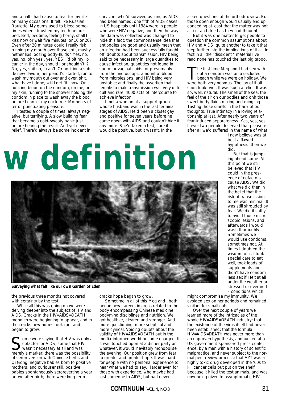and a half I had cause to fear for my life on many occasions. It felt like Russian Roulette. My gums used to bleed sometimes when I brushed my teeth before bed. Bed, bedtime, feeling horny, shall I kiss now or wait five minutes, or 10 or 20? Even after 20 minutes could I really risk running my mouth over those soft, mushy nether lips, oozing body-fluids? Yes, no, yes, no, ohh yes , yes, YES! I'd bit my lip earlier in the day, should I or shouldn't I? No, yes, shit no, I can't. Or noticing a subtle new flavour, her period's started, run to wash my mouth out over and over, shit, what have I done, will I get "it" now. Or noticing blood on the condom, on me, on my skin, running to the shower holding the condom in place to wash away the blood before I can let my cock free. Moments of terror punctuating pleasure.

I tested a couple of times, always negative, but terrifying. A slow building fear that became a cold-sweaty panic just before hearing the result. And yet never relief. There'd always be some incident in

survivors who'd survived as long as AIDS had been named; one fifth of AIDS cases in US hospitals until 1984 were in people who were HIV negative, and then the way the data was collected was changed to hide this fact; the commonsense idea that antibodies are good and usually mean that an infection had been successfully fought off; doubts about transmission, HIV being said to be necessary in large quantities to cause infection, quantities not found in sperm or vaginal fluids, or presumably from the microscopic amount of blood from microlesions, and HIV being very unstable; and finally the assertion that female to male transmission was very difficult and rare, 4000 acts of intercourse to achieve infection.

I met a woman at a support group whose husband was in the last terminal stages of AIDS. He'd been a closet gay and positive for seven years before he came down with AIDS and couldn't hide it any more. She'd taken a test, sure it would be positive, but it wasn't. In the

asked questions of the orthodox view. But those open enough would usually end up conceding at least that the matter was not as cut and dried as they had thought.

But it was one matter to get people to question the common assumptions about HIV and AIDS, quite another to take it that step further into the implications of it all. In fact in all the "dissident " material I've read none has touched the last big taboo.

The first time Meg and I had sex without a condom was on a secluded beach while we were on holiday. We were both very nervous. The joy of it all soon took over. It was such a relief. It was so, well, natural. The smell of the sea, the feel of the air on our bodies and ohh those sweet body fluids mixing and mingling. Tasting those smells in the back of our thoughts. True intimacy in a loving relationship at last. After nearly two years of fear-induced separateness. Yes, yes, yes. If ever two people deserved that pleasure after all we'd suffered in the name of what

> I now believe was at best a flawed hypothesis, then we did.

But that is jumping ahead some. At this point we still believed that HIV could in the presence of cofactors cause AIDS. We did what we did then in the belief that the risk of transmission to me was minimal. It was still shrouded by fear. We did it softly, to avoid those microscopic lesions, and afterwards I would wash thoroughly. Sometimes we would use condoms, sometimes not. At times I doubted the wisdom of it. I took special care to eat well, took loads of supplements and didn't have condomless sex if I felt at all under the weather or stressed or overtired – conditions which

# **w definition**



*Surveying what felt like our own Garden of Eden*

the previous three months not covered with certainty by the test.

While all this was going on we were delving deeper into the subject of HIV and AIDS. Cracks in the HIV=AIDS=DEATH monolith were beginning to appear, and in the cracks new hopes took root and began to grow.

ome were saying that HIV was only a cofactor for AIDS, some that HIV wasn't necessary at all and was merely a marker; there was the possibility of seroreversion with Chinese herbs and Qi Gong; negative babies born to positive mothers, and curiouser still, positive babies spontaneously seroreverting a year or two after birth; there were long term

cracks hope began to grow.

Sometime in all of this Meg and I both began new careers in areas related to the body encompassing Chinese medicine, bodymind disciplines and nutrition. We got healthier, clearer, and stronger. And more questioning, more sceptical and more cynical. Voicing doubts about the validity of HIV=AIDS=DEATH out in the media-informed world became charged. If it was touched upon at a dinner party or whatever, it would inevitably monopolise the evening. Our position grew from fear to greater and greater hope. It was hard for people with no personal experience to hear what we had to say. Harder even for those with experience, who maybe had lost someone to AIDS, but had never

might compromise my immunity. We avoided sex on her periods and remained vigilant for small cuts.

Over the next couple of years we learned more of the intricacies of the whole HIV=AIDS=DEATH industry: that the existence of the virus itself had never been established; that the formula HIV=AIDS=DEATH was never more than an unproven hypothesis, announced at a US government-sponsored press conference, by a man with a history of scientific malpractice, and never subject to the normal peer review process; that AZT was a highly toxic drug developed in the '60s to kill cancer cells but put on the shelf because it killed the test animals, and was now being given to asymptomatic HIV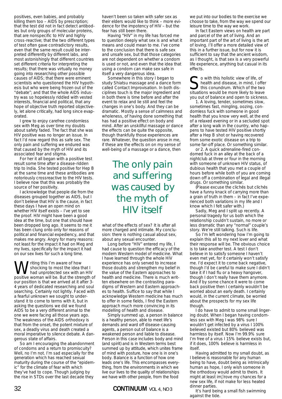positives, even babies, and probably killing them too – AIDS by prescription; that the test did not in fact detect antibodies but only groups of molecular proteins, that are nonspecific to HIV and highly cross-reactive; that the two different types of test often gave contradictory results, even that the same result could be interpreted differently by different labs, and most astonishingly that different countries set different criteria for interpreting the results; that there was virtually no money going into researching other possible causes of AIDS; that there were eminent scientists who questioned the HIV hypothesis but who were being frozen out of the "debate"; and that the whole AIDS industry was so hopelessly riddled with vested interests, financial and political, that any hope of objective truth reported objectively, let alone critically, had long since evaporated.

I grew to enjoy carefree condomless sex with Meg as over time my doubts about safety faded. The fact that she was HIV positive was no longer an issue. In fact I'd now regard this as safe sex. The only pain and suffering we endured was that caused by the myth of HIV and its associated fear and stigma.

For her it all began with a positive test result some time after a disease-ridden trip to India. She tested positive for Hep B at the same time and these antibodies are notoriously crossreactive to the HIV tests. I believe now that this was probably the source of her positivity.

I acknowledge that people die from the diseases grouped together as AIDS, but I don't believe that HIV is the cause, in fact these days I have an open mind on whether HIV itself exists – I've yet to see the proof. HIV might have been a good idea at the time, but one that should have been dropped long ago. It seems to me it has been clung onto only for reasons of political and financial expediency, and that makes me angry. Angry for many reasons: not least for the impact it had on Meg and my lives, specifically for the impact it had on our sex lives for such a long time.

**W** shocking to most the idea that I<br>had unprotected sex with an HIV<br>positive woman will be But the strength shocking to most the idea that I positive woman will be. But the strength of our position is that we arrived at it after 3- 4 years of dedicated researching and soul searching. Certainly not lightly. Faced with a fearful unknown we sought to understand it to come to terms with it, but in asking the questions we did we found AIDS to be a very different animal to the one we were facing all those years ago. The weakness of the AIDS orthodoxy is that from the onset, the potent mixture of sex, a deadly virus and death created a moral imperative to silence debate. A dangerous state of affairs.

So am I encouraging the abandonment of condoms and a return to promiscuity? Well, no I'm not. I'm sad especially for the generation which has reached sexual maturity during the course of the "epidemic" for the climate of fear with which they've had to cope. Though judging by the rise in STDs over the last decade they

haven't been so taken with safer sex as their elders would like to think – more evidence for the impotency of HIV – but the fear has still been there.

Having "HIV" in my life has forced me to question deeply what sex is and what it means and could mean to me. I've come to the conclusion that there is safe sex and unsafe sex, but that those categories are not dependent on whether a condom is used or not, and even that the idea that using a condom can make sex safe in itself a very dangerous idea.

Somewhere in this story I began to study Shiatsu massage and a dance form called Contact Improvisation. In both disciplines touch is the major ingredient and in both there is time before and after the event to relax and lie still and feel the changes in one's body. And they can be dramatic. Mostly a sense of calmness and wholeness, of having done something that has had a positive effect on body and mind. After an unskillful massage or dance the effects can be quite the opposite, though thankfully those experiences are rare. Whatever, the question arose in me, if these are the effects on on my sense of well-being of a massage or a dance, then

> *The only pain and suffering was caused by the myth of HIV itself*

what of the effects of sex? It is after all more charged and intimate. My conclusion: there is nothing casual about sex, about any sexual encounter.

Long before "HIV" entered my life, I had cause to question the efficacy of the modern Western model of medicine. What I have learned through the whole HIV experience has only served to increase those doubts and strengthen my belief in the value of the Eastern approaches to health and medicine. There is much written elsewhere on the contrasting paradigms of Western and Eastern approaches to health. Suffice to say that while I acknowledge Western medicine has much to offer in some fields, I find the Eastern approach much more convincing in its modelling of health and disease.

Simply summed up, a person in balance is a healthy person, able to meet life's demands and ward off disease-causing agents, a person out of balance is a weakened person and liable to disease. Person in this case includes body and mind (and spirit) and is in Western terms best summed up by attitude, which unites frame of mind with posture, how one is in one's body. Balance is a function of how one leads one's life. This encompasses everything, from the environments in which we live our lives to the quality of relationships we have with other people, from the food

#### 32 **CONTINUUM** VOL 4, NO 3

we put into our bodies to the exercise we choose to take, from the way we spend our leisure time to the way we work.

In fact Eastern views on health are part and parcel of the art of living. And an important part of the art of living is the art of loving. I'll offer a more detailed view of this in a further issue, but for now it is sufficient to say that the ancient wisdom, as I thought, is that sex is a very powerful life experience, anything but casual in its effects.

So with this holistic view of life, of<br>health and disease, in mind, I offer<br>this conundrum. Which of the two<br>situations would be more likely to leave health and disease, in mind, I offer situations would be more likely to leave you out of balance and open to sickness.

1. A loving, tender, sometimes slow, sometimes fast, mingling, oozing, condomless fuck with someone in good health that you know very well, at the end of a relaxed evening or in a secluded spot after a long walk in the country, who happens to have tested HIV positive shortly after a Hep B shot or having recovered from some exotic disease on a trip to some far-off place. Or something similar.

or 2. A quick adrenaline-fired condomed fuck in an alley at the back of a nightclub at three or four in the morning with someone of unknown HIV status, of dubious health that you met a couple of hours before while both of you are coming down off a combination of legal and illegal drugs. Or something similar.

(Please excuse the clichés but clichés have a funny knack of carrying more than a grain of truth in them – in fact I've experienced both variations in my life and I know which I felt safer with.)

Sadly, Meg and I split up recently. A personal tragedy for us both which the relationship couldn't sustain, no more or less dramatic than any "normal" couple's story. We're still talking. Such is life.

So I'm left wondering how I'm going to explain this all to my next lover and what their response will be. The obvious choice is to take another test. A test I don't believe in to satisfy someone I haven't even met yet, for it certainly won't satisfy me. I'd expect it to come back negative, though I'd be careful to make sure I didn't take it if I had flu or a heavy hangover, though I don't really have them anymore. And if by some chance it were to come back positive then I certainly wouldn't be worried about an early death. I certainly would, in the current climate, be worried about the prospects for my sex life though.

I do have to admit to some small lingering doubt. When I began having condomless sex with Meg I was 98% sure I wouldn't get infected by a virus I 100% believed existed but 80% believed was harmless by itself. Now I'm 99.9% sure I'm free of a virus I 15% believe exists but, if it does, 100% believe is harmless in itself.

Having admitted to my small doubt, as I believe is reasonable for any human being to have, doubt being as intrinsically human as hope, I only wish someone in the orthodoxy would admit to theirs. It might at least im**prove my chances for a** new sex life, if not make for less heated dinner parties.

It's hard being a small fish swimming against the tide.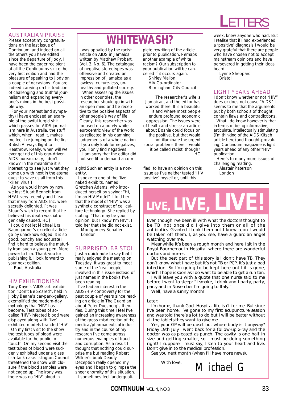#### AUSTRALIAN PRAISE

Please accept my congratulations on the last issue of Continuum, and indeed on all the others you have edited since the departure of Jody. I have been the eager recipient of all the Continuums since the very first edition and had the pleasure of speaking to Jody on a couple of occasions. You are indeed carrying on his tradition of challenging and truthful journalism and expanding everyone's minds in the best possible way.

For your interest (and sympathy) I have enclosed an example of the awful turgid shit which passes for AIDS journalism here in Australia, the stuff which, when I read it, makes me feel like jumping on the first British Airways flight to Heathrow. Really, when will we ever get rid of this ego-driven AIDS bureaucracy, I don't know? In the meantime it is interesting to see just what they come up with next in the eternal quest to save us all from this 'killer' virus'!

As you would know by now, we lost Stuart Bennett from HEAL very recently and I fear that many from AIDS Inc. were secretly delighted. [It was Stuart's wish to record that he believed his death was iatrogenically caused. HC]

I could not let Michael Urs Baumgartner's excellent article go by unacknowledged. It is so good, punchy and accurate I find it hard to believe the maturity from such a young pen. More power to him. Thank you for publishing it. I look forward to your next edition. Paul, Australia

#### HIV EXHIBITIONISM

Tony Kaye's 'AIDS-art' exhibition "Don't Be Scared", held in Jibby Beane's car-park-gallery, exemplified the modern-day mythology that 'HIV' has become. Test tubes of socalled 'HIV'-infected blood were displayed along with 'live' exhibited models branded 'HIV'.

On my first visit to the show the test tubes of blood were available for the public to 'touch'. On my second visit the test tubes of blood were suddenly exhibited under a glass fish-tank case. Islington Council threatened the show with closure if the blood samples were not caged up. The irony was, there was no 'HIV' blood in

## **WHITEWASH?**

I was appalled by the racist article on AIDS in Jamaica written by Matthew Probert, (Vol. 3, No. 6). The catalogue of negative stereotypes was offensive and created an impression of Jamaica as a lawless, culture-less, unhealthy and polluted society.

When assessing the issues in other countries, the researcher should go in with an open mind and be receptive to the positive aspects of other people's way of life. Clearly, this researcher was focused on a purely white eurocentric view of the world as reflected in his damning judgements of a whole nation. If you only look for negatives, you'll only find negatives. I am sorry that the editor did

not see fit to demand a com-

sight! Such an entity is a nonentity.

I spoke to one of the 'live' naked exhibits, named Gretchen Adams, who introduced herself by saying: "Hi, I'm an HIV Model". I told her that the model of 'HIV' was a synthetic construct of cell culture technology. She replied by stating: "That may be your opinion, but I know I'm HIV". I told her that she did not exist.

Montgomery Schaffer London

#### SURPRISED, BRISTOL

Just a quick note to say that I really enjoyed the meeting on Tuesday. It was great to meet some of the 'real people' involved in this issue instead of just names in the books I've been reading.

I've had an interest in the AIDS/HIV controversy for the past couple of years since reading an article in The Guardian about Peter Duesberg's theories. During this time I feel I've gained an increasing awareness of the gross misdirection of the medical/pharmaceutical industry and in the course of my research I've come across numerous examples of fraud and corruption. As a result I thought that nothing could surprise me but reading Robert Willner's book Deadly Deception really opened my eyes and I began to glimpse the sheer enormity of this situation. I sometimes feel 'underqualiplete rewriting of the article prior to publication. Perhaps another example of white racism? Our subscription to your publication will be cancelled if it occurs again. Shirley Mallon HIV Co-ordinator Birmingham City Council

The researcher's wife is Jamaican, and the editor has worked there. It is a beautiful island where most people endure profound economic oppression. The issues were of health and stress: an article about Bosnia could focus on the positive, but that would not illuminate the urgent social problems there – would it be called racist, though? HC

fied' to have an opinion on this issue as I've neither tested 'HIV positive' myself or, until this

#### week, knew anyone who had. But I realise that if I had experienced a 'positive' diagnosis I would be very grateful that there are people who have chosen not to accept mainstream opinions and have persevered in getting their ideas heard.

**L**ETTERS

Lynne Sheppard Bristol

#### LIGHT YEARS AHEAD

I don't know whether or not "HIV" does or does not cause "AIDS". It seems to me that the arguments put by both schools of thought contain flaws and contradictions.

What I do know however is that in terms of being informative, articulate, intellectually stimulating (I'm thinking of the AIDS Kitsch article here) and thought-provoking, Continuum magazine is light years ahead of any other "HIV" publication.

Here's to many more issues of challenging reading.

Alastair Paterson London

# *LIVE, LIVE, LIVE!*

Even though I've been ill with what the doctors thought to be TB, not once did I give into them or all of the antibiotics. Granted I took them but I knew soon I would be taken off them. I, as you see, have a guardian angel watching over me.

Meanwhile it's been a rough month and here I sit in the Royal Bournemouth Hospital where there are wonderful doctors and nurses.

But the best part of this story is I don't have TB. They don't know what I have but it's not TB or PCP. It's just a bad infection. So I'm going to be kept here until it is gone, which I hope is soon as I do want to be able to get a sun tan.

I will leave you with a quote that one nurse said to me before I went to sleep: "I smoke, I drink and I party, party, party and in November I'm going to Italy."

Well, have a sunny month!

#### *Later:*

I'm home, thank God. Hospital life isn't for me. But since I've been home, I've gone to my first acupuncture session and was told there's a lot to do but I will be better without all the tablets they want to give me.

Yes, your GP will be upset but whose body is it anyway? Friday 19th July I went back for a follow-up x-ray and the doctor was as pleased as punch. The cavity is one half in size and getting smaller, so I must be doing something right! I suppose I must say, listen to your heart and live. Don't give in to the medical profession.

See you next month (when I'll have more news).

With love, *Michael G*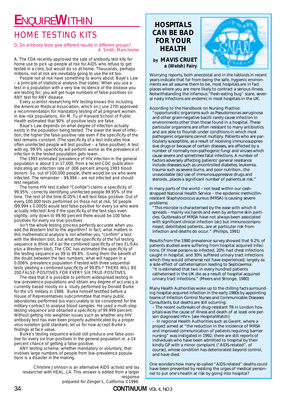# **E**NQUIRE**W**ITHIN

## HOME TESTING KITS

#### Q. Do antibody tests give different results in different groups? A. Smith, Manchester

A. The FDA recently approved the sale of antibody test kits for home use to pick up people at risk for AIDS who refuse to get tested in a clinic but would do so at home. Thousands, perhaps millions, not at risk are inevitably going to use the kit too.

People not at risk have something to worry about: Baye's Law – a principle of statistical analysis that states: When you use a test in a population with a very low incidence of the disease you are testing for, you will get huge numbers of false-positives on ANY test for ANY disease.

Every scientist researching HIV testing knows this including the American Medical Association, which on June 27th approved a recommendation for mandatory testing of all pregnant women. In low-risk populations, Xin M. Tu of Harvard School of Public Health estimated that 90% of positive tests are false.

Baye's Law depends on what degree of infection actually exists in the population being tested. The lower the level of infection, the higher the false-positive rate even if the specificity of the test remains constant. (The specificity of a test indicates how often uninfected people will test positive – a false-positive). A test with eg. 99.9% specificity will perform worse as the prevalence of infection in the tested population gets lower.

The 1993 estimated prevalence of HIV infection in the general population is about 1 in 17,000, from a recent CDC publication indicating an infection rate of .006 percent among 1993 blood donors. So, out of 100,000 people, there would be six who were infected. The remainder  $-99,994 -$  are not infected and should test negative.

The home HIV test (called "Confide") claims a specificity of 99.95%, correctly identifying uninfected people 99.95% of the time. The rest of the time (0.05%) it will test false-positive. Out of every 100,000 tests performed on those not at risk, 50 people (99,994 x 0.0005) would test false-positive for every six who were actually infected! And if the specificity of the test slips even slightly, only down to 99.90 percent there would be 100 falsepositives for every six true-positives.

Isn't the whole testing process perfectly accurate when you add the Western blot to the algorithm? In fact, what matters in this mathematical analysis is not whether you "confirm" a test with the Western blot, but what the specificity of the full testing sequence is (think of it as the combined specificity of two ELISAs plus a Western blot). The CDC has estimated the specificity of the testing sequence as 99 to 99.8%. Giving them the benefit of the doubt between the two numbers, what will happen in a 0.006% prevalence population if tested with three sequential tests yielding a combined specificity of 99.8%? THERE WILL BE 200 FALSE-POSITIVES FOR EVERY SIX TRUE-POSITIVES.

The idea that it is possible to perform widespread testing in low-prevalence populations and obtain any degree of accuracy is currently based mostly on a study performed by Donald Burke for the US military in 1988. Burke himself testified before a House of Representatives subcommittee that many public laboratories performed too inaccurately to be considered for the military contract to analyse blood samples. He used a multi-step testing sequence and obtained a specificity of 99.999 percent. Without getting into weightier issues such as whether any HIV antibody test has ever been properly authenticated by a proper virus isolation gold standard, let us for now accept Burke's findings at face value.

Burke's testing sequence would still produce one false-positive for every six true-positives in the general population ie. a 14 percent chance of getting a false-positive.

ANY testing scheme, whether mandatory or voluntary, that involves large numbers of people from low-prevalence populations is a disaster in the making.

Christine Johnson is an alternative AIDS activist and lay researcher with HEAL, LA. This answer is edited from a larger response

**HOSPITALS CAN BE BAD FOR YOUR HEALTH**



*by MAVIS CRUET a (Welsh) Fairy*

Worrying reports, both anecdotal and in the tabloids in recent years indicate that far from being the safe, hygienic environments we all assume them to be, most hospitals are in fact places where you are more likely to contract a serious illness. Notwithstanding the infamous "flesh-eating bug" scare, several nasty infections are endemic in most hospitals in the UK.

#### According to the *Handbook on Nursing Practice*:

"opportunistic organisms such as *Pseudomonas aeruginosa* and other gram-negative bacilli rarely cause infection in environments other than those found in a hospital. These particular organisms are often resistant to many antibiotics and are able to flourish under conditions in which most pathogenic organisms cannot multiply. Patients who are particularly susceptible, as a result of receiving immunosuppressive drugs or because of certain diseases, are affected by a number of normally non-pathogenic fungi and viruses which cause severe and sometimes fatal infections. A number of factors adversely affecting patients' general resistance include diseases such as uncontrolled diabetes, leukemia, trauma such as severe burns, and poor nutrition...the unavoidable (*sic*) use of immunosuppressive drugs and steroids...places a significant number of patients at risk."

In many parts of the world – not least within our cashstrapped National Health Service – the epidemic methicillinresistant *Staphylococcus aureus* (MRSA) is causing severe problems:

"This microbe is characterised by the ease with which it spreads – mainly via hands and even by airborne skin particles. Outbreaks of MRSA have not always been associated with significant clinical infection (*sic*) but immunocompromised, debilitated patients...are at particular risk from infection and deaths do occur." (*Phillips, 1991*)

Results from the 1980 prevalence survey showed that 9.2% of patients studied were suffering from hospital acquired infections. Of those persons so infected, 20% had chest infections caught in hospital, and 30% suffered urinary tract infections which they would otherwise not have experienced, largely as a side-effect of catheterisation leading to *Septicaemia*:

"It is estimated that two in every hundred patients catheterised in the UK die as a result of hospital acquired urinary tract infections." (*Meers and Stronge, 1980*)

Many Health Authorities woke up to the chilling facts surrounding hospital-acquired infection in the early 1980s by appointing teams of Infection Control Nurses and Communicable Diseases Consultants, but deaths are still occurring:

– The recent outbreaks of drug-resistant TB in London hospitals was the cause of illness and death of at least one person diagnosed HIV+. [*see HospitalWatch*]

In regional Health Authorities such as Gwent, where a project aimed at *"the reduction in the incidence of MRSA and improved communication of patients requiring barrier nursing"* was instigated in 1992, there are still reports of individuals who have been admitted to hospital by their kindly GP with a minor complaint ("AIDS-related", of course), whose condition has deteriorated beyond control, and have died.

One wonders how many so-called "AIDS-related" deaths could have been prevented by resisting the urges of medical personnel to put one's health at risk by going into hospital?

prepared for Zenger's, California ©1996.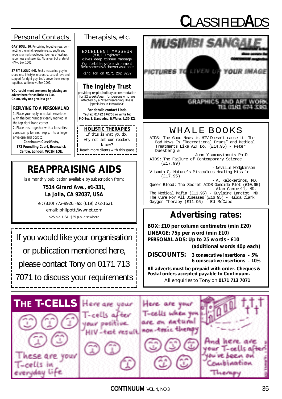# **C**LASSIFIED**A**DS

#### *Personal Contacts Therapists, etc.*

**GAY SOUL, 50**, Perceiving togetherness, connecting the mind, experience, strength and hope, sharing knowledge, journey of ecstasy, happiness and serenity. No angel but grateful HIV+. Box 1001.

**37 FIT BLOND (M),** Seeks masculine guy to share nice lifestyle in country. Lots of love and support for right guy. Let's prove them wrong together. Write now. Box 1002.

**YOU could meet someone by placing an advert here for as little as £10. Go on, why not give it a go?**

#### **REPLYING TO A PERSONAL AD**

1. Place your reply in a plain envelope with the box number clearly marked in the top right hand corner.

2. Place this, together with a loose firstclass stamp for each reply, into a larger envelope and post to:

**Continuum Classifieds, 172 Foundling Court, Brunswick Centre, London, WC1N 1QE.**

#### EXCELLENT MASSEUR (MTI, IPTI registered) gives deep tissue massage *Comfortable, safe environment Refreshments & shower available* Ring Tom on 0171 262 0237

**The Ingleby Trust**

*providing respite/holiday accommodation for 52 weeks/year, for persons who are affected by a "life-threatening illness (specialists in HIV/AIDS)"*

**For details contact Linda Tel/fax: 01492 876756 or write to: P.O.Box 8, Llandudno, N.Wales, LL30 2ZL**

#### **HOLISTIC THERAPIES** If this is what you do,

why not let our readers know? *Reach more clients with this space* 

# **REAPPRAISING AIDS**

is a monthly publication available by subscription from:

#### **7514 Girard Ave., #1-331, La Jolla, CA 92037, USA**

Tel: (810) 772-9926,Fax: (619) 272-1621 email: philpott@wwnet.com \$25 p.a. USA, \$35 p.a. elsewhere

If you would like your organisation or publication mentioned here, please contact Tony on 0171 713 7071 to discuss your requirements



### WHALE BOOKS

AIDS: The Good News is HIV Doesn't cause it. The Bad News Is "Recreational Drugs" and Medical Treatments Like AZT Do. (£14.95) - Peter Duesberg &

John Yiamouyiannis Ph.D AIDS: The Failure of Contemporary Science<br>(f17.99)

- Neville Hodgkinson Vitamin C, Nature's Miraculous Healing Missile

(£17.95) - A. Kalokerinos, MD. Queer Blood: The Secret AIDS Genoide Plot (£10.95) - Alan Cantwell, MD. The Medical Mafia (£11.95) - Guylaine Lanctot, MD. The Cure For All Diseases (£16.95) - Hulda Clark Oxygen Therapy (£11.95) - Ed McCabe

### **Advertising rates:**

**BOX: £10 per column centimetre (min £20) LINEAGE: 75p per word (min £10) PERSONAL ADS: Up to 25 words - £10 (additional words 40p each)**

**DISCOUNTS: 3 consecutive insertions – 5% 6 consecutive insertions – 10%**

**All adverts must be prepaid with order. Cheques & Postal orders accepted payable to Continuum.** All enquiries to Tony on **0171 713 7071**